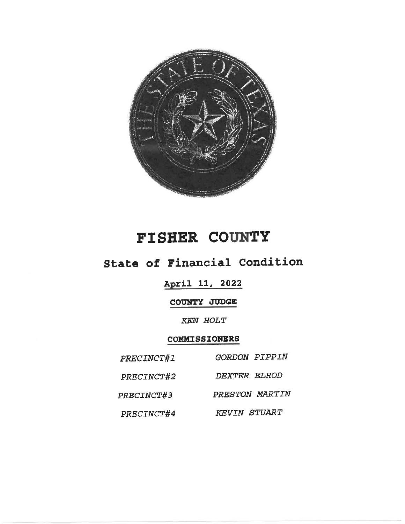

# FISHER COUNTY

## State of Financial Condition

## April 11, 2022

## COUNTY JUDGE

## **KEN HOLT**

#### COMMISSIONERS

| PRECINCT#1 | <b>GORDON PIPPIN</b> |
|------------|----------------------|
| PRECINCT#2 | <i>DEXTER ELROD</i>  |
| PRECINCT#3 | PRESTON MARTIN       |
| PRECINCT#4 | <b>KEVIN STUART</b>  |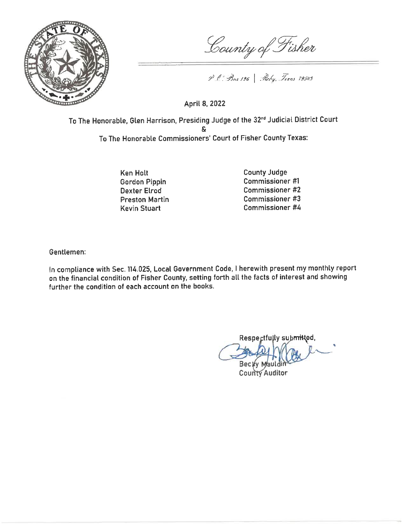

County of Fisher

P C Bac 126 Roby, Texas 19549

April 8, 2022

To The Honorable, Glen Harrison, Presiding Judge of the 32<sup>nd</sup> Judicial District Court To The Honorable Commissioners' Court of Fisher County Texas:

> **Ken Holt Gordon Pippin Dexter Elrod Preston Martin Kevin Stuart**

**County Judge** Commissioner #1 Commissioner #2 Commissioner #3 **Commissioner #4** 

Gentlemen:

In compliance with Sec. 114.025, Local Government Code, I herewith present my monthly report on the financial condition of Fisher County, setting forth all the facts of interest and showing further the condition of each account on the books.

Respectfully submitted, Becky Maul

**County Auditor**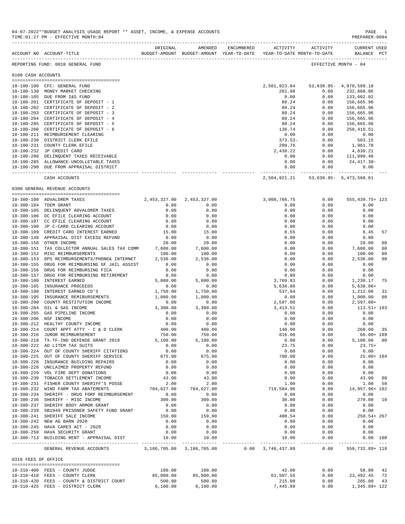|                     | ACCOUNT NO ACCOUNT-TITLE                                                                        | ORIGINAL                      | AMENDED<br>BUDGET-AMOUNT BUDGET-AMOUNT YEAR-TO-DATE | ENCUMBERED | ACTIVITY<br>YEAR-TO-DATE MONTH-TO-DATE | ACTIVITY     | <b>CURRENT USED</b><br>BALANCE PCT     |                |
|---------------------|-------------------------------------------------------------------------------------------------|-------------------------------|-----------------------------------------------------|------------|----------------------------------------|--------------|----------------------------------------|----------------|
|                     | REPORTING FUND: 0010 GENERAL FUND                                                               |                               |                                                     |            |                                        |              | EFFECTIVE MONTH - 04                   |                |
| 0100 CASH ACCOUNTS  |                                                                                                 |                               |                                                     |            |                                        |              |                                        |                |
|                     |                                                                                                 |                               |                                                     |            |                                        |              |                                        |                |
|                     | 10-100-100 CFC: GENERAL FUND<br>10-100-130 MONEY MARKET CHECKING                                |                               |                                                     |            | 2,501,923.84<br>201.98                 | 0.00         | 53,638.95 - 4,970,589.18<br>232,868.86 |                |
|                     | 10-100-185 DUE FROM I&S FUND                                                                    |                               |                                                     |            | 0.00                                   | 0.00         | 133,602.02                             |                |
|                     | 10-100-201 CERTIFICATE OF DEPOSIT - 1                                                           |                               |                                                     |            | 80.24                                  | 0.00         | 156,665.96                             |                |
|                     | 10-100-202 CERTIFICATE OF DEPOSIT - 2                                                           |                               |                                                     |            | 80.24                                  | 0.00         | 156,665.96                             |                |
|                     | 10-100-203 CERTIFICATE OF DEPOSIT - 3                                                           |                               |                                                     |            | 80.24                                  | 0.00         | 156,665.96                             |                |
|                     | 10-100-204 CERTIFICATE OF DEPOSIT - 4                                                           |                               |                                                     |            | 80.24                                  | 0.00         | 156,665.96                             |                |
|                     | 10-100-205 CERTIFICATE OF DEPOSIT - 5                                                           |                               |                                                     |            | 80.24                                  | 0.00         | 156,665.96                             |                |
|                     | 10-100-206 CERTIFICATE OF DEPOSIT - 6                                                           |                               |                                                     |            | 136.74                                 | 0.00         | 258,410.51                             |                |
|                     | 10-100-211 REIMBURSEMENT CLEARING<br>10-100-230 DISTRICT CLERK EFILE                            |                               |                                                     |            | 0.00<br>$373.53-$                      | 0.00<br>0.00 | 0.00<br>503.15                         |                |
|                     | 10-100-231 COUNTY CLERK EFILE                                                                   |                               |                                                     |            | 200.76                                 | 0.00         | 1,961.78                               |                |
|                     | 10-100-232 JP CREDIT CARD                                                                       |                               |                                                     |            | 2,430.22                               | 0.00         | 4,830.21                               |                |
|                     | 10-100-280 DELINQUENT TAXES RECEIVABLE                                                          |                               |                                                     |            | 0.00                                   | 0.00         | 111,890.40                             |                |
|                     | 10-100-285 ALLOWANCE-UNCOLLETABLE TAXES                                                         |                               |                                                     |            | 0.00                                   | 0.00         | $24,417.30-$                           |                |
|                     | 10-100-290 DUE FROM APPRAISAL DISTRICT                                                          |                               |                                                     |            | 0.00                                   | 0.00         | 0.00                                   |                |
|                     | CASH ACCOUNTS                                                                                   |                               |                                                     |            | 2,504,921.21                           |              | 53,638.95- 6,473,568.61                |                |
|                     | 0300 GENERAL REVENUE ACCOUNTS                                                                   |                               |                                                     |            |                                        |              |                                        |                |
|                     | 10-300-100 ADVALOREM TAXES                                                                      | 2, 453, 327.00 2, 453, 327.00 |                                                     |            | 3,008,766.75                           | 0.00         | 555, 439. 75+ 123                      |                |
|                     | 10-300-104 TDEM GRANT                                                                           | 0.00                          | 0.00                                                |            | 0.00                                   | 0.00         | 0.00                                   |                |
|                     | 10-300-105 DELINQUENT ADVALOREM TAXES                                                           | 0.00                          | 0.00                                                |            | 0.00                                   | 0.00         | 0.00                                   |                |
|                     | 10-300-106 DC EFILE CLEARING ACCOUNT                                                            | 0.00                          | 0.00                                                |            | 0.00                                   | 0.00         | 0.00                                   |                |
|                     | 10-300-107 CC EFILE CLEARING ACCOUNT                                                            | 0.00                          | 0.00                                                |            | 0.00                                   | 0.00         | 0.00                                   |                |
|                     | 10-300-108 JP C-CARD CLEARING ACCOUNT                                                           | 0.00                          | 0.00                                                |            | 0.00                                   | 0.00         | 0.00                                   |                |
|                     | 10-300-109 CREDIT CARD INTEREST EARNED                                                          | 15.00                         | 15.00                                               |            | 8.55                                   | 0.00         | 6.45                                   | 57             |
|                     | 10-300-149 APPRAISAL DIST EXCESS REFUND                                                         | 0.00                          | 0.00                                                |            | 0.00                                   | 0.00         | 0.00                                   |                |
|                     | 10-300-150 OTHER INCOME                                                                         | 20.00                         | 20.00                                               |            | 0.00                                   | 0.00         | 20.00                                  | 0 <sub>0</sub> |
|                     | 10-300-151 TAX COLLECTOR ANNUAL SALES TAX COMM                                                  | 7,600.00                      | 7,600.00                                            |            | 0.00                                   | 0.00         | 7,600.00                               | 0 <sub>0</sub> |
|                     | 10-300-152 MISC REIMBURSEMENTS                                                                  | 100.00                        | 100.00                                              |            | 0.00                                   | 0.00         | 100.00                                 | 0 <sub>0</sub> |
|                     | 10-300-153 DPS REIMBURSEMENTS/PHONE& INTERNET<br>10-300-155 DRUG FOR REIMBURSING GF JAIL ASSIST | 2,536.00<br>0.00              | 2,536.00<br>0.00                                    |            | 0.00<br>0.00                           | 0.00<br>0.00 | 2,536.00<br>0.00                       | 0 <sub>0</sub> |
|                     | 10-300-156 DRUG FOR REIMBURSING FICA                                                            | 0.00                          | 0.00                                                |            | 0.00                                   | 0.00         | 0.00                                   |                |
|                     | 10-300-157 DRUG FOR REIMBURSING RETIREMENT                                                      | 0.00                          | 0.00                                                |            | 0.00                                   | 0.00         | 0.00                                   |                |
|                     | 10-300-180 INTEREST EARNED                                                                      | 5,000.00                      | 5,000.00                                            |            | 3,769.83                               | 0.00         | 1,230.17                               | 75             |
|                     | 10-300-185 INSURANCE PROCEEDS                                                                   | 0.00                          | 0.00                                                |            | 5,638.06                               | 0.00         | $5,638.06+$                            |                |
|                     | 10-300-190 INTEREST EARNED CD'S                                                                 | 1,750.00                      | 1,750.00                                            |            | 537.94                                 | 0.00         | 1,212.06                               | 31             |
|                     | 10-300-195 INSURANCE REMIBURSEMENTS                                                             | 1,000.00                      | 1,000.00                                            |            | 0.00                                   | 0.00         | 1,000.00                               | 0 <sub>0</sub> |
|                     | 10-300-200 COUNTY RESTITUTION INCOME                                                            | 0.00                          | 0.00                                                |            | 2,597.00                               | 0.00         | $2,597.00+$                            |                |
|                     | 10-300-204 OIL & GAS INCOME                                                                     | 3,300.00                      | 3,300.00                                            |            | 3,413.51                               | 0.00         | 113.51+ 103                            |                |
|                     | 10-300-205 GAS PIPELINE INCOME                                                                  | 0.00                          | 0.00                                                |            | 0.00                                   | 0.00         | 0.00                                   |                |
|                     | 10-300-206 NSF INCOME                                                                           | 0.00                          | 0.00                                                |            | 0.00                                   | 0.00         | 0.00                                   |                |
|                     | 10-300-212 HEALTHY COUNTY INCOME                                                                | 0.00                          | 0.00                                                |            | 0.00                                   | 0.00         | 0.00                                   |                |
|                     | 10-300-214 COURT APPT ATTY - C & D CLERK                                                        | 400.00<br>750.00              | 400.00                                              |            | 140.00                                 | 0.00         | 260.00                                 | 35             |
|                     | 10-300-216 JUROR REIMBURSEMENT<br>10-300-218 TX-TF-IND DEFENSE GRANT 2019                       | 5,100.00                      | 750.00                                              |            | 816.00<br>0.00                         | 0.00<br>0.00 | $66.00 + 109$<br>5,100.00              | 0 <sup>0</sup> |
|                     | 10-300-222 AD LITEM TAX SUITS                                                                   | 0.00                          | 5,100.00<br>0.00                                    |            | 23.75                                  | 0.00         | $23.75+$                               |                |
|                     | 10-300-224 OUT OF COUNTY SHERIFF CITATIONS                                                      | 0.00                          | 0.00                                                |            | 0.00                                   | 0.00         | 0.00                                   |                |
|                     | 10-300-225 OUT OF COUNTY SHERIFF SERVICE                                                        | 675.00                        | 675.00                                              |            | 700.00                                 | 0.00         | $25.00 + 104$                          |                |
|                     | 10-300-226 INSURANCE BUILDING REPAIRS                                                           | 0.00                          | 0.00                                                |            | 0.00                                   | 0.00         | 0.00                                   |                |
|                     | 10-300-228 UNCLAIMED PROPERTY REFUND                                                            | 0.00                          | 0.00                                                |            | 0.00                                   | 0.00         | 0.00                                   |                |
|                     | 10-300-229 VOL FIRE DEPT DONATIONS                                                              | 0.00                          | 0.00                                                |            | 0.00                                   | 0.00         | 0.00                                   |                |
|                     | 10-300-230 TOBACCO SETTLEMENT INCOME                                                            | 43.00                         | 43.00                                               |            | 0.00                                   | 0.00         | 43.00                                  | 0 <sub>0</sub> |
|                     | 10-300-231 FISHER COUNTY SHERIFF'S POSSE                                                        | 2.00                          | 2.00                                                |            | 1.00                                   | 0.00         | 1.00                                   | 50             |
|                     | 10-300-232 WIND FARM TAX ABATEMENTS                                                             | 704,627.00                    | 704,627.00                                          |            | 719,584.96                             | 0.00         | 14,957.96+ 102                         |                |
|                     | 10-300-234 SHERIFF - DRUG FORF REIMBURSEMENT                                                    | 0.00                          | 0.00                                                |            | 0.00                                   | 0.00         | 0.00                                   |                |
|                     | 10-300-236 SHERIFF - MISC INCOME                                                                | 300.00                        | 300.00                                              |            | 30.00                                  | 0.00         | 270.00 10                              |                |
|                     | 10-300-237 SHERIFF BODY ARMOR GRANT                                                             | 0.00                          | 0.00                                                |            | 0.00                                   | 0.00         | 0.00                                   |                |
|                     | 10-300-239 SB1849 PRISONER SAFETY FUND GRANT                                                    | 0.00                          | 0.00                                                |            | 0.00                                   | 0.00         | 0.00                                   |                |
|                     | 10-300-241 SHERIFF SALE INCOME                                                                  | 150.00                        | 150.00                                              |            | 400.54                                 | 0.00         | $250.54 + 267$                         |                |
|                     | 10-300-242 NEW AG BARN 2020<br>10-300-245 HAVA CARES ACT - 2020                                 | 0.00<br>0.00                  | 0.00<br>0.00                                        |            | 0.00<br>0.00                           | 0.00<br>0.00 | 0.00<br>0.00                           |                |
|                     | 10-300-250 HAVA SECURITY GRANT                                                                  | 0.00                          | 0.00                                                |            | 0.00                                   | 0.00         | 0.00                                   |                |
|                     | $10-300-713$ BUILDING RENT - APPRAISAL DIST $10.00$                                             |                               | 10.00                                               |            | 10.00                                  | 0.00         | 0.00 100                               |                |
|                     | GENERAL REVENUE ACCOUNTS 3,186,705.00 3,186,705.00 0.00 3,746,437.89 0.00                       |                               |                                                     |            |                                        |              | 559, 732.89+ 118                       |                |
| 0310 FEES OF OFFICE |                                                                                                 |                               |                                                     |            |                                        |              |                                        |                |
|                     |                                                                                                 |                               |                                                     |            |                                        |              |                                        |                |
|                     | 10-310-400 FEES - COUNTY JUDGE                                                                  | 100.00                        | 100.00                                              |            | 42.00                                  | 0.00         | 58.00                                  | -42            |
|                     | 10-310-410 FEES - COUNTY CLERK                                                                  | 85,000.00                     | 85,000.00                                           |            | 61,507.55                              | 0.00         | 23,492.45                              | -72            |
|                     | 10-310-420 FEES - COUNTY & DISTRICT COURT                                                       | 500.00                        | 500.00                                              |            | 215.00                                 | 0.00         | 285.00                                 | 43             |
|                     | 10-310-425 FEES - DISTRICT CLERK                                                                | 6,100.00                      | 6,100.00                                            |            | 7,445.89                               | 0.00         | 1,345.89+ 122                          |                |

04-07-2022\*\*BUDGET ANALYSIS USAGE REPORT \*\* ASSET, INCOME, & EXPENSE ACCOUNTS PAGE 1<br>TIME:01:27 PM - EFFECTIVE MONTH:04

TIME:  $01:27$  PM - EFFECTIVE MONTH:  $04$ 

-------------------------------------------------------------------------------------------------------------------------------------------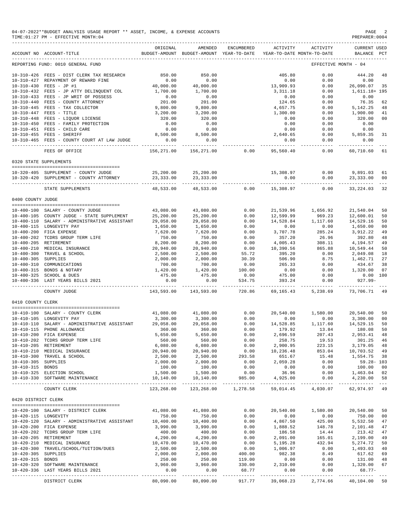|                      | 04-07-2022**BUDGET ANALYSIS USAGE REPORT ** ASSET, INCOME, & EXPENSE ACCOUNTS<br>TIME: 01:27 PM - EFFECTIVE MONTH: 04 |                             |                                                     |                   |                                        |                       | PAGE<br>PREPARER: 0004             |                |
|----------------------|-----------------------------------------------------------------------------------------------------------------------|-----------------------------|-----------------------------------------------------|-------------------|----------------------------------------|-----------------------|------------------------------------|----------------|
|                      | ACCOUNT NO ACCOUNT-TITLE                                                                                              | ORIGINAL                    | AMENDED<br>BUDGET-AMOUNT BUDGET-AMOUNT YEAR-TO-DATE | ENCUMBERED        | ACTIVITY<br>YEAR-TO-DATE MONTH-TO-DATE | ACTIVITY              | <b>CURRENT USED</b><br>BALANCE PCT |                |
|                      | REPORTING FUND: 0010 GENERAL FUND                                                                                     |                             |                                                     |                   |                                        |                       | EFFECTIVE MONTH - 04               |                |
|                      | 10-310-426 FEES - DIST CLERK TAX RESEARCH<br>10-310-427 REPAYMENT OF REWARD FINE                                      | 850.00<br>0.00              | 850.00<br>0.00                                      |                   | 405.80<br>0.00                         | 0.00<br>0.00          | 444.20<br>0.00                     | 48             |
|                      | 10-310-430 FEES - JP #1                                                                                               | 40,000.00                   | 40,000.00                                           |                   | 13,909.93                              | 0.00                  | 26,090.07                          | 35             |
|                      | 10-310-432 FEES - JP ATTY DELINQUENT COL                                                                              | 1,700.00                    | 1,700.00                                            |                   | 3, 311.18                              | 0.00                  | 1,611.18+ 195                      |                |
|                      | 10-310-433 FEES - JP WRIT OF POSSESS                                                                                  | 0.00                        | 0.00                                                |                   | 0.00                                   | 0.00                  | 0.00                               |                |
|                      | 10-310-440 FEES - COUNTY ATTORNEY                                                                                     | 201.00                      | 201.00                                              |                   | 124.65                                 | 0.00                  | 76.35                              | 62             |
|                      | 10-310-445 FEES - TAX COLLECTOR                                                                                       | 9,800.00                    | 9,800.00                                            |                   | 4,657.75                               | 0.00                  | 5,142.25                           | 48             |
|                      | 10-310-447 FEES - TITLE<br>10-310-448 FEES - LIQUOR LICENSE                                                           | 3,200.00                    | 3,200.00<br>320.00                                  |                   | 1,300.00<br>0.00                       | 0.00                  | 1,900.00<br>320.00                 | 41<br>00       |
|                      | 10-310-450 FEES - FAMILY PROTECTION                                                                                   | 320.00<br>0.00              | 0.00                                                |                   | 0.00                                   | 0.00<br>0.00          | 0.00                               |                |
|                      | 10-310-451 FEES - CHILD CARE                                                                                          | 0.00                        | 0.00                                                |                   | 0.00                                   | 0.00                  | 0.00                               |                |
|                      | 10-310-455 FEES - SHERIFF                                                                                             | 8,500.00                    | 8,500.00                                            |                   | 2,640.65                               | 0.00                  | 5,859.35                           | 31             |
|                      | 10-310-465 FEES - COUNTY COURT AT LAW JUDGE                                                                           | 0.00                        | 0.00                                                |                   | 0.00                                   | 0.00                  | 0.00                               |                |
|                      | FEES OF OFFICE                                                                                                        | ----------<br>156,271.00    | 156,271.00                                          | 0.00              | 95,560.40                              | --------<br>0.00      | ----------<br>60,710.60            | 61             |
|                      | 0320 STATE SUPPLEMENTS                                                                                                |                             |                                                     |                   |                                        |                       |                                    |                |
|                      |                                                                                                                       |                             |                                                     |                   |                                        |                       |                                    |                |
|                      | 10-320-405 SUPPLEMENT - COUNTY JUDGE                                                                                  | 25,200.00                   | 25,200.00                                           |                   | 15,308.97                              | 0.00                  | 9,891.03                           | 61             |
|                      | 10-320-420 SUPPLEMENT - COUNTY ATTORNEY                                                                               | 23, 333.00<br>.             | 23, 333.00<br>----------                            |                   | 0.00                                   | 0.00                  | 23, 333.00<br>----------           | 00             |
|                      | STATE SUPPLEMENTS                                                                                                     | 48,533.00                   | 48,533.00                                           | 0.00              | 15,308.97                              | 0.00                  | 33, 224.03                         | 32             |
| 0400 COUNTY JUDGE    |                                                                                                                       |                             |                                                     |                   |                                        |                       |                                    |                |
|                      | 10-400-100 SALARY - COUNTY JUDGE                                                                                      | 43,080.00                   | 43,080.00                                           | 0.00              | 21,539.96                              | 1,656.92              | 21,540.04                          | 50             |
|                      | 10-400-105 COUNTY JUDGE - STATE SUPPLEMENT                                                                            | 25,200.00                   | 25,200.00                                           | 0.00              | 12,599.99                              | 969.23                | 12,600.01                          | 50             |
|                      | 10-400-110 SALARY - ADMINISTRATIVE ASSISTANT                                                                          | 29,058.00                   | 29,058.00                                           | 0.00              | 14,528.84                              | 1,117.60              | 14,529.16                          | 50             |
|                      | 10-400-115 LONGEVITY PAY                                                                                              | 1,650.00                    | 1,650.00                                            | 0.00              | 0.00                                   | 0.00                  | 1,650.00                           | 00             |
|                      | 10-400-200 FICA EXPENSE                                                                                               | 7,620.00                    | 7,620.00                                            | 0.00              | 3,707.78                               | 285.24                | 3,912.22                           | 49             |
|                      | 10-400-202 TCDRS GROUP TERM LIFE<br>10-400-205 RETIREMENT                                                             | 750.00<br>8,200.00          | 750.00                                              | 0.00<br>0.00      | 357.20                                 | 26.96                 | 392.80                             | 48<br>49       |
|                      | 10-400-210 MEDICAL INSURANCE                                                                                          | 20,940.00                   | 8,200.00<br>20,940.00                               | 0.00              | 4,005.43<br>10,390.56                  | 308.11<br>865.88      | 4,194.57<br>10,549.44              | 50             |
| $10 - 400 - 300$     | TRAVEL & SCHOOL                                                                                                       | 2,500.00                    | 2,500.00                                            | 55.72             | 395.20                                 | 0.00                  | 2,049.08                           | 18             |
| 10-400-305 SUPPLIES  |                                                                                                                       | 2,000.00                    | 2,000.00                                            | 30.39             | 506.90                                 | 8.75                  | 1,462.71                           | 27             |
|                      | 10-400-310 COMMUNICATIONS                                                                                             | 700.00                      | 700.00                                              | 0.00              | 265.33                                 | 0.00                  | 434.67                             | 38             |
|                      | 10-400-315 BONDS & NOTARY                                                                                             | 1,420.00                    | 1,420.00                                            | 100.00            | 0.00                                   | 0.00                  | 1,320.00                           | 07             |
|                      | 10-400-325 SCHOOL & DUES                                                                                              | 475.00                      | 475.00                                              | 0.00              | 475.00                                 | 0.00                  | 0.00 100                           |                |
|                      | 10-400-336 LAST YEARS BILLS 2021                                                                                      | 0.00<br>.                   | 0.00<br>-----------                                 | 534.75<br>------- | 393.24<br>------------                 | 0.00<br>------------- | $927.99 -$<br>-----------          |                |
|                      | COUNTY JUDGE                                                                                                          | 143,593.00                  | 143,593.00                                          | 720.86            | 69,165.43                              | 5,238.69              | 73,706.71                          | - 49           |
| 0410 COUNTY CLERK    |                                                                                                                       |                             |                                                     |                   |                                        |                       |                                    |                |
|                      | 10-410-100 SALARY - COUNTY CLERK                                                                                      | 41,080.00                   | 41,080.00                                           | 0.00              | 20,540.00                              | 1,580.00              | 20,540.00                          | 50             |
|                      | 10-410-105 LONGEVITY PAY                                                                                              | 3,300.00                    | 3,300.00                                            | 0.00              | 0.00                                   | 0.00                  | 3,300.00                           | 0 <sup>0</sup> |
|                      | $10-410-110$ SALARY - ADMINISTRATIVE ASSISTANT<br>$10-410-115$ PHONE ALLOWANCE<br>$10-410-200$ FICA EXPENSE           | 29,058.00                   | 29,058.00                                           | 0.00              | 14,528.85                              | 1,117.60              | 14,529.15                          | 50             |
|                      | 10-410-200 FICA EXPENSE                                                                                               | 360.00<br>5,650.00          | 360.00<br>5,650.00                                  | 0.00<br>0.00      | 179.92<br>2,696.59                     | 13.84<br>207.43       | 180.08<br>2,953.41                 | 50<br>48       |
|                      | 10-410-202 TCDRS GROUP TERM LIFE                                                                                      | 560.00                      | 560.00                                              | 0.00              | 258.75                                 | 19.53                 | 301.25 46                          |                |
|                      | 10-410-205 RETIREMENT                                                                                                 | 6,080.00                    | 6,080.00                                            | 0.00              | 2,900.95                               | 223.15                | 3,179.05 48                        |                |
|                      | 10-410-210 MEDICAL INSURANCE                                                                                          | 20,940.00                   | 20,940.00                                           | 0.00              | 10,236.48                              | 853.04                | 10,703.52 49                       |                |
|                      | 10-410-300 TRAVEL & SCHOOL                                                                                            | 2,500.00                    | 2,500.00                                            | 293.58            | 651.67                                 | 15.48                 | 1,554.75                           | 38             |
| 10-410-305 SUPPLIES  |                                                                                                                       | 2,000.00                    | 2,000.00                                            | 0.00              | 2,059.28                               | 0.00                  | 59.28-103                          |                |
| 10-410-315 BONDS     | 10-410-325 ELECTION SCHOOL                                                                                            | 100.00                      | 100.00<br>1,500.00                                  | 0.00<br>0.00      | 0.00<br>36.96                          | 0.00                  | 100.00 00                          |                |
|                      | 10-410-330 SOFTWARE MAINTENANCE                                                                                       | 1,500.00<br>10,140.00       | 10,140.00                                           | 985.00            | 4,925.00                               | 0.00<br>0.00          | 1,463.04 02<br>4,230.00            | 58             |
|                      | COUNTY CLERK                                                                                                          | _____________<br>123,268.00 | 123,268.00                                          | 1,278.58          |                                        | 59,014.45 4,030.07    | 62,974.97 49                       |                |
| 0420 DISTRICT CLERK  |                                                                                                                       |                             |                                                     |                   |                                        |                       |                                    |                |
|                      |                                                                                                                       |                             |                                                     |                   |                                        |                       |                                    |                |
| 10-420-115 LONGEVITY | 10-420-100 SALARY - DISTRICT CLERK                                                                                    | 41,080.00<br>750.00         | 41,080.00<br>750.00                                 | 0.00<br>0.00      | 20,540.00<br>0.00                      | 1,580.00<br>0.00      | 20,540.00<br>750.00 00             | 50             |
|                      | 10-420-120 SALARY - ADMINISTRATIVE ASSISTANT                                                                          | 10,400.00                   | 10,400.00                                           | 0.00              | 4,867.50                               | 425.00                | 5,532.50                           | 47             |
|                      | 10-420-200 FICA EXPENSE                                                                                               | 3,990.00                    | 3,990.00                                            | 0.00              | 1,888.52                               | 148.78                | 2,101.48                           | 47             |
|                      | 10-420-202 TCDRS GROUP TERM LIFE                                                                                      | 400.00                      | 400.00                                              | 0.00              | 186.58                                 | 14.44                 | 213.42                             | 47             |
|                      | 10-420-205 RETIREMENT                                                                                                 | 4,290.00                    | 4,290.00                                            | 0.00              | 2,091.00                               | 165.01                | 2,199.00                           | 49             |
|                      | 10-420-210 MEDICAL INSURANCE<br>10-420-300 TRAVEL/SCHOOL/TUITION/DUES                                                 | 10,470.00<br>2,500.00       | 10,470.00<br>2,500.00                               | 0.00<br>0.00      | 5,195.28<br>1,006.97                   | 432.94<br>0.00        | 5,274.72<br>1,493.03               | 50<br>40       |
| 10-420-305 SUPPLIES  |                                                                                                                       | 2,000.00                    | 2,000.00                                            | 400.00            | 982.38                                 | 8.49                  | 617.62                             | 69             |
| 10-420-315 BONDS     |                                                                                                                       | 250.00                      | 250.00                                              | 119.00            | 0.00                                   | 0.00                  | 131.00                             | 48             |
|                      | 10-420-320 SOFTWARE MAINTENANCE                                                                                       | 3,960.00                    | 3,960.00                                            | 330.00            | 2,310.00                               | 0.00                  | 1,320.00                           | 67             |
|                      | 10-420-336 LAST YEARS BILLS 2021                                                                                      | 0.00                        | 0.00                                                | 68.77             | 0.00                                   | 0.00                  | $68.77-$                           |                |
|                      | DISTRICT CLERK                                                                                                        | ----------<br>80,090.00     | ------------<br>80,090.00                           | 917.77            | .<br>39,068.23                         | 2,774.66              | 40,104.00                          | 50             |
|                      |                                                                                                                       |                             |                                                     |                   |                                        |                       |                                    |                |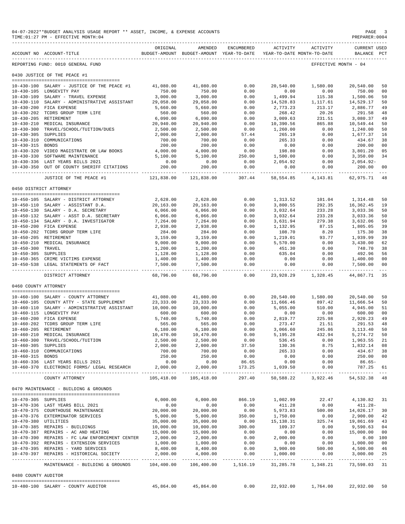|                                          | 04-07-2022**BUDGET ANALYSIS USAGE REPORT ** ASSET, INCOME, & EXPENSE ACCOUNTS<br>TIME: 01:27 PM - EFFECTIVE MONTH: 04 |                              |                                                                                |                        |                            |                                   | PAGE<br>PREPARER: 0004             | 3                   |
|------------------------------------------|-----------------------------------------------------------------------------------------------------------------------|------------------------------|--------------------------------------------------------------------------------|------------------------|----------------------------|-----------------------------------|------------------------------------|---------------------|
|                                          | ACCOUNT NO ACCOUNT-TITLE                                                                                              | ORIGINAL                     | AMENDED<br>BUDGET-AMOUNT BUDGET-AMOUNT YEAR-TO-DATE YEAR-TO-DATE MONTH-TO-DATE | ENCUMBERED             |                            | ACTIVITY ACTIVITY                 | <b>CURRENT USED</b><br>BALANCE PCT |                     |
|                                          | REPORTING FUND: 0010 GENERAL FUND                                                                                     |                              |                                                                                |                        |                            |                                   | EFFECTIVE MONTH - 04               |                     |
|                                          | 0430 JUSTICE OF THE PEACE #1                                                                                          |                              |                                                                                |                        |                            |                                   |                                    |                     |
|                                          | 10-430-100 SALARY - JUSTICE OF THE PEACE #1                                                                           | 41,080.00                    | 41,080.00                                                                      | 0.00                   | 20,540.00                  | 1,580.00                          | 20,540.00                          | 50                  |
|                                          | 10-430-105 LONGEVITY PAY                                                                                              | 750.00                       | 750.00                                                                         | 0.00                   | 0.00                       | 0.00                              | 750.00                             | 0 <sub>0</sub>      |
|                                          | 10-430-109 SALARY - TRAVEL EXPENSE                                                                                    | 3,000.00                     | 3,000.00                                                                       | 0.00                   | 1,499.94                   | 115.38                            | 1,500.06                           | 50                  |
|                                          | 10-430-110 SALARY - ADMINISTRATIVE ASSISTANT 29,058.00                                                                |                              | 29,058.00                                                                      | 0.00                   |                            | 14,528.83 1,117.61                | 14,529.17                          | 50                  |
|                                          | 10-430-200 FICA EXPENSE                                                                                               | 5,660.00                     | 5,660.00                                                                       | 0.00                   | 2,773.23                   | 213.17                            | 2,886.77                           | 49                  |
|                                          | 10-430-202 TCDRS GROUP TERM LIFE                                                                                      | 560.00                       | 560.00                                                                         | 0.00                   | 268.42                     | 20.26                             | 291.58                             | 48                  |
|                                          | 10-430-205 RETIREMENT<br>10-430-210 MEDICAL INSURANCE                                                                 | 6,090.00                     | 6,090.00                                                                       | 0.00                   | 3,009.63                   | 231.51                            | 3,080.37                           | 49                  |
|                                          | 10-430-300 TRAVEL/SCHOOL/TUITION/DUES                                                                                 | 20,940.00<br>2,500.00        | 20,940.00<br>2,500.00                                                          | 0.00<br>0.00           | 10,390.56<br>1,260.00      | 865.88<br>0.00                    | 10,549.44<br>1,240.00              | 50<br>50            |
| 10-430-305 SUPPLIES                      |                                                                                                                       | 2,000.00                     | 2,000.00                                                                       | 57.44                  | 265.19                     | 0.00                              | 1,677.37                           | 16                  |
|                                          | 10-430-310 COMMUNICATIONS                                                                                             | 700.00                       | 700.00                                                                         | 0.00                   | 265.33                     | 0.00                              | 434.67                             | 38                  |
| 10-430-315 BONDS                         |                                                                                                                       | 200.00                       | 200.00                                                                         | 0.00                   | 0.00                       | 0.00                              | 200.00                             | 0 <sub>0</sub>      |
|                                          | 10-430-320 VIDEO MAGISTRATE OR LAW BOOKS                                                                              | 4,000.00                     | 4,000.00                                                                       | 0.00                   | 198.80                     | 0.00                              | 3,801.20                           | 05                  |
|                                          | 10-430-330 SOFTWARE MAINTENANCE                                                                                       | 5,100.00                     | 5,100.00                                                                       | 250.00                 | 1,500.00                   | 0.00                              | 3,350.00                           | 34                  |
|                                          | 10-430-336 LAST YEARS BILLS 2021                                                                                      | 0.00                         | 0.00                                                                           | 0.00                   | 2,054.92                   | 0.00                              | $2,054.92-$                        |                     |
| $10 - 430 - 350$                         | OUT OF COUNTY SHERIFF CITATIONS                                                                                       | 200.00<br>-----------        | 200.00                                                                         | 0.00<br>-------------  | 0.00                       | 0.00<br>-------- ------------     | 200.00                             | 0 <sub>0</sub>      |
|                                          | JUSTICE OF THE PEACE #1                                                                                               | 121,838.00                   | 121,838.00                                                                     | 307.44                 | 58, 554.85                 | 4,143.81                          | 62,975.71                          | 48                  |
|                                          | 0450 DISTRICT ATTORNEY                                                                                                |                              |                                                                                |                        |                            |                                   |                                    |                     |
|                                          | 10-450-105 SALARY - DISTRICT ATTORNEY                                                                                 |                              | 2,628.00 2,628.00                                                              | 0.00                   |                            | 1,313.52 101.04                   | 1,314.48                           | 50                  |
|                                          | 10-450-110 SALARY - ASSISTANT D.A.                                                                                    | 20,163.00                    | 20,163.00                                                                      | 0.00                   | 3,800.55                   | 292.35                            | 16,362.45                          | 19                  |
|                                          | 10-450-130 SALARY - D.A. SECRETARY                                                                                    | 6,066.00                     | 6,066.00                                                                       | 0.00                   | 3,032.64                   | 233.28                            | 3,033.36                           | 50                  |
|                                          | 10-450-132 SALARY - ASST D.A. SECRETARY                                                                               | 6,066.00                     | 6,066.00                                                                       | 0.00                   | 3,032.64                   | 233.28                            | 3,033.36                           | 50                  |
|                                          | 10-450-134 SALARY - D.A. INVESTIGATOR                                                                                 | 7,264.00                     | 7,264.00                                                                       | 0.00                   | 3,631.94                   | 279.38                            | 3,632.06                           | 50                  |
|                                          | 10-450-200 FICA EXPENSE                                                                                               | 2,938.00                     | 2,938.00                                                                       | 0.00                   | 1,132.95                   | 87.15                             | 1,805.05                           | 39                  |
|                                          | 10-450-202 TCDRS GROUP TERM LIFE                                                                                      | 284.00                       | 284.00                                                                         | 0.00                   | 108.70                     | 8.20                              | 175.30                             | 38                  |
|                                          | 10-450-205 RETIREMENT                                                                                                 | 3,159.00                     | 3,159.00                                                                       | 0.00                   | 1,219.01                   | 93.77                             | 1,939.99                           | 39                  |
|                                          | 10-450-210 MEDICAL INSURANCE                                                                                          | 9,000.00                     | 9,000.00                                                                       | 0.00                   | 5,570.00                   | 0.00                              | 3,430.00                           | 62                  |
| 10-450-300 TRAVEL<br>10-450-305 SUPPLIES |                                                                                                                       | 1,200.00<br>1,128.00         | 1,200.00<br>1,128.00                                                           | 0.00<br>0.00           | 451.30<br>635.04           | 0.00<br>0.00                      | 748.70<br>492.96                   | 38<br>56            |
|                                          | 10-450-365 CRIME VICTIMS EXPENSE                                                                                      | 1,400.00                     | 1,400.00                                                                       | 0.00                   | 0.00                       | 0.00                              | 1,400.00                           | 0 <sub>0</sub>      |
|                                          | 10-450-538 LEGAL STATEMENTS OF FACT                                                                                   | 7,500.00                     | 7,500.00                                                                       | 0.00                   | 0.00                       | 0.00                              | 7,500.00                           | 0 <sub>0</sub>      |
|                                          | DISTRICT ATTORNEY                                                                                                     | - -------------<br>68,796.00 | -------------<br>68,796.00                                                     | ------------<br>0.00   | ------------<br>23,928.29  | 1,328.45                          | 44,867.71                          | $---$<br>35         |
| 0460 COUNTY ATTORNEY                     |                                                                                                                       |                              |                                                                                |                        |                            |                                   |                                    |                     |
|                                          |                                                                                                                       |                              |                                                                                |                        |                            |                                   |                                    |                     |
|                                          | 10-460-100 SALARY - COUNTY ATTORNEY                                                                                   | 41,080.00                    | 41,080.00                                                                      | 0.00                   |                            | 20,540.00 1,580.00                | 20,540.00                          | 50                  |
|                                          | 10-460-105 COUNTY ATTY - STATE SUPPLEMENT<br>10-460-110 SALARY - ADMINISTRATIVE ASSISTANT                             | 23, 333.00<br>10,000.00      | 23,333.00<br>10,000.00                                                         | 0.00<br>0.00           | 11,666.46<br>5,055.00      | 897.42<br>510.00                  | 11,666.54<br>4,945.00              | 50<br>51            |
|                                          | 10-460-115 LONGEVITY PAY                                                                                              | 600.00                       | 600.00                                                                         | 0.00                   | 0.00                       | 0.00                              | 600.00                             | 0 <sub>0</sub>      |
|                                          | 10-460-200 FICA EXPENSE                                                                                               | 5,740.00                     | 5,740.00                                                                       | 0.00                   | 2,819.77                   | 225.98                            | 2,920.23                           | 49                  |
|                                          | 10-460-202 TCDRS GROUP TERM LIFE                                                                                      | 565.00                       | 565.00                                                                         | 0.00                   | 273.47                     | 21.51                             | 291.53                             | 48                  |
|                                          | 10-460-205 RETIREMENT                                                                                                 | 6,180.00                     | 6,180.00                                                                       | 0.00                   | 3,066.60                   | 245.86                            | 3,113.40                           | 50                  |
|                                          | 10-460-210 MEDICAL INSURANCE                                                                                          | 10,470.00                    | 10,470.00                                                                      | 0.00                   | 5,195.28                   | 432.94                            | 5, 274.72                          | 50                  |
|                                          | 10-460-300 TRAVEL/SCHOOL/TUITION                                                                                      | 2,500.00                     | 2,500.00                                                                       | 0.00                   | 536.45                     | 0.00                              | 1,963.55                           | 21                  |
| 10-460-305 SUPPLIES                      |                                                                                                                       | 2,000.00                     | 2,000.00                                                                       | 37.50                  | 130.36                     | 8.75                              | 1,832.14                           | 08                  |
| $10 - 460 - 310$                         | COMMUNICATIONS                                                                                                        | 700.00                       | 700.00                                                                         | 0.00                   | 265.33                     | 0.00                              | 434.67                             | 38                  |
| 10-460-315 BONDS                         | 10-460-336 LAST YEARS BILLS 2021                                                                                      | 250.00<br>0.00               | 250.00<br>0.00                                                                 | 0.00                   | 0.00                       | 0.00                              | 250.00                             | 0 <sub>0</sub>      |
|                                          | 10-460-370 ELECTRONIC FORMS/ LEGAL RESEARCH                                                                           | 2,000.00                     | 2,000.00                                                                       | 86.65<br>173.25        | 0.00<br>1,039.50           | 0.00<br>0.00                      | $86.65-$<br>787.25                 | 61                  |
|                                          | COUNTY ATTORNEY                                                                                                       | __________                   | . <b>.</b> .<br>105,418.00 105,418.00                                          | ---------- -<br>297.40 | .<br>50,588.22             | . _ _ _ _ _ _ _ _ _ _<br>3,922.46 | -----------<br>54, 532.38 48       |                     |
|                                          | 0470 MAINTENANCE - BUILDING & GROUNDS                                                                                 |                              |                                                                                |                        |                            |                                   |                                    |                     |
|                                          |                                                                                                                       |                              |                                                                                |                        |                            |                                   |                                    |                     |
| 10-470-305 SUPPLIES                      | 10-470-336 LAST YEARS BILL 2021                                                                                       | 6.000.00<br>0.00             | 6,000.00<br>0.00                                                               | 866.19<br>0.00         | 1,002.99<br>411.28         | 22.47<br>0.00                     | 4,130.82<br>$411.28-$              | 31                  |
|                                          | 10-470-375 COURTHOUSE MAINTENANCE                                                                                     | 20,000.00                    | 20,000.00                                                                      | 0.00                   | 5,973.83                   | 500.00                            | 14,026.17                          | 30                  |
|                                          | 10-470-376 EXTERMINATOR SERVICES                                                                                      | 5,000.00                     | 5,000.00                                                                       | 350.00                 | 1,750.00                   | 0.00                              | 2,900.00                           | 42                  |
| 10-470-380 UTILITIES                     |                                                                                                                       | 35,000.00                    | 35,000.00                                                                      | 0.00                   | 15,138.31                  | 325.74                            | 19,861.69                          | 43                  |
|                                          | 10-470-385 REPAIRS - BUILDINGS                                                                                        | 10,000.00                    | 10,000.00                                                                      | 300.00                 | 109.37                     | 0.00                              | 9,590.63                           | 04                  |
|                                          | 10-470-387 REPAIRS - AC AND HEATING                                                                                   | 15,000.00                    | 15,000.00                                                                      | 0.00                   | 0.00                       | 0.00                              | 15,000.00                          | 0 <sub>0</sub>      |
|                                          | 10-470-390 REPAIRS - FC LAW ENFORCEMENT CENTER                                                                        | 2,000.00                     | 2,000.00                                                                       | 0.00                   | 2,000.00                   | 0.00                              | 0.00 100                           |                     |
|                                          | 10-470-392 REPAIRS - EXTENSION SERVICES                                                                               | 1,000.00                     | 1,000.00                                                                       | 0.00                   | 0.00                       | 0.00                              | 1,000.00                           | 0 <sub>0</sub>      |
|                                          | 10-470-395 REPAIRS - YARD SERVICES                                                                                    | 8,400.00                     | 8,400.00                                                                       | 0.00                   | 3,900.00                   | 500.00                            | 4,500.00                           | 46                  |
|                                          | 10-470-397 REPAIRS - HISTORICAL SOCIETY                                                                               | 2,000.00<br>----------       | 4,000.00<br>-----------                                                        | 0.00<br>.              | 1,000.00<br>______________ | 0.00                              | 3,000.00                           | 25<br>$\frac{1}{2}$ |
|                                          | MAINTENANCE - BUILDING & GROUNDS                                                                                      | 104,400.00                   | 106,400.00                                                                     | 1,516.19               | 31,285.78                  | 1,348.21                          | 73,598.03                          | 31                  |
| 0480 COUNTY AUDITOR                      |                                                                                                                       |                              |                                                                                |                        |                            |                                   |                                    |                     |
|                                          | 10-480-100 SALARY - COUNTY AUDITOR                                                                                    | 45,864.00                    | 45,864.00                                                                      | 0.00                   | 22,932.00                  | 1,764.00                          | 22,932.00                          | 50                  |
|                                          |                                                                                                                       |                              |                                                                                |                        |                            |                                   |                                    |                     |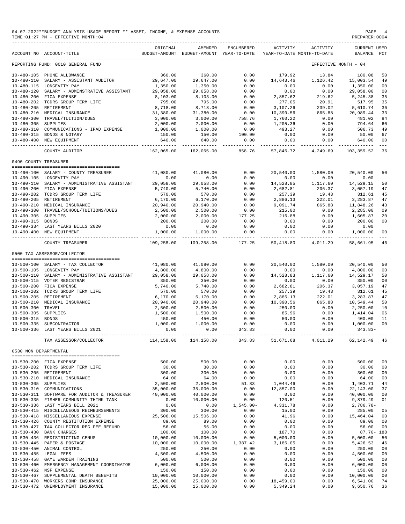|                                      | 04-07-2022**BUDGET ANALYSIS USAGE REPORT ** ASSET, INCOME, & EXPENSE ACCOUNTS<br>TIME: 01:27 PM - EFFECTIVE MONTH: 04 |                                                                            |                                                     |                        |                       |                                        | PAGE<br>PREPARER: 0004         |                                                                                                                                                                                                                                                                                                                                                                                                    |
|--------------------------------------|-----------------------------------------------------------------------------------------------------------------------|----------------------------------------------------------------------------|-----------------------------------------------------|------------------------|-----------------------|----------------------------------------|--------------------------------|----------------------------------------------------------------------------------------------------------------------------------------------------------------------------------------------------------------------------------------------------------------------------------------------------------------------------------------------------------------------------------------------------|
|                                      | ACCOUNT NO ACCOUNT-TITLE                                                                                              | ORIGINAL                                                                   | AMENDED<br>BUDGET-AMOUNT BUDGET-AMOUNT YEAR-TO-DATE | ENCUMBERED             | <b>ACTIVITY</b>       | ACTIVITY<br>YEAR-TO-DATE MONTH-TO-DATE | <b>CURRENT USED</b><br>BALANCE | $_{\rm PCT}$                                                                                                                                                                                                                                                                                                                                                                                       |
|                                      | REPORTING FUND: 0010 GENERAL FUND                                                                                     |                                                                            |                                                     |                        |                       |                                        | EFFECTIVE MONTH - 04           |                                                                                                                                                                                                                                                                                                                                                                                                    |
|                                      | 10-480-105 PHONE ALLOWANCE                                                                                            | 360.00                                                                     | 360.00                                              | 0.00                   | 179.92                | 13.84                                  | 180.08                         | 50                                                                                                                                                                                                                                                                                                                                                                                                 |
| $10 - 480 - 110$                     | SALARY - ASSISTANT AUDITOR                                                                                            | 29,647.00                                                                  | 29,647.00                                           | 0.00                   | 14,643.46             | 1,126.42                               | 15,003.54                      | 49                                                                                                                                                                                                                                                                                                                                                                                                 |
|                                      | 10-480-115 LONGEVITY PAY                                                                                              | 1,350.00                                                                   | 1,350.00                                            | 0.00                   | 0.00                  | 0.00                                   | 1,350.00                       | 00                                                                                                                                                                                                                                                                                                                                                                                                 |
|                                      | 10-480-120 SALARY - ADMINSTRATIVE ASSISTANT                                                                           | 29,058.00                                                                  | 29,058.00                                           | 0.00                   | 0.00                  | 0.00                                   | 29,058.00                      | 0 <sub>0</sub>                                                                                                                                                                                                                                                                                                                                                                                     |
|                                      | 10-480-200 FICA EXPENSE                                                                                               | 8,103.00                                                                   | 8,103.00                                            | 0.00                   | 2,857.62              | 219.62                                 | 5,245.38                       | 35                                                                                                                                                                                                                                                                                                                                                                                                 |
|                                      | 10-480-202 TCDRS GROUP TERM LIFE                                                                                      | 795.00                                                                     | 795.00                                              | 0.00                   | 277.05                | 20.91                                  | 517.95                         | 35                                                                                                                                                                                                                                                                                                                                                                                                 |
|                                      | 10-480-205 RETIREMENT<br>10-480-210 MEDICAL INSURANCE                                                                 | 8,718.00<br>31,380.00                                                      | 8,718.00<br>31,380.00                               | 0.00<br>0.00           | 3,107.26<br>10,390.56 | 239.02<br>865.88                       | 5,610.74<br>20,989.44          | 36<br>33                                                                                                                                                                                                                                                                                                                                                                                           |
| $10 - 480 - 300$                     | TRAVEL/TUITION/DUES                                                                                                   | 3,000.00                                                                   | 3,000.00                                            | 758.76                 | 1,760.22              | 0.00                                   | 481.02                         | 84                                                                                                                                                                                                                                                                                                                                                                                                 |
| 10-480-305 SUPPLIES                  |                                                                                                                       | 2,000.00                                                                   | 2,000.00                                            | 0.00                   | 1,205.36              | 0.00                                   | 794.64                         | 60                                                                                                                                                                                                                                                                                                                                                                                                 |
|                                      | 10-480-310 COMMUNICATIONS - IPAD EXPENSE                                                                              | 1,000.00                                                                   | 1,000.00                                            | 0.00                   | 493.27                | 0.00                                   | 506.73                         | 49                                                                                                                                                                                                                                                                                                                                                                                                 |
|                                      | 10-480-315 BONDS & NOTARY                                                                                             | 150.00                                                                     | 150.00                                              | 100.00                 | 0.00                  | 0.00                                   | 50.00                          | 67                                                                                                                                                                                                                                                                                                                                                                                                 |
|                                      | 10-480-400 NEW EQUIPMENT                                                                                              | 640.00                                                                     | 640.00<br>--------------                            | 0.00<br>-------------  | 0.00                  | 0.00                                   | 640.00<br>--------------       | 00<br>$\frac{1}{2} \frac{1}{2} \frac{1}{2} \frac{1}{2} \frac{1}{2} \frac{1}{2} \frac{1}{2} \frac{1}{2} \frac{1}{2} \frac{1}{2} \frac{1}{2} \frac{1}{2} \frac{1}{2} \frac{1}{2} \frac{1}{2} \frac{1}{2} \frac{1}{2} \frac{1}{2} \frac{1}{2} \frac{1}{2} \frac{1}{2} \frac{1}{2} \frac{1}{2} \frac{1}{2} \frac{1}{2} \frac{1}{2} \frac{1}{2} \frac{1}{2} \frac{1}{2} \frac{1}{2} \frac{1}{2} \frac{$ |
|                                      | COUNTY AUDITOR                                                                                                        | 162,065.00                                                                 | 162,065.00                                          | 858.76                 | 57,846.72             | 4,249.69                               | 103,359.52                     | 36                                                                                                                                                                                                                                                                                                                                                                                                 |
| 0490 COUNTY TREASURER                |                                                                                                                       |                                                                            |                                                     |                        |                       |                                        |                                |                                                                                                                                                                                                                                                                                                                                                                                                    |
|                                      | 10-490-100 SALARY - COUNTY TREASURER                                                                                  | 41,080.00                                                                  | 41,080.00                                           | 0.00                   | 20,540.00             | 1,580.00                               | 20,540.00                      | 50                                                                                                                                                                                                                                                                                                                                                                                                 |
|                                      | 10-490-105 LONGEVITY PAY                                                                                              | 0.00                                                                       | 0.00                                                | 0.00                   | 0.00                  | 0.00                                   | 0.00                           |                                                                                                                                                                                                                                                                                                                                                                                                    |
|                                      | 10-490-110 SALARY - ADMINISTRATIVE ASSISTANT                                                                          | 29,058.00                                                                  | 29,058.00                                           | 0.00                   | 14,528.85             | 1,117.60                               | 14,529.15                      | 50                                                                                                                                                                                                                                                                                                                                                                                                 |
|                                      | 10-490-200 FICA EXPENSE                                                                                               | 5,740.00                                                                   | 5,740.00                                            | 0.00                   | 2,682.81              | 206.37                                 | 3,057.19                       | 47                                                                                                                                                                                                                                                                                                                                                                                                 |
|                                      | 10-490-202 TCDRS GROUP TERM LIFE                                                                                      | 570.00                                                                     | 570.00                                              | 0.00                   | 257.39                | 19.43                                  | 312.61                         | 45                                                                                                                                                                                                                                                                                                                                                                                                 |
|                                      | 10-490-205 RETIREMENT                                                                                                 | 6,170.00                                                                   | 6,170.00                                            | 0.00                   | 2,886.13              | 222.01                                 | 3, 283, 87                     | 47                                                                                                                                                                                                                                                                                                                                                                                                 |
|                                      | 10-490-210 MEDICAL INSURANCE                                                                                          | 20,940.00                                                                  | 20,940.00                                           | 0.00                   | 9,091.74              | 865.88                                 | 11,848.26                      | 43                                                                                                                                                                                                                                                                                                                                                                                                 |
|                                      | 10-490-300 TRAVEL/SCHOOL/TUITIONS/DUES                                                                                | 2,500.00                                                                   | 2,500.00                                            | 0.00                   | 215.00                | 0.00                                   | 2,285.00                       | 09                                                                                                                                                                                                                                                                                                                                                                                                 |
| 10-490-305 SUPPLIES                  |                                                                                                                       | 2,000.00                                                                   | 2,000.00                                            | 177.25                 | 216.88                | 0.00                                   | 1,605.87                       | 20                                                                                                                                                                                                                                                                                                                                                                                                 |
| 10-490-315 BONDS                     |                                                                                                                       | 200.00                                                                     | 200.00                                              | 0.00                   | 0.00                  | 0.00                                   | 200.00                         | 0 <sub>0</sub>                                                                                                                                                                                                                                                                                                                                                                                     |
|                                      | 10-490-334 LAST YEARS BILLS 2020<br>10-490-400 NEW EQUIPMENT                                                          | 0.00<br>1,000.00                                                           | 0.00<br>1,000.00                                    | 0.00<br>0.00           | 0.00<br>0.00          | 0.00<br>0.00                           | 0.00<br>1,000.00               | 00                                                                                                                                                                                                                                                                                                                                                                                                 |
|                                      | COUNTY TREASURER                                                                                                      | -----------<br>109,258.00                                                  | 109,258.00                                          | ------------<br>177.25 | 50,418.80             | ------------ ------------<br>4,011.29  | -----------<br>58,661.95       | $---$<br>46                                                                                                                                                                                                                                                                                                                                                                                        |
|                                      | 0500 TAX ASSESSOR/COLLECTOR                                                                                           |                                                                            |                                                     |                        |                       |                                        |                                |                                                                                                                                                                                                                                                                                                                                                                                                    |
|                                      |                                                                                                                       |                                                                            |                                                     |                        |                       |                                        |                                |                                                                                                                                                                                                                                                                                                                                                                                                    |
|                                      | 10-500-100 SALARY - TAX COLLECTOR                                                                                     | 41,080.00                                                                  | 41,080.00                                           | 0.00                   | 20,540.00             | 1,580.00                               | 20,540.00                      | 50                                                                                                                                                                                                                                                                                                                                                                                                 |
|                                      | 10-500-105 LONGEVITY PAY                                                                                              | 4,800.00                                                                   | 4,800.00                                            | 0.00                   | 0.00                  | 0.00                                   | 4,800.00                       | 00                                                                                                                                                                                                                                                                                                                                                                                                 |
|                                      | 10-500-110 SALARY - ADMINISTRATIVE ASSISTANT                                                                          | 29,058.00                                                                  | 29,058.00                                           | 0.00                   | 14,528.83             | 1,117.60                               | 14,529.17                      | 50                                                                                                                                                                                                                                                                                                                                                                                                 |
|                                      | 10-500-115 VOTER REGISTRAR<br>10-500-200 FICA EXPENSE                                                                 | 350.00<br>5,740.00                                                         | 350.00<br>5,740.00                                  | 0.00<br>0.00           | 0.00<br>2,682.81      | 0.00<br>206.37                         | 350.00<br>3,057.19             | 00<br>47                                                                                                                                                                                                                                                                                                                                                                                           |
|                                      | 10-500-202 TCDRS GROUP TERM LIFE                                                                                      | 570.00                                                                     | 570.00                                              | 0.00                   | 257.39                | 19.43                                  | 312.61                         | 45                                                                                                                                                                                                                                                                                                                                                                                                 |
|                                      | 10-500-205 RETIREMENT                                                                                                 | 6,170.00                                                                   | 6,170.00                                            | 0.00                   | 2,886.13              | 222.01                                 | 3,283.87                       | 47                                                                                                                                                                                                                                                                                                                                                                                                 |
|                                      | 10-500-210 MEDICAL INSURANCE                                                                                          | 20,940.00                                                                  | 20,940.00                                           | 0.00                   | 10,390.56             | 865.88                                 | 10,549.44                      | 50                                                                                                                                                                                                                                                                                                                                                                                                 |
| $10 - 500 - 300$                     | TRAVEL                                                                                                                | 2,500.00                                                                   | 2,500.00                                            | 0.00                   | 250.00                | 0.00                                   | 2,250.00                       | 10                                                                                                                                                                                                                                                                                                                                                                                                 |
| $10 - 500 - 305$                     | SUPPLIES                                                                                                              | 1,500.00                                                                   | 1,500.00                                            | 0.00                   | 85.96                 | 0.00                                   | 1,414.04                       | 06                                                                                                                                                                                                                                                                                                                                                                                                 |
| $10 - 500 - 315$                     | <b>BONDS</b>                                                                                                          | 450.00                                                                     | 450.00                                              | 0.00                   | 50.00                 | 0.00                                   | 400.00                         | 11                                                                                                                                                                                                                                                                                                                                                                                                 |
| $10 - 500 - 335$                     | SUBCONTRACTOR                                                                                                         | 1,000.00                                                                   | 1,000.00                                            | 0.00                   | 0.00                  | 0.00                                   | 1,000.00                       | 0 <sub>0</sub>                                                                                                                                                                                                                                                                                                                                                                                     |
|                                      | 10-500-336 LAST YEARS BILLS 2021                                                                                      | 0.00                                                                       | 0.00<br>--------------                              | 343.83                 | 0.00                  | 0.00                                   | 343.83-                        |                                                                                                                                                                                                                                                                                                                                                                                                    |
|                                      | TAX ASSESSOR/COLLECTOR                                                                                                | $114,158.00$ $114,158.00$ $343.83$ $51,671.68$ $4,011.29$ $62,142.49$ $46$ |                                                     |                        |                       |                                        |                                |                                                                                                                                                                                                                                                                                                                                                                                                    |
| 0530 NON DEPARTMENTAL                | --------------------------------------                                                                                |                                                                            |                                                     |                        |                       |                                        |                                |                                                                                                                                                                                                                                                                                                                                                                                                    |
|                                      | 10-530-200 FICA EXPENSE                                                                                               | 500.00                                                                     | 500.00                                              | 0.00                   | 0.00                  | 0.00                                   | 500.00                         | 00                                                                                                                                                                                                                                                                                                                                                                                                 |
|                                      | 10-530-202 TCDRS GROUP TERM LIFE                                                                                      | 30.00                                                                      | 30.00                                               | 0.00                   | 0.00                  | 0.00                                   | 30.00                          | 00                                                                                                                                                                                                                                                                                                                                                                                                 |
|                                      | 10-530-205 RETIREMENT                                                                                                 | 300.00                                                                     | 300.00                                              | 0.00                   | 0.00                  | 0.00                                   | 300.00                         | 00                                                                                                                                                                                                                                                                                                                                                                                                 |
|                                      | 10-530-210 MEDICAL INSURANCE                                                                                          | 64.00                                                                      | 64.00                                               | 0.00                   | 0.00                  | 0.00                                   | 64.00                          | 00                                                                                                                                                                                                                                                                                                                                                                                                 |
| 10-530-305 SUPPLIES                  |                                                                                                                       | 2,500.00                                                                   | 2,500.00                                            | 51.83                  | 1,044.46              | 0.00                                   | 1,403.71                       | 44                                                                                                                                                                                                                                                                                                                                                                                                 |
|                                      | 10-530-310 COMMUNICATIONS                                                                                             | 35,000.00                                                                  | 35,000.00                                           | 0.00                   | 12,857.00             | 0.00                                   | 22, 143.00                     | 37                                                                                                                                                                                                                                                                                                                                                                                                 |
|                                      | 10-530-311 SOFTWARE FOR AUDITOR & TREASURER                                                                           | 40,000.00                                                                  | 40,000.00                                           | 0.00                   | 0.00                  | 0.00                                   | 40,000.00                      | 00                                                                                                                                                                                                                                                                                                                                                                                                 |
|                                      | 10-530-335 FISHER COMMUNITY THINK TANK                                                                                | 0.00                                                                       | 10,000.00                                           | 0.00                   | 120.51                | 0.00                                   | 9,879.49                       | 01                                                                                                                                                                                                                                                                                                                                                                                                 |
|                                      | 10-530-336 LAST YEARS BILL 2021<br>10-530-415 MISCELLANEOUS REIMBURSEMENTS                                            | 0.00<br>300.00                                                             | 0.00<br>300.00                                      | $1,545.00 -$<br>0.00   | 4,331.78<br>15.00     | 0.00<br>0.00                           | 2,786.78-<br>285.00            |                                                                                                                                                                                                                                                                                                                                                                                                    |
|                                      | 10-530-418 MISCELLANEOUS EXPENSE                                                                                      | 25,506.00                                                                  | 15,506.00                                           | 0.00                   | 41.96                 | 0.00                                   | 15,464.04                      | 05<br>00                                                                                                                                                                                                                                                                                                                                                                                           |
|                                      | 10-530-426 COUNTY RESTITUTION EXPENSE                                                                                 | 89.00                                                                      | 89.00                                               | 0.00                   | 0.00                  | 0.00                                   | 89.00                          | 00                                                                                                                                                                                                                                                                                                                                                                                                 |
| 10-530-427                           | TAX COLLECTOR REG FEE REFUND                                                                                          | 56.00                                                                      | 56.00                                               | 0.00                   | 0.00                  | 0.00                                   | 56.00                          | 00                                                                                                                                                                                                                                                                                                                                                                                                 |
| $10 - 530 - 430$                     | <b>BANK CHARGES</b>                                                                                                   | 100.00                                                                     | 100.00                                              | 0.00                   | 187.70                | 0.00                                   | $87.70 - 188$                  |                                                                                                                                                                                                                                                                                                                                                                                                    |
|                                      | 10-530-436 REDISTRICTING CENUS                                                                                        | 10,000.00                                                                  | 10,000.00                                           | 0.00                   | 5,000.00              | 0.00                                   | 5,000.00                       | 50                                                                                                                                                                                                                                                                                                                                                                                                 |
|                                      | 10-530-445 PAPER & POSTAGE                                                                                            | 10,000.00                                                                  | 10,000.00                                           | 1,387.42               | 3,186.05              | 0.00                                   | 5,426.53                       | 46                                                                                                                                                                                                                                                                                                                                                                                                 |
|                                      | 10-530-450 ANIMAL CONTROL                                                                                             | 250.00                                                                     | 250.00                                              | 0.00                   | 0.00                  | 0.00                                   | 250.00                         | 00                                                                                                                                                                                                                                                                                                                                                                                                 |
|                                      | 10-530-455 LEGAL FEES                                                                                                 | 4,500.00                                                                   | 4,500.00                                            | 0.00                   | 0.00                  | 0.00                                   | 4,500.00                       | 00                                                                                                                                                                                                                                                                                                                                                                                                 |
| $10 - 530 - 458$                     | GAME WARDEN TRAINING                                                                                                  | 500.00                                                                     | 500.00                                              | 0.00                   | 0.00                  | 0.00                                   | 500.00                         | 00                                                                                                                                                                                                                                                                                                                                                                                                 |
| $10 - 530 - 460$                     | EMERGENCY MANAGEMENT COORDINATOR                                                                                      | 6,000.00                                                                   | 6,000.00                                            | 0.00                   | 0.00                  | 0.00                                   | 6,000.00                       | 00                                                                                                                                                                                                                                                                                                                                                                                                 |
|                                      | 10-530-462 NSF EXPENSE                                                                                                | 150.00                                                                     | 150.00                                              | 0.00                   | 0.00                  | 0.00                                   | 150.00                         | 00                                                                                                                                                                                                                                                                                                                                                                                                 |
| $10 - 530 - 467$<br>$10 - 530 - 470$ | SUPPLEMENTAL DEATH BENEFITS<br>WORKERS COMP INSURANCE                                                                 | 10,000.00<br>25,000.00                                                     | 10,000.00<br>25,000.00                              | 0.00<br>0.00           | 0.00<br>18,459.00     | 0.00<br>0.00                           | 10,000.00<br>6,541.00          | 00<br>74                                                                                                                                                                                                                                                                                                                                                                                           |
| $10 - 530 - 472$                     | UNEMPLOYMENT INSURANCE                                                                                                | 15,000.00                                                                  | 15,000.00                                           | 0.00                   | 5,349.24              | 0.00                                   | 9,650.76                       | 36                                                                                                                                                                                                                                                                                                                                                                                                 |
|                                      |                                                                                                                       |                                                                            |                                                     |                        |                       |                                        |                                |                                                                                                                                                                                                                                                                                                                                                                                                    |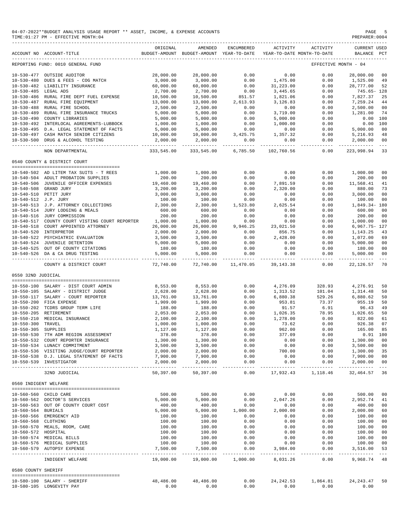|                       | 04-07-2022**BUDGET ANALYSIS USAGE REPORT ** ASSET, INCOME, & EXPENSE ACCOUNTS<br>TIME: 01:27 PM - EFFECTIVE MONTH: 04 |                       |                                                                                |                          |                       |                       | PAGE<br>PREPARER:0004                   | 5                                |
|-----------------------|-----------------------------------------------------------------------------------------------------------------------|-----------------------|--------------------------------------------------------------------------------|--------------------------|-----------------------|-----------------------|-----------------------------------------|----------------------------------|
|                       | ACCOUNT NO ACCOUNT-TITLE                                                                                              | ORIGINAL              | AMENDED<br>BUDGET-AMOUNT BUDGET-AMOUNT YEAR-TO-DATE YEAR-TO-DATE MONTH-TO-DATE | ENCUMBERED               | ACTIVITY              | ACTIVITY              | <b>CURRENT USED</b><br>BALANCE PCT      |                                  |
|                       | REPORTING FUND: 0010 GENERAL FUND                                                                                     |                       |                                                                                |                          |                       |                       | EFFECTIVE MONTH - 04                    |                                  |
|                       | 10-530-477 OUTSIDE AUDITOR                                                                                            | 28,000.00             | 28,000.00                                                                      | 0.00                     | 0.00                  | 0.00                  | 28,000.00                               | 0 <sub>0</sub>                   |
|                       | 10-530-480 DUES & FEES - COG MATCH                                                                                    | 3,000.00              | 3,000.00                                                                       | 0.00                     | 1,475.00              | 0.00                  | 1,525.00                                | 49                               |
|                       | 10-530-482 LIABILITY INSURANCE                                                                                        | 60,000.00             | 60,000.00                                                                      | 0.00                     | 31,223.00             | 0.00                  | 28,777.00                               | 52                               |
| 10-530-485 LEGAL ADS  |                                                                                                                       | 2,700.00              | 2,700.00                                                                       | 0.00                     | 3,445.65              | 0.00                  | 745.65- 128                             |                                  |
|                       | 10-530-486 RURAL FIRE DEPT FUEL EXPENSE<br>10-530-487 RURAL FIRE EQUIPMENT                                            | 10,500.00             | 10,500.00                                                                      | 851.57                   | 1,821.06              | 0.00                  | 7,827.37                                | 25                               |
|                       | 10-530-488 RURAL FIRE SCHOOL                                                                                          | 13,000.00<br>2,500.00 | 13,000.00<br>2,500.00                                                          | 2,613.93<br>0.00         | 3,126.83<br>0.00      | 0.00<br>0.00          | 7,259.24<br>2,500.00                    | 44<br>0 <sub>0</sub>             |
|                       | 10-530-489 RURAL FIRE INSURANCE TRUCKS                                                                                | 5,000.00              | 5,000.00                                                                       | 0.00                     | 3,719.00              | 0.00                  | 1,281.00                                | 74                               |
|                       | 10-530-490 COUNTY LIBRARIES                                                                                           | 5,000.00              | 5,000.00                                                                       | 0.00                     | 5,000.00              | 0.00                  | 0.00 100                                |                                  |
|                       | 10-530-492 INTERLOCAL AGREEMENTS-LUBBOCK                                                                              | 1,000.00              | 1,000.00                                                                       | 0.00                     | 1,000.00              | 0.00                  | 0.00 100                                |                                  |
|                       | 10-530-495 D.A. LEGAL STATEMENT OF FACTS                                                                              | 5,000.00              |                                                                                | 0.00                     | 0.00                  | 0.00                  | 5,000.00                                | 00                               |
|                       | 10-530-497 CASH MATCH SENIOR CITIZENS                                                                                 | 10,000.00             | $5,000.00$<br>$10,000.00$ 3,                                                   | 3,425.75                 | 1,357.32              | 0.00                  | 5,216.93                                | 48                               |
|                       | 10-530-500 DRUG & ALCOHOL TESTING                                                                                     | 2,000.00              | 2,000.00                                                                       | 0.00                     | 0.00<br>------------- | 0.00<br>------------- | 2,000.00<br>______________              | 0 <sub>0</sub><br>$- - -$        |
|                       | NON DEPARTMENTAL                                                                                                      | 333,545.00            | 333,545.00                                                                     | 6,785.50                 | 102,760.56            | 0.00                  | 223,998.94                              | 33                               |
|                       | 0540 COUNTY & DISTRICT COURT                                                                                          |                       |                                                                                |                          |                       |                       |                                         |                                  |
|                       | 10-540-502 AD LITEM TAX SUITS - T REES                                                                                | 1,000.00              | 1,000.00                                                                       | 0.00                     | 0.00                  | 0.00                  | 1,000.00                                | 0 <sub>0</sub>                   |
|                       | 10-540-504 ADULT PROBATION SUPPLIES                                                                                   | 200.00                | 200.00                                                                         | 0.00                     | 0.00                  | 0.00                  | 200.00                                  | 0 <sub>0</sub>                   |
|                       | 10-540-506 JUVENILE OFFICER EXPENSES                                                                                  | 19,460.00             | 19,460.00                                                                      | 0.00                     | 7,891.59              | 0.00                  | 11,568.41                               | 41                               |
|                       | 10-540-508 GRAND JURY                                                                                                 | 3,200.00              | 3,200.00                                                                       | 0.00                     | 2,320.00              | 0.00                  | 880.00                                  | 73                               |
|                       | 10-540-510 PETIT JURY                                                                                                 | 3,000.00              | 3,000.00                                                                       | 0.00                     | 0.00                  | 0.00                  | 3,000.00                                | 0 <sub>0</sub>                   |
| 10-540-512 J.P. JURY  |                                                                                                                       | 100.00                | 100.00                                                                         | 0.00                     | 0.00                  | 0.00                  | 100.00                                  | 0 <sub>0</sub>                   |
|                       | $10-540-512$ J.P. ATTORNEY COLLECTIONS<br>$10-540-513$ J.P. ATTORNEY COLLECTIONS                                      | 2,300.00              | 2,300.00                                                                       | 1,523.80                 | 2,625.54              | 0.00                  | 1,849.34-180                            |                                  |
|                       | 10-540-514 JURY LODGING & MEALS                                                                                       | 600.00                | 600.00                                                                         | 0.00                     | 0.00                  | 0.00                  | 600.00                                  | 0 <sub>0</sub>                   |
|                       | 10-540-516 JURY COMMISSION                                                                                            | 200.00                | 200.00                                                                         | 0.00                     | 0.00                  | 0.00                  | 200.00                                  | 0 <sub>0</sub>                   |
|                       | 10-540-517 COUNTY COURT VISTING COURT REPORTER<br>10-540-518 COURT APPOINTED ATTORNEY                                 | 1,000.00<br>26,000.00 | 1,000.00<br>26,000.00                                                          | 0.00<br>0.00<br>9,946.25 | 0.00<br>23,021.50     | 0.00<br>0.00          | 1,000.00<br>6,967.75- 127               | 0 <sub>0</sub>                   |
|                       | 10-540-520 INTERPRETOR                                                                                                | 2,000.00              | 2,000.00                                                                       | 0.00                     | 856.75                | 0.00                  | 1,143.25                                | 43                               |
|                       | 10-540-522 PSYCHIATRIC EVALUATION                                                                                     | 3,500.00              | 3,500.00                                                                       | 0.00                     | 2,428.00              | 0.00                  | 1,072.00                                | 69                               |
|                       | 10-540-524 JUVENILE DETENTION                                                                                         | 5,000.00              | 5,000.00                                                                       | 0.00                     | 0.00                  | 0.00                  | 5,000.00                                | 0 <sub>0</sub>                   |
|                       | 10-540-525 OUT OF COUNTY CITATIONS<br>10-540-526 DA & CA DRUG TESTING                                                 | 180.00                | 180.00                                                                         | 0.00                     | 0.00                  | 0.00                  | 180.00                                  | 00                               |
|                       |                                                                                                                       | 5,000.00              | 5,000.00                                                                       | 0.00<br>------------     | 0.00                  | 0.00<br>-------       | 5,000.00                                | 0 <sub>0</sub>                   |
|                       | COUNTY & DISTRICT COURT                                                                                               | 72,740.00             |                                                                                | 72,740.00 11,470.05      | 39,143.38             | 0.00                  | 22,126.57                               | -70                              |
| 0550 32ND JUDICIAL    |                                                                                                                       |                       |                                                                                |                          |                       |                       |                                         |                                  |
|                       | 10-550-100 SALARY - DIST COURT ADMIN                                                                                  | 8,553.00              | 8,553.00                                                                       | 0.00                     | 4,276.09              | 328.93                | 4,276.91                                | 50                               |
|                       | 10-550-105 SALARY - DISTRICT JUDGE                                                                                    | 2,628.00              | 2,628.00                                                                       | 0.00                     | 1,313.52              | 101.04                | 1,314.48                                | 50                               |
|                       | 10-550-117 SALARY - COURT REPORTER                                                                                    | 13,761.00             | 13,761.00                                                                      | 0.00                     | 6,880.38              | 529.26                | 6,880.62                                | 50                               |
|                       | 10-550-200 FICA EXPENSE                                                                                               | 1,909.00              | 1,909.00                                                                       | 0.00                     | 953.81                | 73.37                 | 955.19                                  | 50                               |
|                       | 10-550-202 TCDRS GROUP TERM LIFE<br>10-550-205 RETIREMENT<br>10-550-210 MEDICAL INSURANCE                             | 188.00                | 188.00                                                                         | 0.00                     | 91.57                 | 6.91                  | 96.43                                   | 49                               |
|                       |                                                                                                                       | 2,053.00              | 2,053.00                                                                       | 0.00                     | 1,026.35              |                       | 78.95 1,026.65                          | 50                               |
|                       |                                                                                                                       | 2,100.00              | 2,100.00                                                                       | 0.00                     | 1,278.00              | 0.00                  | 822.00                                  | 61                               |
| 10-550-300 TRAVEL     |                                                                                                                       | 1,000.00              | 1,000.00                                                                       | 0.00                     | 73.62                 | 0.00                  | 926.38                                  | 07                               |
| 10-550-305 SUPPLIES   | 10-550-530 7TH ADM REGION ASSESSMENT                                                                                  | 1,127.00<br>378.00    | 1,127.00<br>378.00                                                             | 0.00<br>0.00             | 962.00<br>377.09      | 0.00<br>0.00          | 165.00 85<br>$0.91$ 100                 |                                  |
|                       | 10-550-532 COURT REPORTER INSURANCE                                                                                   | 1,300.00              | 1,300.00                                                                       | 0.00                     | 0.00                  | 0.00                  | 1,300.00                                | 0 <sub>0</sub>                   |
|                       | 10-550-534 LUNACY COMMITMENT                                                                                          | 3,500.00              | 3,500.00                                                                       | 0.00                     | 0.00                  | 0.00                  | 3,500.00                                | 0 <sub>0</sub>                   |
|                       | 10-550-536 VISITING JUDGE/COURT REPORTER                                                                              | 2,000.00              | 2,000.00                                                                       | 0.00                     | 700.00                | 0.00                  | 1,300.00                                | 35                               |
|                       | 10-550-538 D.J. LEGAL STATEMENT OF FACTS                                                                              | 7,900.00              | 7,900.00                                                                       | 0.00                     | 0.00                  | 0.00                  | 7,900.00                                | 0 <sub>0</sub>                   |
|                       | 10-550-539 INVESTIGATOR                                                                                               | 2,000.00              | 2,000.00                                                                       | 0.00                     | 0.00                  | 0.00                  | 2,000.00                                | 0 <sub>0</sub><br>$- - -$        |
|                       | 32ND JUDICIAL                                                                                                         | 50,397.00             | 50,397.00                                                                      | 0.00                     |                       | 17,932.43 1,118.46    | 32,464.57                               | 36                               |
| 0560 INDIGENT WELFARE |                                                                                                                       |                       |                                                                                |                          |                       |                       |                                         |                                  |
|                       | 10-560-560 CHILD CARE                                                                                                 | 500.00                | 500.00                                                                         | 0.00                     | 0.00                  | 0.00                  | 500.00                                  | 0 <sub>0</sub>                   |
|                       | 10-560-562 DOCTOR'S SERVICES                                                                                          | 5,000.00              | 5,000.00                                                                       | 0.00                     | 2,047.26              | 0.00                  | 2,952.74                                | 41                               |
|                       | 10-560-563 OUT OF COUNTY COURT COST                                                                                   | 400.00                | 400.00                                                                         | 0.00                     | 0.00                  | 0.00                  | 400.00                                  | 0 <sub>0</sub>                   |
| 10-560-564 BURIALS    |                                                                                                                       | 5,000.00              | 5,000.00                                                                       | 1,000.00                 | 2,000.00              | 0.00                  | 2,000.00                                | 60                               |
|                       | 10-560-566 EMERGENCY AID                                                                                              | 100.00                | 100.00<br>100.00                                                               | 0.00                     | 0.00                  | 0.00                  | 100.00                                  | 0 <sub>0</sub>                   |
| 10-560-568 CLOTHING   |                                                                                                                       | 100.00                |                                                                                | 0.00                     | 0.00                  | 0.00                  | 100.00                                  | 0 <sub>0</sub>                   |
|                       | 10-560-570 MEALS, ROOM, CARE                                                                                          | 100.00                | 100.00                                                                         | 0.00                     | 0.00                  | 0.00                  | 100.00                                  | 0 <sub>0</sub><br>0 <sub>0</sub> |
| 10-560-572 HOSPITAL   | 10-560-574 MEDICAL BILLS                                                                                              | 100.00<br>100.00      | 100.00<br>100.00                                                               | 0.00<br>0.00             | 0.00<br>0.00          | 0.00<br>0.00          | 100.00<br>100.00                        | 0 <sub>0</sub>                   |
|                       | 10-560-576 MEDICAL SUPPLIES                                                                                           | 100.00                | 100.00                                                                         | 0.00                     | 0.00                  | 0.00                  | 100.00                                  | 0 <sub>0</sub>                   |
|                       | 10-560-579 AUTOPSY EXPENSE                                                                                            | 7,500.00              | 7,500.00                                                                       | 0.00                     | 3,984.00              | 0.00                  | 3,516.00                                | 53                               |
|                       | INDIGENT WELFARE                                                                                                      | 19,000.00             |                                                                                | 19,000.00 1,000.00       | .<br>8,031.26         | --------<br>0.00      | -------------<br>9,968.74               | $  -$<br>-48                     |
| 0580 COUNTY SHERIFF   |                                                                                                                       |                       |                                                                                |                          |                       |                       |                                         |                                  |
|                       |                                                                                                                       |                       |                                                                                |                          |                       |                       |                                         |                                  |
|                       | 10-580-100 SALARY - SHERIFF<br>10-580-105 LONGEVITY PAY                                                               | 48,486.00<br>0.00     | 48,486.00<br>0.00                                                              | 0.00<br>0.00             | 0.00                  | 0.00                  | 24, 242.53 1, 864.81 24, 243.47<br>0.00 | 50                               |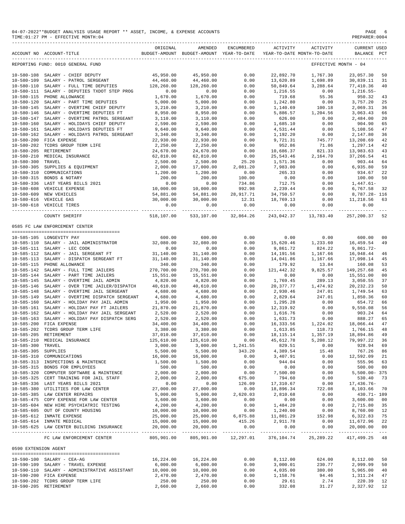#### 04-07-2022\*\*BUDGET ANALYSIS USAGE REPORT \*\* ASSET, INCOME, & EXPENSE ACCOUNTS PAGE 6 PAGE 6 PREPARER:0004 TIME:  $01:27$  PM - EFFECTIVE MONTH: 04

|                      | ACCOUNT NO ACCOUNT-TITLE                     | ORIGINAL   | AMENDED<br>BUDGET-AMOUNT BUDGET-AMOUNT YEAR-TO-DATE | ENCUMBERED             | ACTIVITY        | ACTIVITY<br>YEAR-TO-DATE MONTH-TO-DATE | <b>CURRENT USED</b><br>BALANCE | $_{\rm PCT}$               |
|----------------------|----------------------------------------------|------------|-----------------------------------------------------|------------------------|-----------------|----------------------------------------|--------------------------------|----------------------------|
|                      | REPORTING FUND: 0010 GENERAL FUND            |            |                                                     |                        |                 |                                        | EFFECTIVE MONTH - 04           |                            |
|                      |                                              |            |                                                     |                        |                 |                                        |                                |                            |
| $10 - 580 - 108$     | SALARY - CHIEF DEPUTY                        | 45,950.00  | 45,950.00                                           | 0.00                   | 22,892.70       | 1,767.30                               | 23,057.30                      | 50                         |
| $10 - 580 - 109$     | SALARY - PATROL SERGEANT                     | 44,460.00  | 44,460.00                                           | 0.00                   | 13,620.89       | 1,698.89                               | 30,839.11                      | 31                         |
| $10 - 580 - 110$     | SALARY - FULL TIME DEPUTIES                  | 128,260.00 | 128,260.00                                          | 0.00                   | 50,849.64       | 3,288.64                               | 77,410.36                      | 40                         |
| $10 - 580 - 111$     | SALARY - DEPUTIES TXDOT STEP PROG            | 0.00       | 0.00                                                | 0.00                   | 1,216.55        | 0.00                                   | $1,216.55-$                    |                            |
| $10 - 580 - 115$     | PHONE ALLOWANCE                              | 1,670.00   | 1,670.00                                            | 0.00                   | 719.68          | 55.36                                  | 950.32                         | 43                         |
| $10 - 580 - 120$     | SALARY - PART TIME DEPUTIES                  | 5,000.00   | 5,000.00                                            | 0.00                   | 1,242.80        | 0.00                                   | 3,757.20                       | 25                         |
| $10 - 580 - 145$     | SALARY - OVERTIME CHIEF DEPUTY               | 3,210.00   | 3,210.00                                            | 0.00                   | 1,140.69        | 100.18                                 | 2,069.31                       | 36                         |
| $10 - 580 - 146$     | SALARY - OVERTIME DEPUTIES FT                | 8,950.00   | 8,950.00                                            | 0.00                   | 5,886.57        | 1,204.56                               | 3,063.43                       | 66                         |
| $10 - 580 - 147$     | SALARY - OVERTIME PATROL SERGEANT            | 3,110.00   | 3,110.00                                            | 0.00                   | 626.00          | 0.00                                   | 2,484.00                       | 20                         |
| $10 - 580 - 160$     | SALARY - HOLIDAYS CHIEF DEPUTY               | 2,590.00   | 2,590.00                                            | 0.00                   | 1,685.10        | 0.00                                   | 904.90                         | 65                         |
| $10 - 580 - 161$     | SALARY - HOLIDAYS DEPUTIES FT                | 9,640.00   | 9,640.00                                            | 0.00                   | 4,531.44        | 0.00                                   | 5,108.56                       | 47                         |
| $10 - 580 - 162$     | SALARY - HOLIDAYS PATROL SERGEANT            | 3,340.00   | 3,340.00                                            | 0.00                   | 1,192.20        | 0.00                                   | 2,147.80                       | 36                         |
| $10 - 580 - 200$     | FICA EXPENSE                                 | 22,930.00  | 22,930.00                                           | 0.00                   | 9,721.31        | 745.77                                 | 13,208.69                      | 42                         |
| $10 - 580 - 202$     | TCDRS GROUP TERM LIFE                        | 2,250.00   | 2,250.00                                            | 0.00                   | 952.86          | 71.86                                  | 1,297.14                       | 42                         |
| $10 - 580 - 205$     | RETIREMENT                                   | 24,670.00  | 24,670.00                                           | 0.00                   | 10,686.37       | 821.33                                 | 13,983.63                      | 43                         |
| $10 - 580 - 210$     | MEDICAL INSURANCE                            | 62,810.00  | 62,810.00                                           | 0.00                   | 25, 543.46      | 2,164.70                               | 37, 266.54                     | 41                         |
| $10 - 580 - 300$     | TRAVEL                                       | 2,500.00   | 2,500.00                                            | 25.20                  | 1,571.36        | 0.00                                   | 903.44                         | 64                         |
| $10 - 580 - 305$     | SUPPLIES & EQUIPMENT                         | 2,000.00   | 17,000.00                                           | 2,081.20               | 7,983.00        | 0.00                                   | 6,935.80                       | 59                         |
| $10 - 580 - 310$     | COMMUNICATIONS                               | 1,200.00   | 1,200.00                                            | 0.00                   | 265.33          | 0.00                                   | 934.67                         | 22                         |
| $10 - 580 - 315$     | BONDS & NOTARY                               | 200.00     | 200.00                                              | 100.00                 | 0.00            | 0.00                                   | 100.00                         | 50                         |
| $10 - 580 - 336$     | LAST YEARS BILLS 2021                        | 0.00       | 0.00                                                | 734.86                 | 712.75          | 0.00                                   | $1,447.61-$                    |                            |
| $10 - 580 - 608$     | VEHICLE EXPENSE                              | 10,000.00  | 10,000.00                                           | 992.98                 | 2,239.44        | 0.00                                   | 6,767.58                       | 32                         |
| $10 - 580 - 609$     | NEW VEHICLES                                 | 54,881.00  | 54,881.00                                           | 28,917.71              | 34,750.57       | 0.00                                   | 8,787.28- 116                  |                            |
|                      | 10-580-616 VEHICLE GAS                       | 30,000.00  | 30,000.00                                           | 12.31                  | 18,769.13       | 0.00                                   | 11,218.56                      | 63                         |
|                      | 10-580-618 VEHICLE TIRES                     | 0.00       | 0.00                                                | 0.00                   | 0.00            | 0.00                                   | 0.00                           |                            |
|                      |                                              |            |                                                     |                        |                 |                                        |                                |                            |
|                      | COUNTY SHERIFF                               | 518,107.00 | 533,107.00                                          | 32,864.26              | 243,042.37      | 13,783.40                              | 257,200.37                     | 52                         |
|                      | 0585 FC LAW ENFORCEMENT CENTER               |            |                                                     |                        |                 |                                        |                                |                            |
|                      | 10-585-105 LONGEVITY PAY                     | 600.00     | 600.00                                              | 0.00                   | 0.00            | 0.00                                   | 600.00                         | 0 <sub>0</sub>             |
|                      | 10-585-110 SALARY - JAIL ADMINISTRATOR       | 32,080.00  | 32,080.00                                           | 0.00                   | 15,620.46       | 1,233.60                               | 16,459.54                      | 49                         |
|                      | 10-585-111 SALARY - LEC COOK                 | 0.00       | 0.00                                                | 0.00                   | 9,861.72        | 824.22                                 | 9,861.72-                      |                            |
|                      | 10-585-112 SALARY - JAIL SERGEANT FT         | 31,140.00  | 31,140.00                                           | 0.00                   | 14,191.56       | 1,167.66                               | 16,948.44                      | 46                         |
|                      | 10-585-113 SALARY - DISPATCH SERGEANT FT     | 31,140.00  | 31,140.00                                           | 0.00                   | 14,041.86       | 1,167.66                               | 17,098.14                      | 45                         |
|                      | 10-585-115 PHONE ALLOWANCE                   | 340.00     | 340.00                                              | 0.00                   | 179.92          | 13.84                                  | 160.08                         | 53                         |
|                      | 10-585-142 SALARY - FULL TIME JAILERS        | 270,700.00 |                                                     | 0.00                   | 121, 442.32     | 9,825.57                               |                                | 45                         |
|                      |                                              |            | 270,700.00                                          |                        | 0.00            |                                        | 149,257.68                     |                            |
| $10 - 585 - 144$     | SALARY - PART TIME JAILERS                   | 15,551.00  | 15,551.00                                           | 0.00                   |                 | 0.00                                   | 15,551.00                      | 0 <sub>0</sub>             |
| $10 - 585 - 145$     | SALARY - OVERTIME JAIL ADMIN                 | 4,820.00   | 4,820.00                                            | 0.00                   | 1,769.45        | 289.13                                 | 3,050.55                       | 37                         |
| $10 - 585 - 146$     | SALARY - OVER TIME JAILER/DISPATCH           | 40,610.00  | 40,610.00                                           | 0.00                   | 20, 377.77      | 1,474.92                               | 20, 232. 23                    | 50                         |
| $10 - 585 - 148$     | SALARY - OVERTIME JAIL SERGEANT              | 4,680.00   | 4,680.00                                            | 0.00                   | 2,930.46        | 247.01                                 | 1,749.54                       | 63                         |
| $10 - 585 - 149$     | SALARY - OVERTIME DISPATCH SERGEANT          | 4,680.00   | 4,680.00                                            | 0.00                   | 2,829.64        | 247.01                                 | 1,850.36                       | 60                         |
| $10 - 585 - 160$     | SALARY - HOLIDAY PAY JAIL ADMIN              | 1,950.00   | 1,950.00                                            | 0.00                   | 1,295.28        | 0.00                                   | 654.72                         | 66                         |
| $10 - 585 - 161$     | SALARY - HOLIDAY PAY FT JAILERS              | 21,870.00  | 21,870.00                                           | 0.00                   | 12,319.92       | 0.00                                   | 9,550.08                       | 56                         |
| $10 - 585 - 162$     | SALARY - HOLIDAY PAY JAIL SERGEANT           | 2,520.00   | 2,520.00                                            | 0.00                   | 1,616.76        | 0.00                                   | 903.24                         | 64                         |
| $10 - 585 - 163$     | SALARY - HOLIDAY PAY DISPATCH SERG           | 2,520.00   | 2,520.00                                            | 0.00                   | 1,631.73        | 0.00                                   | 888.27                         | 65                         |
| $10 - 585 - 200$     | FICA EXPENSE                                 | 34,400.00  | 34,400.00                                           | 0.00                   | 16,333.56       | 1,224.02                               | 18,066.44                      | 47                         |
| $10 - 585 - 202$     | TCDRS GROUP TERM LIFE                        | 3,380.00   | 3,380.00                                            | 0.00                   | 1,613.85        | 118.73                                 | 1,766.15                       | 48                         |
| $10 - 585 - 205$     | RETIREMENT                                   | 37,010.00  | 37,010.00                                           | 0.00                   | 18, 115. 14     | 1,357.19                               | 18,894.86                      | 49                         |
| $10 - 585 - 210$     | MEDICAL INSURANCE                            | 125,610.00 | $125\,,610\,.00$                                    | 0.00                   | 45,612.78       | 5,208.12                               | 79,997.22                      | 36                         |
| 10-585-300 TRAVEL    |                                              | 3,000.00   | 3,000.00                                            | 1,241.55               | 829.51          | 0.00                                   | 928.94                         | 69                         |
| 10-585-305 SUPPLIES  |                                              | 5,500.00   | 5,500.00                                            | 343.20                 | 4,389.54        | 15.48                                  | 767.26                         | 86                         |
|                      | 10-585-310 COMMUNICATIONS                    | 16,000.00  | 16,000.00                                           | 0.00                   | 3,407.91        | 0.00                                   | 12,592.09                      | 21                         |
|                      | 10-585-313 INSPECTIONS & MAINTENCE           | 1,500.00   | 1,500.00                                            | 0.00                   | 944.04          | 0.00                                   | 555.96                         | 63                         |
|                      | 10-585-315 BONDS FOR EMPLOYEES               | 500.00     | 500.00                                              | 0.00                   | 0.00            | 0.00                                   | 500.00                         | 0 <sub>0</sub>             |
|                      | 10-585-320 COMPUTER SOFTWARE & MAINTENCE     | 2,000.00   | 2,000.00                                            | 0.00                   | 7,500.00        | 0.00                                   | $5,500.00 - 375$               |                            |
|                      | 10-585-325 CERT TRAINING FOR JAIL STAFF      | 2,000.00   | 2,000.00                                            | 675.00                 | 794.60          | 0.00                                   | 530.40                         | 73                         |
|                      | 10-585-336 LAST YEARS BILLS 2021             | 0.00       | 0.00                                                | 126.09                 | 17,310.67       | 0.00                                   | $17,436.76-$                   |                            |
|                      | 10-585-380 UTILITIES FOR LAW CENTER          | 27,000.00  | 27,000.00                                           | 0.00                   | 18,896.34       | 722.08                                 | 8,103.66                       | 70                         |
|                      | 10-585-385 LAW CENTER REPAIRS                | 5,000.00   | 5,000.00                                            | 2,620.03               | 2,810.68        | 0.00                                   | 430.71- 109                    |                            |
|                      | 10-585-475 COPY EXPENSE FOR LAW CENTER       | 3,600.00   | 3,600.00                                            | 0.00                   | 0.00            | 0.00                                   | 3,600.00                       | 00                         |
|                      | 10-585-604 NEW HIRE PSYCHIATRIC TESTING      | 4,200.00   | 4,200.00                                            | 0.00                   | 1,484.20        | 0.00                                   | 2,715.80                       | 35                         |
|                      | 10-585-605 OUT OF COUNTY HOUSING             | 10,000.00  | 10,000.00                                           | 0.00                   | 1,240.00        | 0.00                                   | 8,760.00                       | 12                         |
|                      | 10-585-612 INMATE EXPENSE                    | 25,000.00  | 25,000.00                                           | 6,875.88               | 11,801.29       | 152.98                                 | 6,322.83                       | 75                         |
|                      | 10-585-614 INMATE MEDICAL                    | 15,000.00  | 15,000.00                                           | 415.26                 | 2,911.78        | 0.00                                   | 11,672.96                      | 22                         |
|                      | 10-585-625 LAW CENTER BUILDING INSURANCE     | 20,000.00  | 20,000.00                                           | 0.00                   | 0.00            | 0.00                                   | 20,000.00                      | 00                         |
|                      | FC LAW ENFORCEMENT CENTER                    | 805,901.00 | -------------<br>805,901.00                         | ---------<br>12,297.01 | .<br>376,104.74 | $\frac{1}{2}$<br>25, 289. 22           | 417,499.25                     | $\sim$ $\sim$ $\sim$<br>48 |
| 0590 EXTENSION AGENT |                                              |            |                                                     |                        |                 |                                        |                                |                            |
|                      |                                              |            |                                                     |                        |                 |                                        |                                |                            |
|                      | 10-590-100 SALARY - CEA-AG                   | 16,224.00  | 16,224.00                                           | 0.00                   | 8,112.00        | 624.00                                 | 8,112.00                       | 50                         |
|                      | 10-590-109 SALARY - TRAVEL EXPENSE           | 6,000.00   | 6,000.00                                            | 0.00                   | 3,000.01        | 230.77                                 | 2,999.99                       | 50                         |
|                      | 10-590-110 SALARY - ADMINISTRATIVE ASSISTANT | 10,000.00  | 10,000.00                                           | 0.00                   | 4,035.00        | 380.00                                 | 5,965.00                       | 40                         |
|                      | 10-590-200 FICA EXPENSE                      | 2,470.00   | 2,470.00                                            | 0.00                   | 1,158.76        | 94.46                                  | 1,311.24                       | 47                         |
|                      | 10-590-202 TCDRS GROUP TERM LIFE             | 250.00     | 250.00                                              | 0.00                   | 29.61           | 2.74                                   | 220.39                         | 12                         |
|                      | 10-590-205 RETIREMENT                        | 2,660.00   | 2,660.00                                            | 0.00                   | 332.08          | 31.27                                  | 2,327.92                       | 12                         |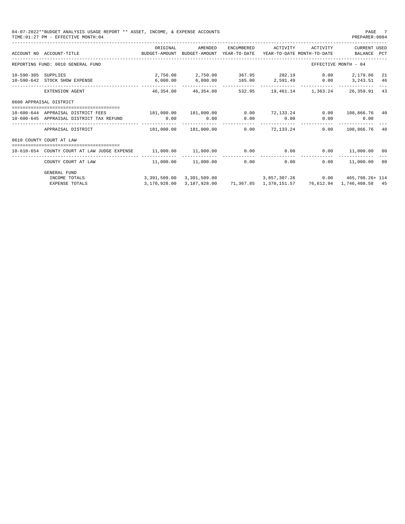| TIME: 01:27 PM - EFFECTIVE MONTH: 04                                           |                                                         |                                                                                                    |                                                                             |                                                                                                                            |                                                                                        | PREPARER: 0004                                                                                     | PAGE 7                                                                                                                                                                                                                                               |
|--------------------------------------------------------------------------------|---------------------------------------------------------|----------------------------------------------------------------------------------------------------|-----------------------------------------------------------------------------|----------------------------------------------------------------------------------------------------------------------------|----------------------------------------------------------------------------------------|----------------------------------------------------------------------------------------------------|------------------------------------------------------------------------------------------------------------------------------------------------------------------------------------------------------------------------------------------------------|
| ACCOUNT NO ACCOUNT-TITLE                                                       | ORIGINAL                                                | AMENDED                                                                                            | ENCUMBERED                                                                  | ACTIVITY                                                                                                                   |                                                                                        | <b>CURRENT USED</b><br>BALANCE PCT                                                                 |                                                                                                                                                                                                                                                      |
| REPORTING FUND: 0010 GENERAL FUND                                              |                                                         |                                                                                                    |                                                                             |                                                                                                                            |                                                                                        |                                                                                                    |                                                                                                                                                                                                                                                      |
| SUPPLIES<br>10-590-642 STOCK SHOW EXPENSE                                      | 6,000.00                                                |                                                                                                    |                                                                             |                                                                                                                            |                                                                                        | 3, 243, 51 46                                                                                      | -21                                                                                                                                                                                                                                                  |
| EXTENSION AGENT                                                                |                                                         |                                                                                                    |                                                                             |                                                                                                                            |                                                                                        | 26,359.91                                                                                          | 43                                                                                                                                                                                                                                                   |
| 0600 APPRAISAL DISTRICT                                                        |                                                         |                                                                                                    |                                                                             |                                                                                                                            |                                                                                        |                                                                                                    |                                                                                                                                                                                                                                                      |
| 10-600-644 APPRAISAL DISTRICT FEES<br>10-600-645 APPRAISAL DISTRICT TAX REFUND | 0.00                                                    | 0.00                                                                                               | 0.00<br>0.00                                                                | 0.00                                                                                                                       | 0.00                                                                                   | 108,866.76 40<br>0.00                                                                              |                                                                                                                                                                                                                                                      |
| APPRAISAL DISTRICT                                                             |                                                         | 181,000.00                                                                                         | 0.00                                                                        |                                                                                                                            | 0.00                                                                                   | 108,866.76                                                                                         | -40                                                                                                                                                                                                                                                  |
| 0610 COUNTY COURT AT LAW                                                       |                                                         |                                                                                                    |                                                                             |                                                                                                                            |                                                                                        |                                                                                                    |                                                                                                                                                                                                                                                      |
| 10-610-654 COUNTY COURT AT LAW JUDGE EXPENSE                                   |                                                         |                                                                                                    |                                                                             |                                                                                                                            | 0.00                                                                                   | 11,000.00 00                                                                                       |                                                                                                                                                                                                                                                      |
|                                                                                |                                                         |                                                                                                    |                                                                             | 0.00                                                                                                                       |                                                                                        |                                                                                                    |                                                                                                                                                                                                                                                      |
| <b>GENERAL FUND</b><br>INCOME TOTALS                                           |                                                         |                                                                                                    |                                                                             |                                                                                                                            |                                                                                        |                                                                                                    |                                                                                                                                                                                                                                                      |
|                                                                                | ______________________________<br><b>EXPENSE TOTALS</b> | BUDGET-AMOUNT<br>_____________________________________<br>----------<br>181,000.00<br>3,170,928.00 | 2,750.00 2,750.00<br>46,354.00<br>$181,000.00$ $181,000.00$<br>3,187,928.00 | 04-07-2022**BUDGET ANALYSIS USAGE REPORT ** ASSET, INCOME, & EXPENSE ACCOUNTS<br>46,354.00<br>$11,000.00$ $11,000.00$ 0.00 | BUDGET-AMOUNT YEAR-TO-DATE<br>-------------<br>532.95<br>0.00<br>-------------<br>0.00 | YEAR-TO-DATE MONTH-TO-DATE<br>$6,000.00$ $165.00$ $2,591.49$ $0.00$<br>72,133.24 0.00<br>72.133.24 | ACTIVITY<br>EFFECTIVE MONTH - 04<br>367.95 202.19 0.00 2,179.86<br>19,461.14 1,363.24<br>-------------<br>$0.00$ 11,000.00 00<br>3,391,509.00 3,391,509.00 3,857,307.26 0.00 465,798.26+ 114<br>71,367.85  1,370,151.57  76,612.94  1,746,408.58  45 |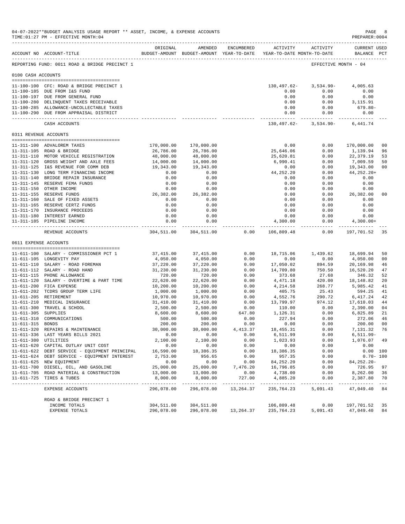|                     | 04-07-2022**BUDGET ANALYSIS USAGE REPORT ** ASSET, INCOME, & EXPENSE ACCOUNTS<br>TIME: 01:27 PM - EFFECTIVE MONTH: 04 |                          |                        |              |                                                                     |                          | PAGE<br>PREPARER: 0004             | 8                    |
|---------------------|-----------------------------------------------------------------------------------------------------------------------|--------------------------|------------------------|--------------|---------------------------------------------------------------------|--------------------------|------------------------------------|----------------------|
|                     | ACCOUNT NO ACCOUNT-TITLE                                                                                              | ORIGINAL                 | AMENDED                | ENCUMBERED   | BUDGET-AMOUNT BUDGET-AMOUNT YEAR-TO-DATE YEAR-TO-DATE MONTH-TO-DATE | ACTIVITY ACTIVITY        | <b>CURRENT USED</b><br>BALANCE PCT |                      |
|                     | REPORTING FUND: 0011 ROAD & BRIDGE PRECINCT 1                                                                         |                          |                        |              |                                                                     | EFFECTIVE MONTH - 04     |                                    |                      |
| 0100 CASH ACCOUNTS  |                                                                                                                       |                          |                        |              |                                                                     |                          |                                    |                      |
|                     | 11-100-100 CFC: ROAD & BRIDGE PRECINCT 1                                                                              |                          |                        |              | 130,497.62-                                                         | $3,534.90-$              | 4,005.63                           |                      |
|                     | 11-100-185 DUE FROM I&S FUND                                                                                          |                          |                        |              | 0.00                                                                | 0.00                     | 0.00                               |                      |
|                     | 11-100-197 DUE FROM GENERAL FUND                                                                                      |                          |                        |              | 0.00                                                                | 0.00                     | 0.00                               |                      |
|                     | 11-100-280 DELINQUENT TAXES RECEIVABLE                                                                                |                          |                        |              | 0.00                                                                | 0.00                     | 3,115.91                           |                      |
|                     | 11-100-285 ALLOWANCE-UNCOLLECTABLE TAXES<br>11-100-290 DUE FROM APPRAISAL DISTRICT                                    |                          |                        |              | 0.00<br>0.00                                                        | 0.00<br>0.00             | 679.80-<br>0.00                    |                      |
|                     | CASH ACCOUNTS                                                                                                         |                          |                        |              | ------------- -<br>130,497.62-                                      | -----------<br>3,534.90- | -----------<br>6,441.74            |                      |
|                     | 0311 REVENUE ACCOUNTS                                                                                                 |                          |                        |              |                                                                     |                          |                                    |                      |
|                     |                                                                                                                       |                          |                        |              |                                                                     |                          |                                    |                      |
|                     | 11-311-100 ADVALOREM TAXES                                                                                            | 170,000.00               | 170,000.00             |              | 0.00                                                                | 0.00                     | 170,000.00                         | 0 <sub>0</sub>       |
|                     | 11-311-105 ROAD & BRIDGE                                                                                              | 26,786.00                | 26,786.00              |              | 25,646.06                                                           | 0.00                     | 1,139.94                           | 96                   |
|                     | 11-311-110 MOTOR VEHICLE REGISTRATION                                                                                 | 48,000.00                | 48,000.00              |              | 25,620.81                                                           | 0.00                     | 22,379.19                          | 53                   |
|                     | 11-311-120 GROSS WEIGHT AND AXLE FEES<br>11-311-125 I&S REVENUE FOR COMM DEB                                          | 14,000.00<br>19,343.00   | 14,000.00<br>19,343.00 |              | 6,990.41<br>0.00                                                    | 0.00<br>0.00             | 7,009.59                           | 50<br>0 <sub>0</sub> |
|                     | 11-311-130 LONG TERM FINANCING INCOME                                                                                 | 0.00                     | 0.00                   |              | 44,252.20                                                           | 0.00                     | 19,343.00<br>44, 252. 20+          |                      |
|                     | 11-311-140 BRIDGE REPAIR INSURANCE                                                                                    | 0.00                     | 0.00                   |              | 0.00                                                                | 0.00                     | 0.00                               |                      |
|                     | 11-311-145 RESERVE FEMA FUNDS                                                                                         | 0.00                     | 0.00                   |              | 0.00                                                                | 0.00                     | 0.00                               |                      |
|                     | 11-311-150 OTHER INCOME                                                                                               | 0.00                     | 0.00                   |              | 0.00                                                                | 0.00                     | 0.00                               |                      |
|                     | 11-311-155 RESERVE FUNDS                                                                                              | 26,382.00                | 26,382.00              |              | 0.00                                                                | 0.00                     | 26,382.00                          | 0 <sub>0</sub>       |
|                     | 11-311-160 SALE OF FIXED ASSETS                                                                                       | 0.00                     | 0.00                   |              | 0.00                                                                | 0.00                     | 0.00                               |                      |
|                     | 11-311-165 RESERVE CERTZ FUNDS                                                                                        | 0.00                     | 0.00                   |              | 0.00                                                                | 0.00                     | 0.00                               |                      |
|                     | 11-311-170 INSURANCE PROCEEDS                                                                                         | 0.00                     | 0.00                   |              | 0.00                                                                | 0.00                     | 0.00                               |                      |
|                     | 11-311-180 INTEREST EARNED                                                                                            | 0.00<br>0.00             | 0.00                   |              | 0.00<br>4,300.00                                                    | 0.00<br>0.00             | 0.00                               |                      |
|                     | 11-311-185 PIPELINE INCOME                                                                                            |                          | 0.00                   |              |                                                                     | ---------                | $4,300.00+$<br>--------------      |                      |
|                     | REVENUE ACCOUNTS                                                                                                      | 304,511.00               | 304,511.00             | 0.00         | 106,809.48                                                          | 0.00                     | 197,701.52                         | 35                   |
|                     | 0611 EXPENSE ACCOUNTS<br>-------------------------------------                                                        |                          |                        |              |                                                                     |                          |                                    |                      |
|                     | 11-611-100 SALARY - COMMISSIONER PCT 1                                                                                | 37,415.00                | 37, 415.00             | 0.00         | 18,715.06                                                           | 1,439.62                 | 18,699.94                          | 50                   |
|                     | 11-611-105 LONGEVITY PAY                                                                                              | 4,050.00                 | 4,050.00               | 0.00         | 0.00                                                                | 0.00                     | 4,050.00                           | 0 <sub>0</sub>       |
|                     | 11-611-110 SALARY - ROAD FOREMAN                                                                                      | 37,220.00                | 37,220.00              | 0.00         | 17,050.02                                                           | 894.59                   | 20,169.98                          | 46                   |
|                     | 11-611-112 SALARY - ROAD HAND                                                                                         | 31,230.00                | 31,230.00              | 0.00         | 14,709.80                                                           | 750.50                   | 16,520.20                          | 47                   |
|                     | 11-611-115 PHONE ALLOWANCE                                                                                            | 720.00                   | 720.00                 | 0.00         | 373.68                                                              | 27.68                    | 346.32                             | 52                   |
|                     | 11-611-120 SALARY - OVERTIME & PART TIME                                                                              | 22,620.00                | 22,620.00              | 0.00         | 4,471.18                                                            | 420.00                   | 18,148.82                          | 20                   |
|                     | 11-611-200 FICA EXPENSE                                                                                               | 10,200.00                | 10,200.00              | 0.00         | 4,214.58                                                            | 268.77                   | 5,985.42                           | 41                   |
|                     | 11-611-202 TCDRS GROUP TERM LIFE<br>11-611-205 RETIREMENT                                                             | 1,000.00<br>10,970.00    | 1,000.00<br>10,970.00  | 0.00<br>0.00 | 405.75<br>4,552.76                                                  | 25.43<br>290.72          | 594.25<br>6,417.24                 | 41<br>42             |
|                     | 11-611-210 MEDICAL INSURANCE                                                                                          | 31,410.00                | 31,410.00              | 0.00         | 13,799.97                                                           | 974.12                   | 17,610.03                          | 44                   |
|                     | 11-611-300 TRAVEL & SCHOOL                                                                                            | 2,500.00                 | 2,500.00               | 0.00         | 110.00                                                              | 0.00                     | 2,390.00                           | 04                   |
| 11-611-305 SUPPLIES |                                                                                                                       | 8,600.00                 | 8,600.00               | 647.80       | 1,126.31                                                            | 0.00                     | 6,825.89                           | 21                   |
|                     | 11-611-310 COMMUNICATIONS                                                                                             | 500.00                   | 500.00                 | 0.00         | 227.94                                                              | 0.00                     | 272.06                             | 46                   |
| 11-611-315 BONDS    |                                                                                                                       | 200.00                   | 200.00                 | 0.00         | 0.00                                                                | 0.00                     | 200.00                             | 0 <sub>0</sub>       |
|                     | 11-611-320 REPAIRS & MAINTENANCE                                                                                      | 30,000.00                | 30,000.00              | 4,413.37     | 18,455.31                                                           | 0.00                     | 7,131.32 76                        |                      |
|                     | 11-611-336 LAST YEARS BILLS 2021                                                                                      | 0.00                     | 0.00                   | 0.00         | 6,511.99                                                            | 0.00                     | 6,511.99-                          |                      |
|                     | 11-611-380 UTILITIES                                                                                                  | 2,100.00                 | 2,100.00               | 0.00         | 1,023.93                                                            | 0.00                     | 1,076.07 49                        |                      |
|                     | 11-611-620 CAPITAL OUTLAY UNIT COST<br>11-611-622 DEBT SERVICE - EQUIPMENT PRINCIPAL                                  | 0.00<br>16,590.00        | 0.00<br>18,386.35      | 0.00<br>0.00 | 0.00<br>18,386.35                                                   | 0.00<br>0.00             | 0.00<br>0.00 100                   |                      |
|                     | 11-611-624 DEBT SERVICE - EQUIPMENT INTEREST                                                                          | 2,753.00                 | 956.65                 | 0.00         | 957.35                                                              | 0.00                     | $0.70 - 100$                       |                      |
|                     | 11-611-625 NEW EQUIPMENT                                                                                              | 0.00                     | 0.00                   | 0.00         | 84,252.20                                                           | 0.00                     | 84,252.20-                         |                      |
|                     | 11-611-700 DIESEL, OIL, AND GASOLINE                                                                                  | 25,000.00                | 25,000.00              | 7,476.20     | 16,796.85                                                           | 0.00                     | 726.95                             | 97                   |
|                     | 11-611-705 ROAD MATERIAL & CONSTRUCTION                                                                               | 13,000.00                | 13,000.00              | 0.00         | 4,738.00                                                            | 0.00                     | 8,262.00                           | 36                   |
|                     | 11-611-725 TIRES & TUBES                                                                                              | 8,000.00                 | 8,000.00               | 727.00       | 4,885.20                                                            | 0.00                     | 2,387.80                           | 70                   |
|                     | EXPENSE ACCOUNTS                                                                                                      | 296,078.00               | 296,078.00             | 13,264.37    | 235,764.23                                                          | 5,091.43                 | 47,049.40 84                       |                      |
|                     | ROAD & BRIDGE PRECINCT 1                                                                                              |                          |                        |              |                                                                     |                          |                                    |                      |
|                     | INCOME TOTALS<br>EXPENSE TOTALS                                                                                       | 304,511.00<br>296,078.00 | 304,511.00             |              | 106,809.48<br>296,078.00 13,264.37 235,764.23 5,091.43 47,049.40    | 0.00                     | 197,701.52                         | 35<br>84             |
|                     |                                                                                                                       |                          |                        |              |                                                                     |                          |                                    |                      |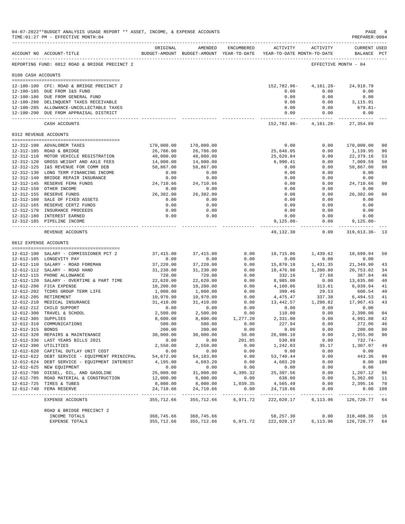|                                | 04-07-2022**BUDGET ANALYSIS USAGE REPORT ** ASSET, INCOME, & EXPENSE ACCOUNTS<br>TIME: 01:27 PM - EFFECTIVE MONTH: 04 |                           |                             |                      |                                                                     |                                 | PAGE<br>PREPARER: 0004             | -9             |
|--------------------------------|-----------------------------------------------------------------------------------------------------------------------|---------------------------|-----------------------------|----------------------|---------------------------------------------------------------------|---------------------------------|------------------------------------|----------------|
|                                | -------------------------------------<br>ACCOUNT NO ACCOUNT-TITLE                                                     | ORIGINAL                  | AMENDED                     | <b>ENCUMBERED</b>    | BUDGET-AMOUNT BUDGET-AMOUNT YEAR-TO-DATE YEAR-TO-DATE MONTH-TO-DATE | ACTIVITY ACTIVITY               | <b>CURRENT USED</b><br>BALANCE PCT |                |
|                                | REPORTING FUND: 0012 ROAD & BRIDGE PRECINCT 2                                                                         |                           |                             |                      |                                                                     | EFFECTIVE MONTH - 04            |                                    |                |
| 0100 CASH ACCOUNTS             |                                                                                                                       |                           |                             |                      |                                                                     |                                 |                                    |                |
|                                |                                                                                                                       |                           |                             |                      |                                                                     |                                 |                                    |                |
|                                | 12-100-100 CFC: ROAD & BRIDGE PRECINCT 2<br>12-100-185 DUE FROM I&S FUND                                              |                           |                             |                      | 152,782.96-<br>0.00                                                 | 4,161.28-<br>0.00               | 24,918.79<br>0.00                  |                |
|                                | 12-100-186 DUE FROM GENERAL FUND                                                                                      |                           |                             |                      | 0.00                                                                | 0.00                            | 0.00                               |                |
|                                | 12-100-280 DELINQUENT TAXES RECEIVABLE                                                                                |                           |                             |                      | 0.00                                                                | 0.00                            | 3,115.91                           |                |
|                                | 12-100-285 ALLOWANCE-UNCOLLECTABLE TAXES                                                                              |                           |                             |                      | 0.00                                                                | 0.00                            | 679.81-                            |                |
|                                | 12-100-290 DUE FROM APPRAISAL DISTRICT                                                                                |                           |                             |                      | 0.00<br>------------- ------------                                  | 0.00                            | 0.00<br>------------               |                |
|                                | CASH ACCOUNTS                                                                                                         |                           |                             |                      |                                                                     | 152,782.96- 4,161.28- 27,354.89 |                                    |                |
| 0312 REVENUE ACCOUNTS          |                                                                                                                       |                           |                             |                      |                                                                     |                                 |                                    |                |
|                                | 12-312-100 ADVALOREM TAXES                                                                                            | 170,000.00                | 170,000.00                  |                      | 0.00                                                                | 0.00                            | 170,000.00                         | 0 <sub>0</sub> |
|                                | 12-312-105 ROAD & BRIDGE                                                                                              | 26,786.00                 | 26,786.00                   |                      | 25,646.05                                                           | 0.00                            | 1,139.95                           | 96             |
|                                | 12-312-110 MOTOR VEHICLE REGISTRATION                                                                                 | 48,000.00                 | 48,000.00                   |                      | 25,620.84                                                           | 0.00                            | 22,379.16                          | 53             |
|                                | 12-312-120 GROSS WEIGHT AND AXLE FEES                                                                                 | 14,000.00                 | 14,000.00                   |                      | 6,990.41                                                            | 0.00                            | 7,009.59                           | 50             |
|                                | 12-312-125 I&S REVENUE FOR COMM DEB                                                                                   | 58,867.00                 | 58,867.00                   |                      | 0.00                                                                | 0.00                            | 58,867.00                          | 0 <sub>0</sub> |
|                                | 12-312-130 LONG TERM FINANCING INCOME                                                                                 | 0.00                      | 0.00                        |                      | 0.00                                                                | 0.00                            | 0.00                               |                |
|                                | 12-312-140 BRIDGE REPAIR INSURANCE<br>12-312-145 RESERVE FEMA FUNDS                                                   | 0.00                      | 0.00                        |                      | 0.00                                                                | 0.00                            | 0.00                               |                |
|                                | 12-312-150 OTHER INCOME                                                                                               | 24,710.66<br>0.00         | 24,710.66<br>0.00           |                      | 0.00<br>0.00                                                        | 0.00<br>0.00                    | 24,710.66<br>0.00                  | 0 <sub>0</sub> |
|                                | 12-312-155 RESERVE FUNDS                                                                                              | 26,382.00                 | 26,382.00                   |                      | 0.00                                                                | 0.00                            | 26,382.00                          | 0 <sub>0</sub> |
|                                | 12-312-160 SALE OF FIXED ASSETS                                                                                       | 0.00                      | 0.00                        |                      | 0.00                                                                | 0.00                            | 0.00                               |                |
|                                | 12-312-165 RESERVE CERTZ FUNDS                                                                                        | 0.00                      | 0.00                        |                      | 0.00                                                                | 0.00                            | 0.00                               |                |
|                                | 12-312-170 INSURANCE PROCEEDS                                                                                         | 0.00                      | 0.00                        |                      | 0.00                                                                | 0.00                            | 0.00                               |                |
|                                | 12-312-180 INTEREST EARNED                                                                                            | 0.00                      | 0.00                        |                      | 0.00                                                                | 0.00                            | 0.00                               |                |
|                                | 12-312-185 PIPELINE INCOME                                                                                            |                           |                             |                      | $9,125.00 -$                                                        | 0.00<br>--------                | $9,125.00 -$<br>-----------        |                |
|                                | REVENUE ACCOUNTS                                                                                                      |                           |                             |                      | 49,132.30                                                           | 0.00                            | $319,613.36 - 13$                  |                |
| 0612 EXPENSE ACCOUNTS          |                                                                                                                       |                           |                             |                      |                                                                     |                                 |                                    |                |
|                                | 12-612-100 SALARY - COMMISSIONER PCT 2                                                                                | 37,415.00                 | 37, 415.00                  | 0.00                 |                                                                     | 18,715.06 1,439.62              | 18,699.94                          | 50             |
|                                | 12-612-105 LONGEVITY PAY                                                                                              | 0.00                      | 0.00                        | 0.00                 | 0.00                                                                | 0.00                            | 0.00                               |                |
|                                | 12-612-110 SALARY - ROAD FOREMAN                                                                                      | 37,220.00                 | 37,220.00                   | 0.00                 | 15,870.10                                                           | 1,431.35                        | 21,349.90                          | 43             |
|                                | 12-612-112 SALARY - ROAD HAND                                                                                         | 31,230.00                 | 31,230.00                   | 0.00                 | 10,476.98                                                           | 1,200.80                        | 20,753.02                          | 34             |
|                                | 12-612-115 PHONE ALLOWANCE                                                                                            | 720.00                    | 720.00                      | 0.00                 | 332.16                                                              | 27.68                           | 387.84                             | 46             |
|                                | 12-612-120 SALARY - OVERTIME & PART TIME                                                                              | 22,620.00                 | 22,620.00                   | 0.00                 | 8,985.00                                                            | 0.00                            | 13,635.00                          | 40             |
|                                | 12-612-200 FICA EXPENSE<br>12-612-202 TCDRS GROUP TERM LIFE                                                           | 10,200.00<br>1,000.00     | 10,200.00<br>1,000.00       | 0.00<br>0.00         | 4,160.06<br>399.46                                                  | 313.61<br>29.53                 | 6,039.94<br>600.54                 | 41<br>40       |
|                                | 12-612-205 RETIREMENT                                                                                                 | 10,970.00                 | 10,970.00                   | 0.00                 |                                                                     | 4,475.47 337.38                 | 6,494.53                           | 41             |
|                                | 12-612-210 MEDICAL INSURANCE                                                                                          | 31,410.00                 | 31,410.00                   | 0.00                 |                                                                     | 13,442.57 1,298.82              | 17,967.43                          | 43             |
|                                | 12-612-212 CHILD SUPPORT                                                                                              | 0.00                      | 0.00                        | 0.00                 | 0.00                                                                | 0.00                            | 0.00                               |                |
|                                | 12-612-300 TRAVEL & SCHOOL                                                                                            | 2,500.00                  | 2,500.00                    | 0.00                 | 110.00                                                              | 0.00                            | 2,390.00                           | 04             |
| 12-612-305 SUPPLIES            |                                                                                                                       | 8,600.00                  | 8,600.00                    | 1,277.20             | 2,331.00                                                            | 0.00                            | 4,991.80                           | 42             |
| 12-612-310<br>12-612-315 BONDS | COMMUNICATIONS                                                                                                        | 500.00                    | 500.00                      | 0.00                 | 227.94                                                              | 0.00<br>0.00                    | 272.06                             | 46<br>00       |
|                                | 12-612-320 REPAIRS & MAINTENANCE                                                                                      | 200.00<br>30,000.00       | 200.00<br>30,000.00         | 0.00<br>58.00        | 0.00<br>26,986.10                                                   | 0.00                            | 200.00<br>2,955.90                 | 90             |
|                                | 12-612-336 LAST YEARS BILLS 2021                                                                                      | 0.00                      | 0.00                        | 201.85               | 530.89                                                              | 0.00                            | $732.74-$                          |                |
| 12-612-380 UTILITIES           |                                                                                                                       | 2,550.00                  | 2,550.00                    | 0.00                 | 1,242.03                                                            | 35.17                           | 1,307.97                           | 49             |
|                                | 12-612-620 CAPITAL OUTLAY UNIT COST                                                                                   | 0.00                      | 0.00                        | 0.00                 | 0.00                                                                | 0.00                            | 0.00                               |                |
|                                | 12-612-622 DEBT SERVICE - EQUIPMENT PRINICPAL                                                                         | 54,672.00                 | 54, 183.80                  | 0.00                 | 53,740.44                                                           | 0.00                            | 443.36                             | 99             |
|                                | 12-612-624 DEBT SERVICE - EQUIPMENT INTEREST                                                                          | 4,195.00                  | 4,683.20                    | 0.00                 | 4,683.20                                                            | 0.00                            |                                    | 0.00 100       |
|                                | 12-612-625 NEW EQUIPMENT                                                                                              | 0.00<br>25,000.00         | 0.00                        | 0.00<br>4,395.32     | 0.00<br>25, 397.56                                                  | 0.00<br>0.00                    | 0.00<br>1,207.12                   | 96             |
|                                | 12-612-700 DIESEL, OIL, AND GASOLINE<br>12-612-705 ROAD MATERIAL & CONSTRUCTION                                       | 12,000.00                 | 31,000.00<br>6,000.00       | 0.00                 | 638.00                                                              | 0.00                            | 5,362.00                           | 11             |
|                                | 12-612-725 TIRES & TUBES                                                                                              | 8,000.00                  | 8,000.00                    | 1,039.35             | 4,565.49                                                            | 0.00                            | 2,395.16                           | 70             |
|                                | 12-612-740 FEMA RESERVE                                                                                               | 24,710.66                 | 24,710.66                   | 0.00                 | 24,710.66                                                           | 0.00                            |                                    | 0.00 100       |
|                                | -----------------------------<br>EXPENSE ACCOUNTS                                                                     | ___________<br>355,712.66 | _____________<br>355,712.66 | --------<br>6,971.72 | ------------<br>222,020.17                                          | ----------<br>6,113.96          | ---------<br>126,720.77 64         | $- - -$        |
|                                | ROAD & BRIDGE PRECINCT 2                                                                                              |                           |                             |                      |                                                                     |                                 |                                    |                |
|                                | INCOME TOTALS                                                                                                         | 368,745.66                | 368,745.66                  |                      | 58,257.30                                                           | 0.00                            | 310,488.36                         | 16             |
|                                | EXPENSE TOTALS                                                                                                        | 355,712.66                | 355,712.66                  | 6,971.72             | 222,020.17                                                          | 6,113.96                        | 126,720.77                         | 64             |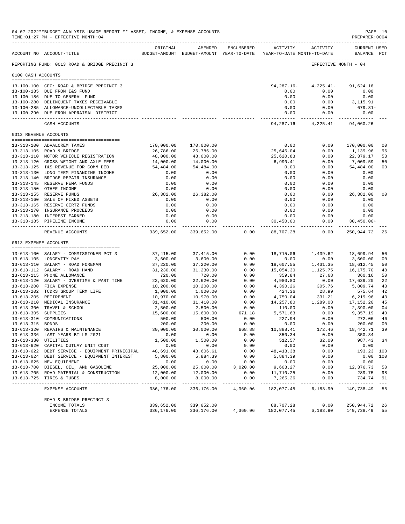|                     | 04-07-2022**BUDGET ANALYSIS USAGE REPORT ** ASSET, INCOME, & EXPENSE ACCOUNTS<br>TIME: 01:27 PM - EFFECTIVE MONTH: 04 |                       |                                                                                |              |                            |                                                                                                                                                                                  | PAGE 10<br>PREPARER: 0004          |                |
|---------------------|-----------------------------------------------------------------------------------------------------------------------|-----------------------|--------------------------------------------------------------------------------|--------------|----------------------------|----------------------------------------------------------------------------------------------------------------------------------------------------------------------------------|------------------------------------|----------------|
|                     | ------------------------------------<br>ACCOUNT NO ACCOUNT-TITLE                                                      | ORIGINAL              | AMENDED<br>BUDGET-AMOUNT BUDGET-AMOUNT YEAR-TO-DATE YEAR-TO-DATE MONTH-TO-DATE | ENCUMBERED   |                            | ACTIVITY ACTIVITY                                                                                                                                                                | <b>CURRENT USED</b><br>BALANCE PCT |                |
|                     | REPORTING FUND: 0013 ROAD & BRIDGE PRECINCT 3                                                                         |                       |                                                                                |              |                            |                                                                                                                                                                                  | EFFECTIVE MONTH - 04               |                |
| 0100 CASH ACCOUNTS  |                                                                                                                       |                       |                                                                                |              |                            |                                                                                                                                                                                  |                                    |                |
|                     | 13-100-100 CFC: ROAD & BRIDGE PRECINCT 3                                                                              |                       |                                                                                |              | 94,287.16-                 | 4,225.41-                                                                                                                                                                        | 91,624.16                          |                |
|                     | 13-100-185 DUE FROM I&S FUND                                                                                          |                       |                                                                                |              | 0.00                       | 0.00                                                                                                                                                                             | 0.00                               |                |
|                     | 13-100-186 DUE TO GENERAL FUND                                                                                        |                       |                                                                                |              | 0.00                       | 0.00                                                                                                                                                                             | 0.00                               |                |
|                     | 13-100-280 DELINQUENT TAXES RECEIVABLE                                                                                |                       |                                                                                |              | 0.00                       | 0.00                                                                                                                                                                             | 3,115.91                           |                |
|                     | 13-100-285 ALLOWANCE-UNCOLLECTABLE TAXES                                                                              |                       |                                                                                |              | 0.00                       | 0.00                                                                                                                                                                             | $679.81-$                          |                |
|                     | 13-100-290 DUE FROM APPRAISAL DISTRICT                                                                                |                       |                                                                                |              |                            | 0.00<br>0.00                                                                                                                                                                     | 0.00<br>--------------             |                |
|                     | CASH ACCOUNTS                                                                                                         |                       |                                                                                |              |                            | $94,287.16 - 4,225.41 -$                                                                                                                                                         | 94,060.26                          |                |
|                     | 0313 REVENUE ACCOUNTS                                                                                                 |                       |                                                                                |              |                            |                                                                                                                                                                                  |                                    |                |
|                     | 13-313-100 ADVALOREM TAXES                                                                                            | 170,000.00            | 170,000.00                                                                     |              | 0.00                       | 0.00                                                                                                                                                                             | 170,000.00                         | 0 <sup>0</sup> |
|                     | 13-313-105 ROAD & BRIDGE                                                                                              | 26,786.00             | 26,786.00                                                                      |              | 25,646.04                  | 0.00                                                                                                                                                                             | 1,139.96                           | 96             |
|                     | 13-313-110 MOTOR VEHICLE REGISTRATION                                                                                 | 48,000.00             | 48,000.00                                                                      |              | 25,620.83                  | 0.00                                                                                                                                                                             | 22,379.17                          | 53             |
|                     | 13-313-120 GROSS WEIGHT AND AXLE FEES                                                                                 | 14,000.00             | 14,000.00                                                                      |              | 6,990.41                   | 0.00                                                                                                                                                                             | 7,009.59                           | 50             |
|                     | 13-313-125 I&S REVENUE FOR COMM DEB                                                                                   | 54,484.00             | 54,484.00                                                                      |              | 0.00                       | 0.00                                                                                                                                                                             | 54,484.00                          | 0 <sub>0</sub> |
|                     | 13-313-130 LONG TERM FINANCING INCOME                                                                                 | 0.00                  | 0.00                                                                           |              | 0.00                       | 0.00                                                                                                                                                                             | 0.00                               |                |
|                     | 13-313-140 BRIDGE REPAIR INSURANCE                                                                                    | 0.00                  | 0.00                                                                           |              | 0.00                       | 0.00                                                                                                                                                                             | 0.00                               |                |
|                     | 13-313-145 RESERVE FEMA FUNDS                                                                                         | 0.00                  | 0.00                                                                           |              | 0.00                       | 0.00                                                                                                                                                                             | 0.00                               |                |
|                     | 13-313-150 OTHER INCOME<br>13-313-155 RESERVE FUNDS                                                                   | 0.00<br>26,382.00     | 0.00<br>26,382.00                                                              |              | 0.00<br>0.00               | 0.00<br>0.00                                                                                                                                                                     | 0.00<br>26,382.00                  | 0 <sub>0</sub> |
|                     | 13-313-160 SALE OF FIXED ASSETS                                                                                       | 0.00                  | 0.00                                                                           |              | 0.00                       | 0.00                                                                                                                                                                             | 0.00                               |                |
|                     | 13-313-165 RESERVE CERTZ FUNDS                                                                                        | 0.00                  | 0.00                                                                           |              | 0.00                       | 0.00                                                                                                                                                                             | 0.00                               |                |
|                     | 13-313-170 INSURANCE PROCEEDS                                                                                         | 0.00                  | 0.00                                                                           |              | 0.00                       | 0.00                                                                                                                                                                             | 0.00                               |                |
|                     | 13-313-180 INTEREST EARNED                                                                                            | 0.00                  | 0.00                                                                           |              | 0.00                       | 0.00                                                                                                                                                                             | 0.00                               |                |
|                     | 13-313-185 PIPELINE INCOME                                                                                            | 0.00<br>------------  | 0.00                                                                           |              | 30,450.00<br>------------- | 0.00<br>--------                                                                                                                                                                 | $30,450.00+$<br>-----------        |                |
|                     | REVENUE ACCOUNTS                                                                                                      | 339,652.00            | 339,652.00                                                                     | 0.00         | 88,707.28                  | 0.00                                                                                                                                                                             | 250,944.72                         | -26            |
|                     | 0613 EXPENSE ACCOUNTS                                                                                                 |                       |                                                                                |              |                            |                                                                                                                                                                                  |                                    |                |
|                     | 13-613-100 SALARY - COMMISSIONER PCT 3                                                                                | 37,415.00             | 37,415.00                                                                      | 0.00         |                            | 18,715.06 1,439.62 18,699.94                                                                                                                                                     |                                    | 50             |
|                     | 13-613-105 LONGEVITY PAY                                                                                              | 3,600.00              | 3,600.00                                                                       | 0.00         | 0.00                       | 0.00                                                                                                                                                                             | 3,600.00                           | 0 <sub>0</sub> |
|                     | 13-613-110 SALARY - ROAD FOREMAN                                                                                      | 37,220.00             | 37,220.00                                                                      | 0.00         |                            |                                                                                                                                                                                  |                                    | 50             |
|                     | 13-613-112 SALARY - ROAD HAND                                                                                         | 31,230.00             | 31,230.00                                                                      | 0.00         |                            | $\begin{array}{lllll} 18\, , 607\, .55 & \qquad 1\, , 431\, .35 & \qquad 18\, , 612\, .45 \\ 15\, , 054\, .30 & \qquad 1\, , 125\, .75 & \qquad 16\, , 175\, .70 \\ \end{array}$ |                                    | 48             |
|                     | 13-613-115 PHONE ALLOWANCE                                                                                            | 720.00                | 720.00                                                                         | 0.00         | 359.84                     | 27.68                                                                                                                                                                            | 360.16                             | 50             |
|                     | 13-613-120 SALARY - OVERTIME & PART TIME                                                                              | 22,620.00             | 22,620.00                                                                      | 0.00         | 4,980.80                   | 0.00                                                                                                                                                                             | 17,639.20                          | 22             |
|                     | 13-613-200 FICA EXPENSE                                                                                               | 10,200.00             | 10,200.00                                                                      | 0.00         | 4,390.26                   | 305.76                                                                                                                                                                           | 5,809.74                           | 43             |
|                     | 13-613-202 TCDRS GROUP TERM LIFE                                                                                      | 1,000.00              | 1,000.00                                                                       | 0.00         | 424.36                     | 28.99                                                                                                                                                                            | 575.64                             | 42             |
|                     | 13-613-205 RETIREMENT                                                                                                 | 10,970.00             | 10,970.00                                                                      | 0.00         |                            | 4,750.04 331.21                                                                                                                                                                  | 6,219.96                           | 43             |
|                     | 13-613-210 MEDICAL INSURANCE<br>13-613-300 TRAVEL & SCHOOL                                                            | 31,410.00<br>2,500.00 | 31,410.00<br>2,500.00                                                          | 0.00<br>0.00 | 110.00                     | 14, 257.80 1, 289.08<br>0.00                                                                                                                                                     | 17,152.20<br>2,390.00              | 45<br>04       |
| 13-613-305 SUPPLIES |                                                                                                                       | 15,600.00             | 15,600.00                                                                      | 671.18       | 5, 571.63                  | 0.00                                                                                                                                                                             | 9,357.19                           | 40             |
|                     | 13-613-310 COMMUNICATIONS                                                                                             | 500.00                | 500.00                                                                         | 0.00         | 227.94                     | 0.00                                                                                                                                                                             | 272.06                             | 46             |
| 13-613-315 BONDS    |                                                                                                                       | 200.00                | 200.00                                                                         | 0.00         | 0.00                       | 0.00                                                                                                                                                                             | 200.00                             | 0 <sub>0</sub> |
|                     | 13-613-320 REPAIRS & MAINTENANCE                                                                                      | 30,000.00             | 30,000.00                                                                      | 668.88       | 10,888.41                  | 172.46                                                                                                                                                                           | 18,442.71 39                       |                |
|                     | 13-613-336 LAST YEARS BILLS 2021                                                                                      | 0.00                  | 0.00                                                                           | 0.00         | 350.34                     | 0.00                                                                                                                                                                             | $350.34 -$                         |                |
|                     | 13-613-380 UTILITIES                                                                                                  | 1,500.00              | 1,500.00                                                                       | 0.00         | 512.57                     | 32.00                                                                                                                                                                            | 987.43                             | 34             |
|                     | 13-613-620 CAPITAL OUTLAY UNIT COST                                                                                   | 0.00                  | 0.00                                                                           | 0.00         | 0.00                       | 0.00                                                                                                                                                                             | 0.00                               |                |
|                     | 13-613-622 DEBT SERVICE - EQUIPMENT PRINICIPAL                                                                        | 48,691.00             | 48,606.61                                                                      | 0.00         | 48,413.38                  | 0.00                                                                                                                                                                             | 193.23 100                         |                |
|                     | 13-613-624 DEBT SERVICE - EQUIPMENT INTEREST<br>13-613-625 NEW EQUIPMENT                                              | 5,800.00<br>0.00      | 5,884.39<br>0.00                                                               | 0.00<br>0.00 | 5,884.39<br>0.00           | 0.00<br>0.00                                                                                                                                                                     | $0.00$ 100<br>0.00                 |                |
|                     | 13-613-700 DIESEL, OIL, AND GASOLINE                                                                                  | 25,000.00             | 25,000.00                                                                      | 3,020.00     | 9,603.27                   | 0.00                                                                                                                                                                             | 12,376.73                          | 50             |
|                     | 13-613-705 ROAD MATERIAL & CONSTRUCTION                                                                               | 12,000.00             | 12,000.00                                                                      | 0.00         | 11,710.25                  | 0.00                                                                                                                                                                             | 289.75                             | 98             |
|                     | 13-613-725 TIRES & TUBES                                                                                              | 8,000.00              | 8,000.00                                                                       | 0.00         | 7,265.26                   | 0.00                                                                                                                                                                             | 734.74                             | 91             |
|                     | EXPENSE ACCOUNTS                                                                                                      | 336,176.00            | 336,176.00                                                                     | 4,360.06     | 182,077.45                 | 6,183.90                                                                                                                                                                         | 149,738.49                         | 55             |
|                     | ROAD & BRIDGE PRECINCT 3                                                                                              |                       |                                                                                |              |                            |                                                                                                                                                                                  |                                    |                |
|                     | INCOME TOTALS                                                                                                         | 339,652.00            | 339,652.00                                                                     |              | 88,707.28                  | 0.00                                                                                                                                                                             | 250,944.72                         | 26             |
|                     | EXPENSE TOTALS                                                                                                        | 336,176.00            | 336,176.00  4,360.06  182,077.45                                               |              |                            |                                                                                                                                                                                  | 6, 183.90 149, 738.49              | 55             |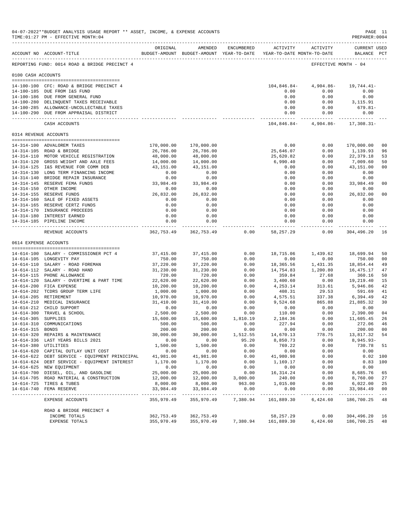|                     | 04-07-2022**BUDGET ANALYSIS USAGE REPORT ** ASSET, INCOME, & EXPENSE ACCOUNTS<br>TIME: 01:27 PM - EFFECTIVE MONTH: 04 |                            |                             |                  |                                                                     |                                  | PAGE 11<br>PREPARER: 0004               |                         |
|---------------------|-----------------------------------------------------------------------------------------------------------------------|----------------------------|-----------------------------|------------------|---------------------------------------------------------------------|----------------------------------|-----------------------------------------|-------------------------|
|                     | ACCOUNT NO ACCOUNT-TITLE                                                                                              | ORIGINAL                   | AMENDED                     | ENCUMBERED       | BUDGET-AMOUNT BUDGET-AMOUNT YEAR-TO-DATE YEAR-TO-DATE MONTH-TO-DATE | ACTIVITY ACTIVITY                | <b>CURRENT USED</b><br>BALANCE PCT      |                         |
|                     | REPORTING FUND: 0014 ROAD & BRIDGE PRECINCT 4                                                                         |                            |                             |                  |                                                                     | EFFECTIVE MONTH - 04             |                                         |                         |
| 0100 CASH ACCOUNTS  |                                                                                                                       |                            |                             |                  |                                                                     |                                  |                                         |                         |
|                     |                                                                                                                       |                            |                             |                  |                                                                     |                                  |                                         |                         |
|                     | 14-100-100 CFC: ROAD & BRIDGE PRECINCT 4                                                                              |                            |                             |                  | 104,846.84-                                                         | $4,904.86 - 19,744.41 -$         |                                         |                         |
|                     | 14-100-185 DUE FROM I&S FUND<br>14-100-186 DUE FROM GENERAL FUND                                                      |                            |                             |                  | 0.00<br>0.00                                                        | 0.00<br>0.00                     | 0.00<br>0.00                            |                         |
|                     | 14-100-280 DELINQUENT TAXES RECEIVABLE                                                                                |                            |                             |                  | 0.00                                                                | 0.00                             | 3,115.91                                |                         |
|                     | 14-100-285 ALLOWANCE-UNCOLLECTABLE TAXES                                                                              |                            |                             |                  | 0.00                                                                | 0.00                             | 679.81-                                 |                         |
|                     | 14-100-290 DUE FROM APPRAISAL DISTRICT                                                                                |                            |                             |                  |                                                                     | 0.00<br>0.00                     | 0.00                                    |                         |
|                     | CASH ACCOUNTS                                                                                                         |                            |                             |                  |                                                                     | $104,846.84-4,904.86-17,308.31-$ |                                         |                         |
|                     | 0314 REVENUE ACCOUNTS                                                                                                 |                            |                             |                  |                                                                     |                                  |                                         |                         |
|                     |                                                                                                                       |                            |                             |                  |                                                                     |                                  |                                         |                         |
|                     | 14-314-100 ADVALOREM TAXES                                                                                            | 170,000.00<br>26,786.00    | 170,000.00<br>26,786.00     |                  | 0.00<br>25,646.07                                                   | 0.00<br>0.00                     | 170,000.00<br>1,139.93                  | 0 <sub>0</sub><br>96    |
|                     | 14-314-105 ROAD & BRIDGE<br>14-314-110 MOTOR VEHICLE REGISTRATION                                                     | 48,000.00                  | 48,000.00                   |                  | 25,620.82                                                           | 0.00                             | 22,379.18                               | 53                      |
|                     | 14-314-120 GROSS WEIGHT AND AXLE FEES                                                                                 | 14,000.00                  | 14,000.00                   |                  | 6,990.40                                                            | 0.00                             | 7,009.60                                | 50                      |
|                     | 14-314-125 I&S REVENUE FOR COMM DEB                                                                                   | 43,151.00                  | 43,151.00                   |                  | 0.00                                                                | 0.00                             | 43,151.00                               | 0 <sub>0</sub>          |
|                     | 14-314-130 LONG TERM FINANCING INCOME                                                                                 | 0.00                       | 0.00                        |                  | 0.00                                                                | 0.00                             | 0.00                                    |                         |
|                     | 14-314-140 BRIDGE REPAIR INSURANCE                                                                                    | 0.00                       | 0.00                        |                  | 0.00                                                                | 0.00                             | 0.00                                    |                         |
|                     | 14-314-145 RESERVE FEMA FUNDS                                                                                         | 33,984.49                  | 33,984.49                   |                  | 0.00                                                                | 0.00                             | 33,984.49                               | 0 <sub>0</sub>          |
|                     | 14-314-150 OTHER INCOME                                                                                               | 0.00                       | 0.00                        |                  | 0.00                                                                | 0.00                             | 0.00                                    |                         |
|                     | 14-314-155 RESERVE FUNDS                                                                                              | 26,832.00                  | 26,832.00                   |                  | 0.00                                                                | 0.00                             | 26,832.00                               | 0 <sub>0</sub>          |
|                     | 14-314-160 SALE OF FIXED ASSETS                                                                                       | 0.00                       | 0.00                        |                  | 0.00                                                                | 0.00                             | 0.00                                    |                         |
|                     | 14-314-165 RESERVE CERTZ FUNDS                                                                                        | 0.00                       | 0.00                        |                  | 0.00                                                                | 0.00                             | 0.00                                    |                         |
|                     | 14-314-170 INSURANCE PROCEEDS<br>14-314-180 INTEREST EARNED                                                           | 0.00<br>0.00               | 0.00<br>0.00                |                  | 0.00<br>0.00                                                        | 0.00<br>0.00                     | 0.00<br>0.00                            |                         |
|                     | 14-314-185 PIPELINE INCOME                                                                                            | 0.00                       | 0.00                        |                  | 0.00                                                                | 0.00                             | 0.00                                    |                         |
|                     |                                                                                                                       |                            |                             |                  |                                                                     | -----------                      | -------------                           |                         |
|                     | REVENUE ACCOUNTS                                                                                                      |                            | 362,753.49 362,753.49       | 0.00             | 58,257.29                                                           | 0.00                             | 304,496.20                              | 16                      |
|                     | 0614 EXPENSE ACCOUNTS                                                                                                 |                            |                             |                  |                                                                     |                                  |                                         |                         |
|                     | 14-614-100 SALARY - COMMISSIONER PCT 4                                                                                | 37,415.00                  | 37,415.00                   | 0.00             |                                                                     | 18,715.06 1,439.62 18,699.94     |                                         | 50                      |
|                     | 14-614-105 LONGEVITY PAY                                                                                              | 750.00                     | 750.00                      | 0.00             | 0.00                                                                | 0.00                             | 750.00                                  | 0 <sub>0</sub>          |
|                     | 14-614-110 SALARY - ROAD FOREMAN                                                                                      | 37,220.00                  | 37,220.00                   | 0.00             | 18,365.56                                                           | 1,431.35                         | 18,854.44                               | 49                      |
|                     | 14-614-112 SALARY - ROAD HAND                                                                                         | 31,230.00                  | 31,230.00                   | 0.00             | 14,754.83                                                           | 1,200.80                         | 16,475.17                               | 47                      |
|                     | 14-614-115 PHONE ALLOWANCE                                                                                            | 720.00                     | 720.00                      | 0.00             | 359.84                                                              | 27.68                            | 360.16                                  | 50                      |
|                     | 14-614-120 SALARY - OVERTIME & PART TIME                                                                              | 22,620.00                  | 22,620.00                   | 0.00             | 3,400.60                                                            | 0.00                             | 19,219.40                               | 15                      |
|                     | 14-614-200 FICA EXPENSE<br>14-614-202 TCDRS GROUP TERM LIFE                                                           | 10,200.00<br>1,000.00      | 10,200.00<br>1,000.00       | 0.00<br>0.00     | 4,253.14<br>408.31                                                  | 313.61<br>29.53                  | 5,946.86<br>591.69                      | 42<br>41                |
|                     | 14-614-205 RETIREMENT                                                                                                 | 10,970.00                  | 10,970.00                   | 0.00             | 4,575.51                                                            | 337.38                           | 6,394.49                                | 42                      |
|                     | 14-614-210 MEDICAL INSURANCE                                                                                          | 31,410.00                  | 31,410.00                   | 0.00             | 9,524.68                                                            | 865.88                           | 21,885.32                               | 30                      |
|                     | 14-614-212 CHILD SUPPORT                                                                                              | 0.00                       | 0.00                        | 0.00             | 0.00                                                                | 0.00                             | 0.00                                    |                         |
|                     | 14-614-300 TRAVEL & SCHOOL                                                                                            | 2,500.00                   | 2,500.00                    | 0.00             | 110.00                                                              | 0.00                             | 2,390.00                                | 04                      |
| 14-614-305 SUPPLIES |                                                                                                                       | 15,600.00                  | 15,600.00                   | 1,810.19         | 2,184.36                                                            | 0.00                             | 11,605.45                               | 26                      |
|                     | 14-614-310 COMMUNICATIONS                                                                                             | 500.00                     | 500.00                      | 0.00             | 227.94                                                              | 0.00                             | 272.06                                  | 46                      |
| 14-614-315 BONDS    |                                                                                                                       | 200.00                     | 200.00                      | 0.00             | 0.00                                                                | 0.00                             | 200.00                                  | 0 <sub>0</sub>          |
|                     | 14-614-320 REPAIRS & MAINTENANCE                                                                                      | 30,000.00                  | 30,000.00                   | 1,512.55         | 14,670.13                                                           | 778.75                           | 13,817.32                               | 54                      |
|                     | 14-614-336 LAST YEARS BILLS 2021<br>14-614-380 UTILITIES                                                              | 0.00<br>1,500.00           | 0.00                        | 95.20            | 8,850.73                                                            | 0.00                             | $8,945.93-$                             |                         |
|                     | 14-614-620 CAPITAL OUTLAY UNIT COST                                                                                   | 0.00                       | 1,500.00<br>0.00            | 0.00<br>0.00     | 769.22<br>0.00                                                      | 0.00<br>0.00                     | 730.78<br>0.00                          | 51                      |
|                     | 14-614-622 DEBT SERVICE - EQUIPMENT PRINICIPAL                                                                        | 41,981.00                  | 41,981.00                   | 0.00             | 41,980.98                                                           | 0.00                             | 0.02 100                                |                         |
|                     | 14-614-624 DEBT SERVICE - EQUIPMENT INTEREST                                                                          | 1,170.00                   | 1,170.00                    | 0.00             | 1,169.17                                                            | 0.00                             | $0.83$ 100                              |                         |
|                     | 14-614-625 NEW EQUIPMENT                                                                                              | 0.00                       | 0.00                        | 0.00             | 0.00                                                                | 0.00                             | 0.00                                    |                         |
|                     | 14-614-700 DIESEL, OIL, AND GASOLINE                                                                                  | 25,000.00                  | 25,000.00                   | 0.00             | 16, 314. 24                                                         | 0.00                             | 8,685.76                                | 65                      |
|                     | 14-614-705 ROAD MATERIAL & CONSTRUCTION                                                                               | 12,000.00                  | 12,000.00                   | 3,000.00         | 240.00                                                              | 0.00                             | 8,760.00                                | 27                      |
|                     | 14-614-725 TIRES & TUBES                                                                                              | 8,000.00                   | 8,000.00                    | 963.00           | 1,015.00                                                            | 0.00                             | 6,022.00                                | 25                      |
|                     | 14-614-740 FEMA RESERVE                                                                                               | 33,984.49<br>------------- | 33,984.49<br>______________ | 0.00<br>-------- | 0.00<br>------                                                      | 0.00                             | 33,984.49<br>__________________________ | 0 <sub>0</sub><br>$---$ |
|                     | EXPENSE ACCOUNTS                                                                                                      | 355,970.49                 | 355,970.49                  | 7,380.94         | 161,889.30                                                          | 6,424.60                         | 186,700.25                              | 48                      |
|                     | ROAD & BRIDGE PRECINCT 4                                                                                              |                            |                             |                  |                                                                     |                                  |                                         |                         |
|                     | INCOME TOTALS                                                                                                         | 362,753.49                 | 362,753.49                  |                  | 58,257.29                                                           | 0.00                             | 304,496.20                              | 16                      |
|                     | EXPENSE TOTALS                                                                                                        | 355,970.49                 | 355,970.49                  | 7,380.94         | 161,889.30                                                          | 6,424.60                         | 186,700.25                              | -48                     |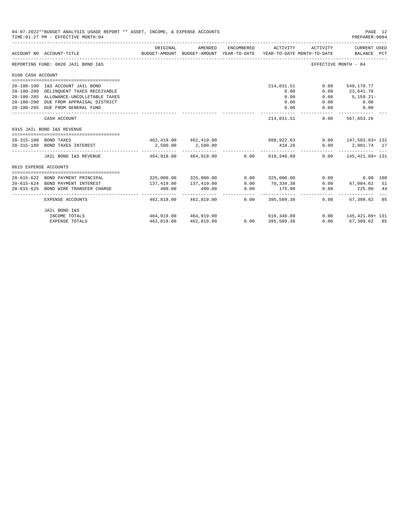|                                                                                                                                           | 04-07-2022**BUDGET ANALYSIS USAGE REPORT ** ASSET, INCOME, & EXPENSE ACCOUNTS<br>TIME: 01:27 PM - EFFECTIVE MONTH: 04 |                         |                                                     |                    |                                        |              | PAGE 12<br>PREPARER: 0004                     |  |
|-------------------------------------------------------------------------------------------------------------------------------------------|-----------------------------------------------------------------------------------------------------------------------|-------------------------|-----------------------------------------------------|--------------------|----------------------------------------|--------------|-----------------------------------------------|--|
|                                                                                                                                           | ACCOUNT NO ACCOUNT-TITLE                                                                                              | ORIGINAL                | AMENDED<br>BUDGET-AMOUNT BUDGET-AMOUNT YEAR-TO-DATE | ENCUMBERED         | ACTIVITY<br>YEAR-TO-DATE MONTH-TO-DATE | ACTIVITY     | CURRENT USED<br>BALANCE PCT                   |  |
|                                                                                                                                           | REPORTING FUND: 0020 JAIL BOND I&S                                                                                    |                         |                                                     |                    |                                        |              | EFFECTIVE MONTH - 04                          |  |
|                                                                                                                                           |                                                                                                                       |                         |                                                     |                    |                                        |              |                                               |  |
|                                                                                                                                           |                                                                                                                       |                         |                                                     |                    |                                        |              |                                               |  |
|                                                                                                                                           | 20-100-190 I&S ACCOUNT JAIL BOND                                                                                      |                         |                                                     |                    | 214,831.51                             | 0.00         | 549,170.77                                    |  |
|                                                                                                                                           | 20-100-280 DELINQUENT TAXES RECEIVABLE                                                                                |                         |                                                     |                    | 0.00                                   | 0.00         | 23,641.70                                     |  |
|                                                                                                                                           | 20-100-285 ALLOWANCE-UNCOLLETABLE TAXES                                                                               |                         |                                                     |                    | 0.00                                   | 0.00         | $5,159.21-$                                   |  |
|                                                                                                                                           | 20-100-290 DUE FROM APPRAISAL DISTRICT                                                                                |                         |                                                     |                    | 0.00<br>0.00                           | 0.00<br>0.00 | 0.00                                          |  |
|                                                                                                                                           |                                                                                                                       |                         |                                                     |                    |                                        |              | 0.00                                          |  |
|                                                                                                                                           | CASH ACCOUNT                                                                                                          |                         |                                                     |                    | 214,831.51                             |              | $0.00$ 567,653.26                             |  |
|                                                                                                                                           | 0315 JAIL BOND I&S REVENUE                                                                                            |                         |                                                     |                    |                                        |              |                                               |  |
|                                                                                                                                           |                                                                                                                       |                         |                                                     |                    |                                        |              |                                               |  |
| 0100 CASH ACCOUNT<br>20-100-295 DUE FROM GENERAL FUND<br>20-315-100 BOND TAXES<br>20-315-180 BOND TAXES INTEREST<br>0615 EXPENSE ACCOUNTS |                                                                                                                       |                         |                                                     |                    | $462,419.00$ $462,419.00$ $609,922.63$ |              | $0.00$ 147,503.63+132                         |  |
|                                                                                                                                           |                                                                                                                       |                         | 2,500.00 2,500.00                                   |                    | 418.26                                 |              | $0.00$ 2,081.74 17<br><u>------------ ---</u> |  |
|                                                                                                                                           | JAIL BOND I&S REVENUE 464,919.00 464,919.00                                                                           |                         |                                                     |                    | 0.00 610.340.89                        |              | $0.00$ 145, 421, 89+ 131                      |  |
|                                                                                                                                           |                                                                                                                       |                         |                                                     |                    |                                        |              |                                               |  |
|                                                                                                                                           |                                                                                                                       |                         |                                                     |                    |                                        |              |                                               |  |
|                                                                                                                                           | 20-615-622 BOND PAYMENT PRINCIPAL                                                                                     |                         | 325,000.00 325,000.00                               | 0.00               | 325,000.00                             | 0.00         | 0.00 100                                      |  |
|                                                                                                                                           | 20-615-624 BOND PAYMENT INTEREST                                                                                      | 137,419.00              | 137,419.00                                          | 0.00               | 70,334.38                              | 0.00         | 67,084.62 51                                  |  |
| $20 - 615 - 625$                                                                                                                          | BOND WIRE TRANSFER CHARGE                                                                                             | 400.00<br>------------- | 400.00                                              | 0.00<br>---------- | 175.00                                 | 0.00         | 225.00 44                                     |  |
|                                                                                                                                           | EXPENSE ACCOUNTS                                                                                                      | 462,819.00              | 462,819,00                                          |                    | $0.00$ 395,509.38                      | 0.00         | 67,309.62 85                                  |  |
|                                                                                                                                           | JAIL BOND I&S                                                                                                         |                         |                                                     |                    |                                        |              |                                               |  |
|                                                                                                                                           | INCOME TOTALS                                                                                                         |                         | 464,919.00 464,919.00                               |                    | 610,340.89                             |              | $0.00$ 145, 421, 89+ 131                      |  |
|                                                                                                                                           | <b>EXPENSE TOTALS</b>                                                                                                 | 462,819.00              | 462,819.00                                          |                    | $0.00$ 395,509.38                      |              | $0.00$ 67,309.62 85                           |  |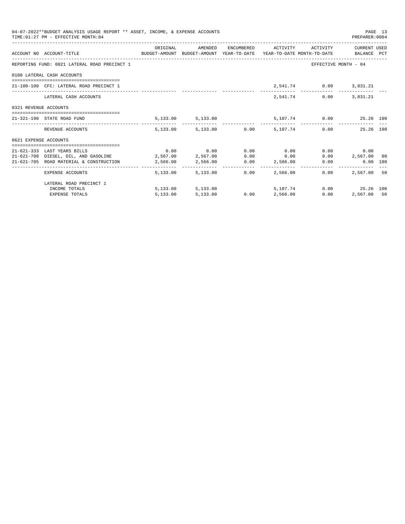| 04-07-2022**BUDGET ANALYSIS USAGE REPORT ** ASSET, INCOME, & EXPENSE ACCOUNTS<br>PAGE 13<br>TIME: 01:27 PM - EFFECTIVE MONTH: 04<br>PREPARER:0004<br>ORIGINAL AMENDED ENCUMBERED ACTIVITY ACTIVITY CURRENTUSED<br>ACCOUNT NO ACCOUNT-TITLE CONTROL BUDGET-AMOUNT BUDGET-AMOUNT YEAR-TO-DATE YEAR-TO-DATE MONTH-TO-DATE BALANCE PCT<br>REPORTING FUND: 0021 LATERAL ROAD PRECINCT 1<br>EFFECTIVE MONTH - 04<br>0100 LATERAL CASH ACCOUNTS<br>2,541.74 0.00 3,831.21<br>21-100-100 CFC: LATERAL ROAD PRECINCT 1<br>3,831.21<br>2,541.74 0.00<br>LATERAL CASH ACCOUNTS<br>0321 REVENUE ACCOUNTS<br>$5,133.00$ $5,133.00$ $5,107.74$ $0.00$ $25.26$ 100<br>21-321-190 STATE ROAD FUND<br>5,133.00 5,133.00 0.00 5,107.74 0.00 25.26 100<br>REVENUE ACCOUNTS<br>0621 EXPENSE ACCOUNTS<br>$0.00$ $0.00$ $0.00$ $0.00$ $0.00$<br>0.00<br>0.00<br>21-621-333 LAST YEARS BILLS<br>$21-621-700$ DIESEL, OIL, AND GASOLINE $2,567.00$ $2,567.00$ $0.00$ 0.00 0.00<br>$0.00$ 2,567.00 00<br>$21-621-705$ ROAD MATERIAL & CONSTRUCTION $2,566.00$ $2,566.00$ $0.00$ $2,566.00$ $0.00$<br>0.00 100<br>5.133.00 0.00<br>2,567,00 50<br>5,133,00<br>2,566,00<br>0.00<br>EXPENSE ACCOUNTS |                         |          |          |  |                               |      |                |  |
|--------------------------------------------------------------------------------------------------------------------------------------------------------------------------------------------------------------------------------------------------------------------------------------------------------------------------------------------------------------------------------------------------------------------------------------------------------------------------------------------------------------------------------------------------------------------------------------------------------------------------------------------------------------------------------------------------------------------------------------------------------------------------------------------------------------------------------------------------------------------------------------------------------------------------------------------------------------------------------------------------------------------------------------------------------------------------------------------------------------------------------------------------------------------------|-------------------------|----------|----------|--|-------------------------------|------|----------------|--|
|                                                                                                                                                                                                                                                                                                                                                                                                                                                                                                                                                                                                                                                                                                                                                                                                                                                                                                                                                                                                                                                                                                                                                                          |                         |          |          |  |                               |      |                |  |
|                                                                                                                                                                                                                                                                                                                                                                                                                                                                                                                                                                                                                                                                                                                                                                                                                                                                                                                                                                                                                                                                                                                                                                          |                         |          |          |  |                               |      |                |  |
|                                                                                                                                                                                                                                                                                                                                                                                                                                                                                                                                                                                                                                                                                                                                                                                                                                                                                                                                                                                                                                                                                                                                                                          |                         |          |          |  |                               |      |                |  |
|                                                                                                                                                                                                                                                                                                                                                                                                                                                                                                                                                                                                                                                                                                                                                                                                                                                                                                                                                                                                                                                                                                                                                                          |                         |          |          |  |                               |      |                |  |
|                                                                                                                                                                                                                                                                                                                                                                                                                                                                                                                                                                                                                                                                                                                                                                                                                                                                                                                                                                                                                                                                                                                                                                          |                         |          |          |  |                               |      |                |  |
|                                                                                                                                                                                                                                                                                                                                                                                                                                                                                                                                                                                                                                                                                                                                                                                                                                                                                                                                                                                                                                                                                                                                                                          |                         |          |          |  |                               |      |                |  |
|                                                                                                                                                                                                                                                                                                                                                                                                                                                                                                                                                                                                                                                                                                                                                                                                                                                                                                                                                                                                                                                                                                                                                                          |                         |          |          |  |                               |      |                |  |
|                                                                                                                                                                                                                                                                                                                                                                                                                                                                                                                                                                                                                                                                                                                                                                                                                                                                                                                                                                                                                                                                                                                                                                          |                         |          |          |  |                               |      |                |  |
|                                                                                                                                                                                                                                                                                                                                                                                                                                                                                                                                                                                                                                                                                                                                                                                                                                                                                                                                                                                                                                                                                                                                                                          |                         |          |          |  |                               |      |                |  |
|                                                                                                                                                                                                                                                                                                                                                                                                                                                                                                                                                                                                                                                                                                                                                                                                                                                                                                                                                                                                                                                                                                                                                                          |                         |          |          |  |                               |      |                |  |
|                                                                                                                                                                                                                                                                                                                                                                                                                                                                                                                                                                                                                                                                                                                                                                                                                                                                                                                                                                                                                                                                                                                                                                          |                         |          |          |  |                               |      |                |  |
|                                                                                                                                                                                                                                                                                                                                                                                                                                                                                                                                                                                                                                                                                                                                                                                                                                                                                                                                                                                                                                                                                                                                                                          |                         |          |          |  |                               |      |                |  |
|                                                                                                                                                                                                                                                                                                                                                                                                                                                                                                                                                                                                                                                                                                                                                                                                                                                                                                                                                                                                                                                                                                                                                                          |                         |          |          |  |                               |      |                |  |
|                                                                                                                                                                                                                                                                                                                                                                                                                                                                                                                                                                                                                                                                                                                                                                                                                                                                                                                                                                                                                                                                                                                                                                          | LATERAL ROAD PRECINCT 1 |          |          |  |                               |      |                |  |
|                                                                                                                                                                                                                                                                                                                                                                                                                                                                                                                                                                                                                                                                                                                                                                                                                                                                                                                                                                                                                                                                                                                                                                          | INCOME TOTALS           |          |          |  | 5, 133.00 5, 133.00 5, 107.74 |      | 0.00 25.26 100 |  |
|                                                                                                                                                                                                                                                                                                                                                                                                                                                                                                                                                                                                                                                                                                                                                                                                                                                                                                                                                                                                                                                                                                                                                                          | <b>EXPENSE TOTALS</b>   | 5,133.00 | 5,133.00 |  | $0.00$ $2,566.00$             | 0.00 | 2,567.00 50    |  |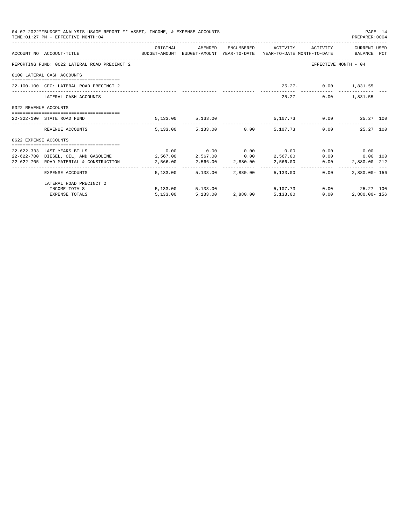|                       | 04-07-2022**BUDGET ANALYSIS USAGE REPORT ** ASSET, INCOME, & EXPENSE ACCOUNTS<br>TIME: 01:27 PM - EFFECTIVE MONTH: 04 |          |                            |                                                     |      | PAGE 14<br>PREPARER:0004 |  |
|-----------------------|-----------------------------------------------------------------------------------------------------------------------|----------|----------------------------|-----------------------------------------------------|------|--------------------------|--|
|                       | ACCOUNT NO ACCOUNT-TITLE CONTROL BUDGET-AMOUNT BUDGET-AMOUNT YEAR-TO-DATE YEAR-TO-DATE MONTH-TO-DATE BALANCE PCT      | ORIGINAL |                            | AMENDED ENCUMBERED ACTIVITY ACTIVITY CURRENTUSED    |      |                          |  |
|                       | REPORTING FUND: 0022 LATERAL ROAD PRECINCT 2                                                                          |          |                            |                                                     |      | EFFECTIVE MONTH - 04     |  |
|                       | 0100 LATERAL CASH ACCOUNTS                                                                                            |          |                            |                                                     |      |                          |  |
|                       | 22-100-100 CFC: LATERAL ROAD PRECINCT 2                                                                               |          |                            |                                                     |      | 25.27- 0.00 1,831.55     |  |
|                       | LATERAL CASH ACCOUNTS                                                                                                 |          |                            | $25.27 -$                                           |      | $0.00$ 1,831.55          |  |
| 0322 REVENUE ACCOUNTS |                                                                                                                       |          |                            |                                                     |      |                          |  |
|                       | 22-322-190 STATE ROAD FUND                                                                                            |          |                            | $5,133.00$ $5,133.00$ $5,107.73$ $0.00$ $25.27$ 100 |      |                          |  |
|                       | REVENUE ACCOUNTS                                                                                                      |          |                            | 5,133.00 5,133.00 0.00 5,107.73 0.00 25.27 100      |      |                          |  |
| 0622 EXPENSE ACCOUNTS |                                                                                                                       |          |                            |                                                     |      |                          |  |
|                       | 22-622-333 LAST YEARS BILLS                                                                                           |          |                            | $0.00$ $0.00$ $0.00$ $0.00$ $0.00$                  |      | 0.00<br>0.00             |  |
|                       | $22-622-700$ DIESEL, OIL, AND GASOLINE $2,567.00$ $2,567.00$ $0.00$ $2,567.00$                                        |          |                            |                                                     |      | $0.00$ $0.00$ 100        |  |
|                       | 22-622-705 ROAD MATERIAL & CONSTRUCTION 2,566.00 2,566.00 2,880.00 2,566.00                                           |          |                            |                                                     | 0.00 | 2,880.00-212             |  |
|                       | EXPENSE ACCOUNTS                                                                                                      |          | 5,133.00 5,133.00 2,880.00 | 5,133.00                                            | 0.00 | $2.880.00 - 156$         |  |
|                       | LATERAL ROAD PRECINCT 2                                                                                               |          |                            |                                                     |      |                          |  |
|                       | INCOME TOTALS                                                                                                         |          |                            | 5,133.00 5,133.00 5,107.73                          |      | $0.00$ 25.27 100         |  |
|                       | <b>EXPENSE TOTALS</b>                                                                                                 | 5,133.00 |                            | 5,133.00 2,880.00 5,133.00                          | 0.00 | 2,880.00-156             |  |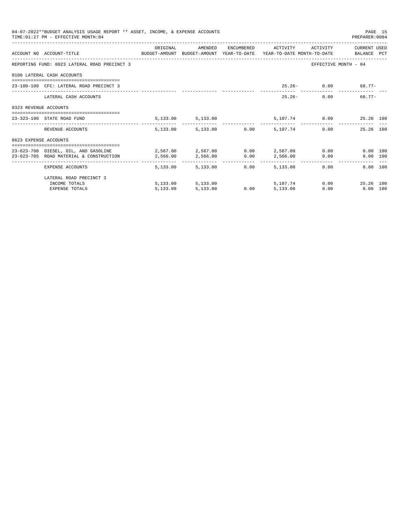|                       | 04-07-2022**BUDGET ANALYSIS USAGE REPORT ** ASSET, INCOME, & EXPENSE ACCOUNTS<br>TIME: 01:27 PM - EFFECTIVE MONTH: 04         |          |                                 |      |          |                                      | PREPARER: 0004          | PAGE 15 |
|-----------------------|-------------------------------------------------------------------------------------------------------------------------------|----------|---------------------------------|------|----------|--------------------------------------|-------------------------|---------|
|                       | ACCOUNT NO ACCOUNT-TITLE COMPUTE SUDGET-AMOUNT BUDGET-AMOUNT YEAR-TO-DATE YEAR-TO-DATE MONTH-TO-DATE BALANCE PCT              | ORIGINAL |                                 |      |          | AMENDED ENCUMBERED ACTIVITY ACTIVITY | CURRENT USED            |         |
|                       | REPORTING FUND: 0023 LATERAL ROAD PRECINCT 3                                                                                  |          |                                 |      |          |                                      | EFFECTIVE MONTH - 04    |         |
|                       | 0100 LATERAL CASH ACCOUNTS                                                                                                    |          |                                 |      |          |                                      |                         |         |
|                       | 23-100-100 CFC: LATERAL ROAD PRECINCT 3                                                                                       |          |                                 |      |          |                                      | $25.26 - 0.00$ 68.77-   |         |
|                       | LATERAL CASH ACCOUNTS                                                                                                         |          |                                 |      |          | $25.26 -$                            | 68.77-<br>0.00          |         |
| 0323 REVENUE ACCOUNTS |                                                                                                                               |          |                                 |      |          |                                      |                         |         |
|                       | 23-323-190 STATE ROAD FUND                                                                                                    |          | 5,133.00 5,133.00               |      |          |                                      | 5,107.74 0.00 25.26 100 |         |
|                       | REVENUE ACCOUNTS                                                                                                              |          | 5,133.00 5,133.00 0.00 5,107.74 |      |          |                                      | 0.00<br>25.26 100       |         |
| 0623 EXPENSE ACCOUNTS |                                                                                                                               |          |                                 |      |          |                                      |                         |         |
|                       | 23-623-700 DIESEL, OIL, AND GASOLINE 2,567.00 2,567.00 0.00 2,567.00 0.00<br>23-623-705 ROAD MATERIAL & CONSTRUCTION 2.566.00 |          | 2,566.00 0.00                   |      |          | 2,566.00 0.00                        | 0.00 100<br>0.00 100    |         |
|                       | EXPENSE ACCOUNTS                                                                                                              |          | 5,133,00 5,133,00               | 0.00 | 5,133,00 |                                      | 0.00<br>0.00 100        |         |
|                       | LATERAL ROAD PRECINCT 3                                                                                                       |          |                                 |      |          |                                      |                         |         |
|                       | INCOME TOTALS                                                                                                                 |          | 5,133.00 5,133.00               |      | 5,107,74 |                                      | 0.00<br>25.26 100       |         |
|                       | <b>EXPENSE TOTALS</b>                                                                                                         | 5.133.00 | 5,133.00                        | 0.00 | 5,133.00 | 0.00                                 | $0.00$ 100              |         |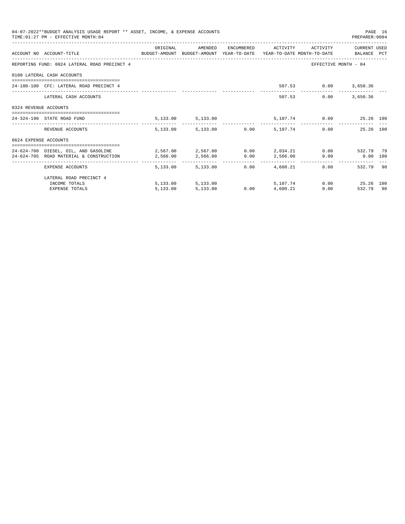|                       | 04-07-2022**BUDGET ANALYSIS USAGE REPORT ** ASSET, INCOME, & EXPENSE ACCOUNTS<br>TIME: 01:27 PM - EFFECTIVE MONTH: 04 |            |                                 |      |                   |                              | PREPARER: 0004          | PAGE 16 |
|-----------------------|-----------------------------------------------------------------------------------------------------------------------|------------|---------------------------------|------|-------------------|------------------------------|-------------------------|---------|
|                       |                                                                                                                       | ORIGINAL   | AMENDED                         |      |                   | ENCUMBERED ACTIVITY ACTIVITY | CURRENT USED            |         |
|                       | ACCOUNT NO ACCOUNT-TITLE CONTROL SUDGET-AMOUNT BUDGET-AMOUNT YEAR-TO-DATE YEAR-TO-DATE MONTH-TO-DATE BALANCE PCT      |            |                                 |      |                   |                              |                         |         |
|                       | REPORTING FUND: 0024 LATERAL ROAD PRECINCT 4                                                                          |            |                                 |      |                   |                              | EFFECTIVE MONTH - 04    |         |
|                       | 0100 LATERAL CASH ACCOUNTS                                                                                            |            |                                 |      |                   |                              |                         |         |
|                       | 24-100-100 CFC: LATERAL ROAD PRECINCT 4                                                                               |            |                                 |      |                   | 507.53 0.00 3,650.36         |                         |         |
|                       | LATERAL CASH ACCOUNTS                                                                                                 |            |                                 |      |                   | 507.53<br>0.00               | 3,650.36                |         |
| 0324 REVENUE ACCOUNTS |                                                                                                                       |            |                                 |      |                   |                              |                         |         |
|                       | 24-324-190 STATE ROAD FUND                                                                                            |            | 5, 133.00 5, 133.00             |      |                   |                              | 5,107.74 0.00 25.26 100 |         |
|                       | REVENUE ACCOUNTS                                                                                                      |            | 5,133.00 5,133.00 0.00 5,107.74 |      |                   |                              | 0.00<br>25.26 100       |         |
| 0624 EXPENSE ACCOUNTS |                                                                                                                       |            |                                 |      |                   |                              |                         |         |
|                       | 24-624-700 DIESEL, OIL, AND GASOLINE $2,567.00$ $2,567.00$ $0.00$ $2,034.21$ $0.00$ $532.79$ 79                       |            |                                 |      |                   |                              |                         |         |
|                       | 24-624-705 ROAD MATERIAL & CONSTRUCTION 2,566.00                                                                      |            | 2,566.00 0.00 2,566.00          |      |                   |                              | $0.00$ 0.00 100         |         |
|                       | ____________________________________<br>EXPENSE ACCOUNTS                                                              | -------- - | 5,133,00 5,133,00               | 0.00 | 4,600.21          |                              | 532.79 90<br>0.00       |         |
|                       | LATERAL ROAD PRECINCT 4                                                                                               |            |                                 |      |                   |                              |                         |         |
|                       | INCOME TOTALS                                                                                                         |            | 5,133.00 5,133.00               |      | 5,107,74          |                              | $0.00$ 25.26 100        |         |
|                       | <b>EXPENSE TOTALS</b>                                                                                                 | 5.133.00   | 5,133.00                        |      | $0.00$ $4.600.21$ |                              | 0.00<br>532.79 90       |         |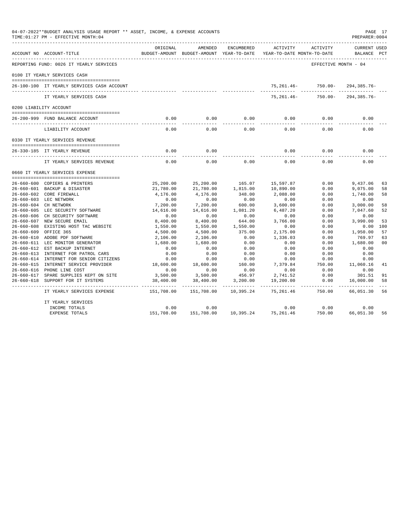|                  | 04-07-2022**BUDGET ANALYSIS USAGE REPORT ** ASSET, INCOME, & EXPENSE ACCOUNTS<br>TIME: 01:27 PM - EFFECTIVE MONTH: 04 |                        |                                                     |            |                                        |                      | PAGE 17<br>PREPARER: 0004          |                |
|------------------|-----------------------------------------------------------------------------------------------------------------------|------------------------|-----------------------------------------------------|------------|----------------------------------------|----------------------|------------------------------------|----------------|
|                  | ACCOUNT NO ACCOUNT-TITLE                                                                                              | ORIGINAL               | AMENDED<br>BUDGET-AMOUNT BUDGET-AMOUNT YEAR-TO-DATE | ENCUMBERED | ACTIVITY<br>YEAR-TO-DATE MONTH-TO-DATE | ACTIVITY             | <b>CURRENT USED</b><br>BALANCE PCT |                |
|                  | REPORTING FUND: 0026 IT YEARLY SERVICES                                                                               |                        |                                                     |            |                                        | EFFECTIVE MONTH - 04 |                                    |                |
|                  | 0100 IT YEARLY SERVICES CASH                                                                                          |                        |                                                     |            |                                        |                      |                                    |                |
|                  |                                                                                                                       |                        |                                                     |            |                                        |                      |                                    |                |
|                  | 26-100-100 IT YEARLY SERVICES CASH ACCOUNT                                                                            |                        |                                                     |            |                                        | 75,261.46- 750.00-   | 294,385.76-                        |                |
|                  | IT YEARLY SERVICES CASH                                                                                               |                        |                                                     |            | $75,261.46 -$                          | 750.00-              | 294, 385. 76-                      |                |
|                  | 0200 LIABILITY ACCOUNT                                                                                                |                        |                                                     |            |                                        |                      |                                    |                |
|                  | 26-200-999 FUND BALANCE ACCOUNT                                                                                       | 0.00                   | 0.00                                                | 0.00       | 0.00                                   | 0.00                 | 0.00                               |                |
|                  |                                                                                                                       |                        |                                                     |            |                                        |                      |                                    |                |
|                  | LIABILITY ACCOUNT                                                                                                     | 0.00                   | 0.00                                                | 0.00       | 0.00                                   | 0.00                 | 0.00                               |                |
|                  | 0330 IT YEARLY SERVICES REVENUE                                                                                       |                        |                                                     |            |                                        |                      |                                    |                |
|                  | 26-330-185 IT YEARLY REVENUE                                                                                          | 0.00                   | 0.00                                                |            | 0.00                                   | 0.00                 | 0.00                               |                |
|                  | IT YEARLY SERVICES REVENUE                                                                                            | 0.00                   | 0.00                                                | 0.00       | 0.00                                   | 0.00                 | 0.00                               |                |
|                  | 0660 IT YEARLY SERVICES EXPENSE                                                                                       |                        |                                                     |            |                                        |                      |                                    |                |
|                  |                                                                                                                       |                        |                                                     | 165.07     |                                        | 0.00                 |                                    |                |
|                  | 26-660-600 COPIERS & PRINTERS<br>26-660-601 BACKUP & DISASTER                                                         | 25,200.00<br>21,780.00 | 25,200.00<br>21,780.00                              | 1,815.00   | 15,597.87<br>10,890.00                 | 0.00                 | 9,437.06<br>9,075.00               | 63<br>58       |
|                  | 26-660-602 CORE FIREWALL                                                                                              | 4,176.00               | 4,176.00                                            | 348.00     | 2,088.00                               | 0.00                 | 1,740.00                           | 58             |
|                  | 26-660-603 LEC NETWORK                                                                                                | 0.00                   | 0.00                                                | 0.00       | 0.00                                   | 0.00                 | 0.00                               |                |
|                  | 26-660-604 CH NETWORK                                                                                                 | 7,200.00               | 7,200.00                                            | 600.00     | 3,600.00                               | 0.00                 | 3,000.00                           | 58             |
|                  | 26-660-605 LEC SECURITY SOFTWARE                                                                                      | 14,616.00              | 14,616.00                                           | 1,081.20   | 6,487.20                               | 0.00                 | 7.047.60                           | 52             |
|                  | 26-660-606 CH SECURITY SOFTWARE                                                                                       | 0.00                   | 0.00                                                | 0.00       | 0.00                                   | 0.00                 | 0.00                               |                |
|                  | 26-660-607 NEW SECURE EMAIL                                                                                           | 8,400.00               | 8,400.00                                            | 644.00     | 3,766.00                               | 0.00                 | 3,990.00                           | 53             |
|                  | 26-660-608 EXISTING HOST TAC WEBSITE                                                                                  | 1,550.00               | 1,550.00                                            | 1,550.00   | 0.00                                   | 0.00                 | 0.00                               | 100            |
| $26 - 660 - 609$ | OFFICE 365                                                                                                            | 4,500.00               | 4,500.00                                            | 375.00     | 2,175.00                               | 0.00                 | 1,950.00                           | 57             |
|                  | 26-660-610 ADOBE PDF SOFTWARE                                                                                         | 2,106.00               | 2,106.00                                            | 0.00       | 1,336.03                               | 0.00                 | 769.97                             | 63             |
|                  | 26-660-611 LEC MONITOR GENERATOR                                                                                      | 1,680.00               | 1,680.00                                            | 0.00       | 0.00                                   | 0.00                 | 1,680.00                           | 0 <sub>0</sub> |
| $26 - 660 - 612$ | EST BACKUP INTERNET                                                                                                   | 0.00                   | 0.00                                                | 0.00       | 0.00                                   | 0.00                 | 0.00                               |                |
|                  | 26-660-613 INTERNET FOR PATROL CARS                                                                                   | 0.00                   | 0.00                                                | 0.00       | 0.00                                   | 0.00                 | 0.00                               |                |
| $26 - 660 - 614$ | INTERNET FOR SENIOR CITIZENS                                                                                          | 0.00                   | 0.00                                                | 0.00       | 0.00                                   | 0.00                 | 0.00                               |                |
|                  | 26-660-615 INTERNET SERVICE PROVIDER                                                                                  | 18,600.00              | 18,600.00                                           | 160.00     | 7,379.84                               | 750.00               | 11,060.16                          | 41             |
|                  | 26-660-616 PHONE LINE COST                                                                                            | 0.00                   | 0.00                                                | 0.00       | 0.00                                   | 0.00                 | 0.00                               |                |
|                  | 26-660-617 SPARE SUPPLIES KEPT ON SITE                                                                                | 3,500.00               | 3,500.00                                            | 456.97     | 2,741.52                               | 0.00                 | 301.51                             | 91             |
| 26-660-618       | SUPPORT FOR IT SYSTEMS                                                                                                | 38,400.00              | 38,400.00                                           | 3,200.00   | 19,200.00                              | 0.00                 | 16,000.00                          | 58             |
|                  | IT YEARLY SERVICES EXPENSE                                                                                            | 151,708.00             | 151,708.00                                          | 10,395.24  | 75, 261.46                             | 750.00               | 66,051.30                          | 56             |
|                  | IT YEARLY SERVICES                                                                                                    |                        |                                                     |            |                                        |                      |                                    |                |
|                  | INCOME TOTALS                                                                                                         | 0.00                   | 0.00                                                |            | 0.00                                   | 0.00                 | 0.00                               |                |
|                  | EXPENSE TOTALS                                                                                                        | 151,708.00             | 151,708.00                                          | 10,395.24  | 75, 261.46                             | 750.00               | 66,051.30                          | 56             |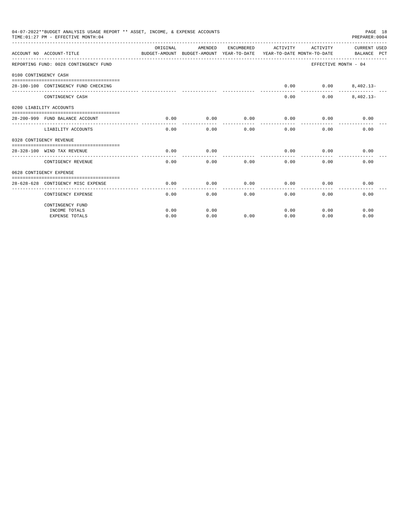|                             | 04-07-2022**BUDGET ANALYSIS USAGE REPORT ** ASSET, INCOME, & EXPENSE ACCOUNTS<br>TIME: 01:27 PM - EFFECTIVE MONTH: 04 |          |          |                 |                               |                               | PAGE 18<br>PREPARER: 0004                                                                       |
|-----------------------------|-----------------------------------------------------------------------------------------------------------------------|----------|----------|-----------------|-------------------------------|-------------------------------|-------------------------------------------------------------------------------------------------|
|                             | ACCOUNT NO ACCOUNT-TITLE                                                                                              | ORIGINAL | AMENDED  | ENCUMBERED      | ACTIVITY                      | ACTIVITY                      | CURRENT USED<br>BUDGET-AMOUNT BUDGET-AMOUNT YEAR-TO-DATE YEAR-TO-DATE MONTH-TO-DATE BALANCE PCT |
|                             | REPORTING FUND: 0028 CONTINGENCY FUND                                                                                 |          |          |                 |                               |                               | EFFECTIVE MONTH - 04                                                                            |
| 0100 CONTINGENCY CASH       |                                                                                                                       |          |          |                 |                               |                               |                                                                                                 |
|                             |                                                                                                                       |          |          |                 |                               |                               |                                                                                                 |
|                             | 28-100-100 CONTINGENCY FUND CHECKING                                                                                  |          |          |                 | 0.00                          |                               | $0.00$ $8,402.13-$                                                                              |
|                             | CONTINGENCY CASH                                                                                                      |          |          |                 | 0.00                          | 0.00                          | $8,402.13-$                                                                                     |
|                             | 0200 LIABILITY ACCOUNTS                                                                                               |          |          |                 |                               |                               |                                                                                                 |
|                             |                                                                                                                       |          |          |                 |                               |                               |                                                                                                 |
|                             | 28-200-999 FUND BALANCE ACCOUNT                                                                                       | 0.00     | 0.00     | 0.00<br>------- | 0.00<br>. _ _ _ _ _ _ _ _ _ _ | 0.00<br>. _ _ _ _ _ _ _ _ _ _ | 0.00                                                                                            |
|                             | LIABILITY ACCOUNTS                                                                                                    | 0.00     | $0.00 -$ | 0.00            | 0.00                          | 0.00                          | 0.00                                                                                            |
|                             | 0328 CONTIGENCY REVENUE                                                                                               |          |          |                 |                               |                               |                                                                                                 |
|                             |                                                                                                                       |          |          |                 |                               |                               |                                                                                                 |
| 28-328-100 WIND TAX REVENUE |                                                                                                                       | 0.00     | 0.00     |                 | 0.00                          | 0.00                          | 0.00                                                                                            |
|                             | CONTIGENCY REVENUE                                                                                                    | 0.00     | 0.00     | 0.00            | 0.00                          | 0.00                          | 0.00                                                                                            |
|                             | 0628 CONTIGENCY EXPENSE                                                                                               |          |          |                 |                               |                               |                                                                                                 |
|                             |                                                                                                                       |          |          |                 |                               |                               |                                                                                                 |
|                             | 28-628-628 CONTIGENCY MISC EXPENSE                                                                                    | 0.00     | 0.00     | 0.00            | 0.00                          | 0.00                          | 0.00                                                                                            |
|                             | CONTIGENCY EXPENSE                                                                                                    | 0.00     | 0.00     | 0.00            | 0.00                          | 0.00                          | 0.00                                                                                            |
|                             | CONTINGENCY FUND                                                                                                      |          |          |                 |                               |                               |                                                                                                 |
|                             | INCOME TOTALS                                                                                                         | 0.00     | 0.00     |                 | 0.00                          | 0.00                          | 0.00                                                                                            |
|                             | <b>EXPENSE TOTALS</b>                                                                                                 | 0.00     | 0.00     | 0.00            | 0.00                          | 0.00                          | 0.00                                                                                            |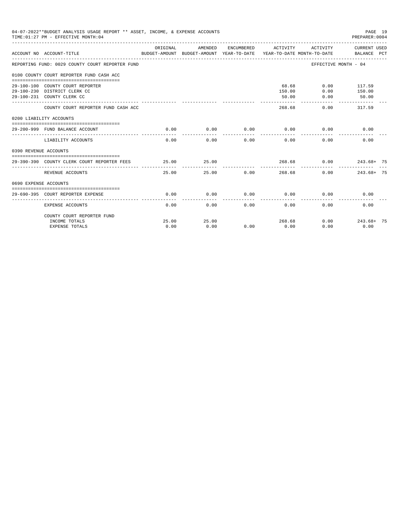| 04-07-2022**BUDGET ANALYSIS USAGE REPORT ** ASSET, INCOME, & EXPENSE ACCOUNTS<br>PAGE 19<br>TIME: 01:27 PM - EFFECTIVE MONTH: 04<br>PREPARER:0004<br>CURRENT USED<br>ORIGINAL<br>AMENDED<br>ENCUMBERED<br>ACTIVITY<br>ACTIVITY<br>ACCOUNT NO ACCOUNT-TITLE<br>BUDGET-AMOUNT BUDGET-AMOUNT YEAR-TO-DATE YEAR-TO-DATE MONTH-TO-DATE<br>BALANCE PCT<br>REPORTING FUND: 0029 COUNTY COURT REPORTER FUND<br>EFFECTIVE MONTH - 04<br>0100 COUNTY COURT REPORTER FUND CASH ACC<br>68.68<br>$0.00$ 117.59<br>29-100-100 COUNTY COURT REPORTER<br>150.00<br>0.00<br>150.00<br>29-100-230 DISTRICT CLERK CC<br>29-100-231 COUNTY CLERK CC<br>50.00<br>0.00<br>50.00<br>317.59<br>COUNTY COURT REPORTER FUND CASH ACC<br>268.68<br>0.00<br>0200 LIABILITY ACCOUNTS<br>0.00<br>0.00<br>0.00<br>0.00<br>29-200-999 FUND BALANCE ACCOUNT<br>0.00<br>0.00<br>0.00<br>0.00<br>0.00<br>0.00<br>$0.00 -$<br>0.00<br>LIABILITY ACCOUNTS<br>0390 REVENUE ACCOUNTS<br>25.00<br>25.00<br>268.68<br>0.00<br>$243.68 + 75$<br>29-390-390 COUNTY CLERK COURT REPORTER FEES<br>--------<br>25.00<br>25.00<br>0.00<br>0.00<br>$243.68 + 75$<br>REVENUE ACCOUNTS<br>268.68<br>0690 EXPENSE ACCOUNTS<br>0.00<br>0.00<br>0.00<br>0.00<br>0.00<br>0.00<br>29-690-395 COURT REPORTER EXPENSE |                            |       |       |      |        |      |                   |  |
|--------------------------------------------------------------------------------------------------------------------------------------------------------------------------------------------------------------------------------------------------------------------------------------------------------------------------------------------------------------------------------------------------------------------------------------------------------------------------------------------------------------------------------------------------------------------------------------------------------------------------------------------------------------------------------------------------------------------------------------------------------------------------------------------------------------------------------------------------------------------------------------------------------------------------------------------------------------------------------------------------------------------------------------------------------------------------------------------------------------------------------------------------------------------------------------------------------------------------------------------------------------|----------------------------|-------|-------|------|--------|------|-------------------|--|
|                                                                                                                                                                                                                                                                                                                                                                                                                                                                                                                                                                                                                                                                                                                                                                                                                                                                                                                                                                                                                                                                                                                                                                                                                                                              |                            |       |       |      |        |      |                   |  |
|                                                                                                                                                                                                                                                                                                                                                                                                                                                                                                                                                                                                                                                                                                                                                                                                                                                                                                                                                                                                                                                                                                                                                                                                                                                              |                            |       |       |      |        |      |                   |  |
|                                                                                                                                                                                                                                                                                                                                                                                                                                                                                                                                                                                                                                                                                                                                                                                                                                                                                                                                                                                                                                                                                                                                                                                                                                                              |                            |       |       |      |        |      |                   |  |
|                                                                                                                                                                                                                                                                                                                                                                                                                                                                                                                                                                                                                                                                                                                                                                                                                                                                                                                                                                                                                                                                                                                                                                                                                                                              |                            |       |       |      |        |      |                   |  |
|                                                                                                                                                                                                                                                                                                                                                                                                                                                                                                                                                                                                                                                                                                                                                                                                                                                                                                                                                                                                                                                                                                                                                                                                                                                              |                            |       |       |      |        |      |                   |  |
|                                                                                                                                                                                                                                                                                                                                                                                                                                                                                                                                                                                                                                                                                                                                                                                                                                                                                                                                                                                                                                                                                                                                                                                                                                                              |                            |       |       |      |        |      |                   |  |
|                                                                                                                                                                                                                                                                                                                                                                                                                                                                                                                                                                                                                                                                                                                                                                                                                                                                                                                                                                                                                                                                                                                                                                                                                                                              |                            |       |       |      |        |      |                   |  |
|                                                                                                                                                                                                                                                                                                                                                                                                                                                                                                                                                                                                                                                                                                                                                                                                                                                                                                                                                                                                                                                                                                                                                                                                                                                              |                            |       |       |      |        |      |                   |  |
|                                                                                                                                                                                                                                                                                                                                                                                                                                                                                                                                                                                                                                                                                                                                                                                                                                                                                                                                                                                                                                                                                                                                                                                                                                                              |                            |       |       |      |        |      |                   |  |
|                                                                                                                                                                                                                                                                                                                                                                                                                                                                                                                                                                                                                                                                                                                                                                                                                                                                                                                                                                                                                                                                                                                                                                                                                                                              |                            |       |       |      |        |      |                   |  |
|                                                                                                                                                                                                                                                                                                                                                                                                                                                                                                                                                                                                                                                                                                                                                                                                                                                                                                                                                                                                                                                                                                                                                                                                                                                              |                            |       |       |      |        |      |                   |  |
|                                                                                                                                                                                                                                                                                                                                                                                                                                                                                                                                                                                                                                                                                                                                                                                                                                                                                                                                                                                                                                                                                                                                                                                                                                                              |                            |       |       |      |        |      |                   |  |
|                                                                                                                                                                                                                                                                                                                                                                                                                                                                                                                                                                                                                                                                                                                                                                                                                                                                                                                                                                                                                                                                                                                                                                                                                                                              |                            |       |       |      |        |      |                   |  |
|                                                                                                                                                                                                                                                                                                                                                                                                                                                                                                                                                                                                                                                                                                                                                                                                                                                                                                                                                                                                                                                                                                                                                                                                                                                              |                            |       |       |      |        |      |                   |  |
|                                                                                                                                                                                                                                                                                                                                                                                                                                                                                                                                                                                                                                                                                                                                                                                                                                                                                                                                                                                                                                                                                                                                                                                                                                                              |                            |       |       |      |        |      |                   |  |
|                                                                                                                                                                                                                                                                                                                                                                                                                                                                                                                                                                                                                                                                                                                                                                                                                                                                                                                                                                                                                                                                                                                                                                                                                                                              |                            |       |       |      |        |      |                   |  |
|                                                                                                                                                                                                                                                                                                                                                                                                                                                                                                                                                                                                                                                                                                                                                                                                                                                                                                                                                                                                                                                                                                                                                                                                                                                              | EXPENSE ACCOUNTS           | 0.00  | 0.00  | 0.00 | 0.00   | 0.00 | 0.00              |  |
|                                                                                                                                                                                                                                                                                                                                                                                                                                                                                                                                                                                                                                                                                                                                                                                                                                                                                                                                                                                                                                                                                                                                                                                                                                                              | COUNTY COURT REPORTER FUND |       |       |      |        |      |                   |  |
|                                                                                                                                                                                                                                                                                                                                                                                                                                                                                                                                                                                                                                                                                                                                                                                                                                                                                                                                                                                                                                                                                                                                                                                                                                                              | INCOME TOTALS              | 25.00 | 25.00 |      | 268.68 |      | $0.00$ 243.68+ 75 |  |
|                                                                                                                                                                                                                                                                                                                                                                                                                                                                                                                                                                                                                                                                                                                                                                                                                                                                                                                                                                                                                                                                                                                                                                                                                                                              | EXPENSE TOTALS             | 0.00  | 0.00  | 0.00 | 0.00   | 0.00 | 0.00              |  |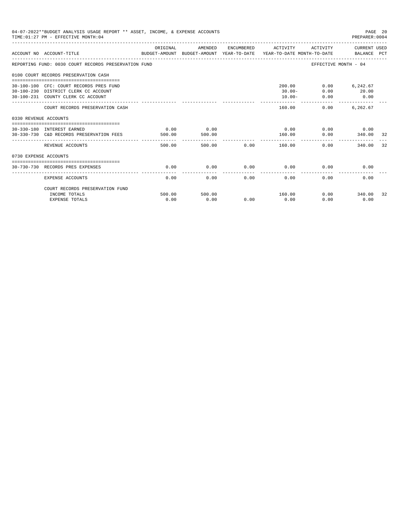|                       | 04-07-2022**BUDGET ANALYSIS USAGE REPORT ** ASSET, INCOME, & EXPENSE ACCOUNTS<br>TIME: 01:27 PM - EFFECTIVE MONTH: 04 |                |                |      |                                  |                      | PAGE 20<br>PREPARER:0004                |      |
|-----------------------|-----------------------------------------------------------------------------------------------------------------------|----------------|----------------|------|----------------------------------|----------------------|-----------------------------------------|------|
|                       | ACCOUNT NO ACCOUNT-TITLE CONTROL CONTROLLER TO BUDGET-AMOUNT BUDGET-AMOUNT YEAR-TO-DATE YEAR-TO-DATE MONTH-TO-DATE    | ORIGINAL       | AMENDED        |      | ENCUMBERED ACTIVITY              |                      | ACTIVITY CURRENT USED                   |      |
|                       | REPORTING FUND: 0030 COURT RECORDS PRESERVATION FUND                                                                  |                |                |      |                                  | EFFECTIVE MONTH - 04 |                                         |      |
|                       | 0100 COURT RECORDS PRESERVATION CASH                                                                                  |                |                |      |                                  |                      |                                         |      |
|                       | 30-100-100 CFC: COURT RECORDS PRES FUND<br>30-100-230 DISTRICT CLERK CC ACCOUNT<br>30-100-231 COUNTY CLERK CC ACCOUNT |                |                |      | 200.00<br>$30.00 -$<br>$10.00 -$ | 0.00<br>0.00         | $0.00$ 6,242.67<br>20.00<br>$\sim$ 0.00 |      |
|                       | COURT RECORDS PRESERVATION CASH                                                                                       |                |                |      | 160.00                           | 0.00                 | 6.262.67                                |      |
| 0330 REVENUE ACCOUNTS |                                                                                                                       |                |                |      |                                  |                      |                                         |      |
|                       | 30-330-180 INTEREST EARNED<br>30-330-730 C&D RECORDS PRESERVATION FEES                                                | 0.00<br>500.00 | 0.00<br>500.00 |      | 0.00<br>160.00                   | 0.00                 | $0.00$ 0.00<br>340.00                   | - 32 |
|                       | REVENUE ACCOUNTS                                                                                                      | 500.00         |                |      | . _ _ _ _ _ _ _ _ _ _            | 0.00                 | 340.00                                  | 32   |
| 0730 EXPENSE ACCOUNTS |                                                                                                                       |                |                |      |                                  |                      |                                         |      |
|                       | 30-730-730 RECORDS PRES EXPENSES                                                                                      | 0.00           | 0.00           |      | $0.00$ 0.00                      | 0.00                 | 0.00                                    |      |
|                       | <b>EXPENSE ACCOUNTS</b>                                                                                               | 0.00           | 0.00           | 0.00 | 0.00                             | 0.00                 | 0.00                                    |      |
|                       | COURT RECORDS PRESERVATION FUND                                                                                       |                |                |      |                                  |                      |                                         |      |
|                       | INCOME TOTALS<br><b>EXPENSE TOTALS</b>                                                                                | 500.00<br>0.00 | 500.00<br>0.00 | 0.00 | 160.00<br>0.00                   | 0.00                 | $0.00$ 340.00<br>0.00                   | 32   |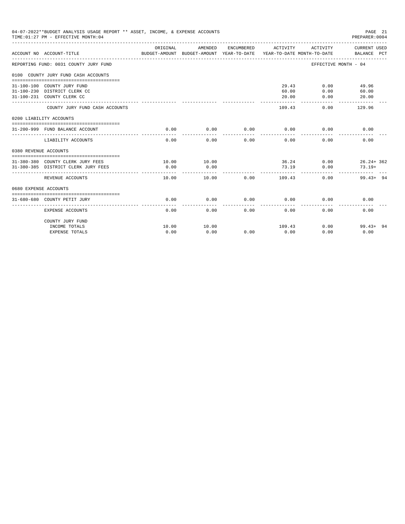|                       | 04-07-2022**BUDGET ANALYSIS USAGE REPORT ** ASSET, INCOME, & EXPENSE ACCOUNTS<br>TIME: 01:27 PM - EFFECTIVE MONTH: 04 |          |         |            |          |                             | PAGE 21                                                                                                                                                                                                           |  |
|-----------------------|-----------------------------------------------------------------------------------------------------------------------|----------|---------|------------|----------|-----------------------------|-------------------------------------------------------------------------------------------------------------------------------------------------------------------------------------------------------------------|--|
|                       | ACCOUNT NO ACCOUNT-TITLE<br>BUDGET-AMOUNT BUDGET-AMOUNT YEAR-TO-DATE YEAR-TO-DATE MONTH-TO-DATE                       | ORIGINAL | AMENDED | ENCUMBERED | ACTIVITY | ACTIVITY                    |                                                                                                                                                                                                                   |  |
|                       | REPORTING FUND: 0031 COUNTY JURY FUND                                                                                 |          |         |            |          |                             |                                                                                                                                                                                                                   |  |
|                       | 0100 COUNTY JURY FUND CASH ACCOUNTS                                                                                   |          |         |            |          |                             |                                                                                                                                                                                                                   |  |
|                       |                                                                                                                       |          |         |            |          |                             |                                                                                                                                                                                                                   |  |
|                       | 31-100-100 COUNTY JURY FUND                                                                                           |          |         |            |          | 29.43 0.00                  |                                                                                                                                                                                                                   |  |
|                       | 31-100-230 DISTRICT CLERK CC                                                                                          |          |         |            | 60.00    | 0.00                        |                                                                                                                                                                                                                   |  |
|                       | 31-100-231 COUNTY CLERK CC                                                                                            |          |         |            | 20.00    | 0.00                        |                                                                                                                                                                                                                   |  |
|                       | COUNTY JURY FUND CASH ACCOUNTS                                                                                        |          |         |            | 109.43   | 0.00                        | 129.96                                                                                                                                                                                                            |  |
|                       | 0200 LIABILITY ACCOUNTS                                                                                               |          |         |            |          |                             |                                                                                                                                                                                                                   |  |
|                       |                                                                                                                       |          |         |            |          |                             |                                                                                                                                                                                                                   |  |
|                       | 31-200-999 FUND BALANCE ACCOUNT                                                                                       | 0.00     | 0.00    | 0.00       |          | $0.00$ 0.00                 |                                                                                                                                                                                                                   |  |
|                       | LIABILITY ACCOUNTS                                                                                                    | 0.00     | 0.00    | 0.00       | 0.00     | 0.00                        | 0.00                                                                                                                                                                                                              |  |
| 0380 REVENUE ACCOUNTS |                                                                                                                       |          |         |            |          |                             |                                                                                                                                                                                                                   |  |
|                       |                                                                                                                       |          |         |            |          |                             |                                                                                                                                                                                                                   |  |
|                       | 31-380-380 COUNTY CLERK JURY FEES 10.00                                                                               |          | 10.00   |            |          |                             |                                                                                                                                                                                                                   |  |
|                       | 31-380-385 DISTRICT CLERK JURY FEES                                                                                   | 0.00     | 0.00    |            | 73.19    | 0.00                        | PREPARER:0004<br>CURRENT USED<br>BALANCE PCT<br>EFFECTIVE MONTH - 04<br>49.96<br>60.00<br>20.00<br>0.00<br>36.24 0.00 26.24 + 362<br>$73.19+$<br>0.00<br>$99.43 + 94$<br>0.00<br>0.00<br>$0.00$ 99.43+ 94<br>0.00 |  |
|                       | REVENUE ACCOUNTS                                                                                                      | 10.00    | 10.00   | 0.00       | 109.43   |                             |                                                                                                                                                                                                                   |  |
| 0680 EXPENSE ACCOUNTS |                                                                                                                       |          |         |            |          |                             |                                                                                                                                                                                                                   |  |
|                       | 31-680-680 COUNTY PETIT JURY                                                                                          | 0.00     | 0.00    |            |          | $0.00$ $0.00$ $0.00$ $0.00$ |                                                                                                                                                                                                                   |  |
|                       | EXPENSE ACCOUNTS                                                                                                      | 0.00     | 0.00    | 0.00       | 0.00     | 0.00                        |                                                                                                                                                                                                                   |  |
|                       | COUNTY JURY FUND                                                                                                      |          |         |            |          |                             |                                                                                                                                                                                                                   |  |
|                       | INCOME TOTALS                                                                                                         | 10.00    | 10.00   |            | 109.43   |                             |                                                                                                                                                                                                                   |  |
|                       | EXPENSE TOTALS                                                                                                        | 0.00     | 0.00    | 0.00       | 0.00     | 0.00                        |                                                                                                                                                                                                                   |  |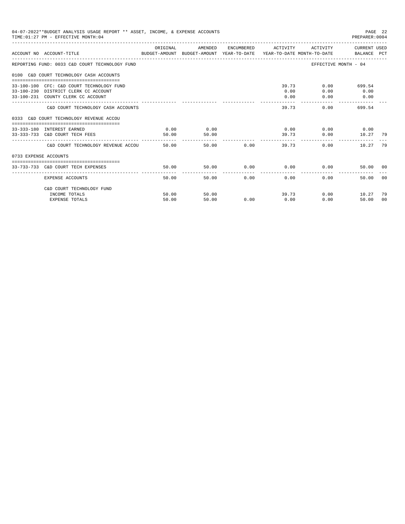| 04-07-2022**BUDGET ANALYSIS USAGE REPORT ** ASSET, INCOME, & EXPENSE ACCOUNTS<br>PAGE 22<br>TIME: 01:27 PM - EFFECTIVE MONTH: 04<br>PREPARER:0004<br>ACTIVITY CURRENT USED<br>ORIGINAL<br>AMENDED<br>ENCUMBERED ACTIVITY<br>ACCOUNT NO ACCOUNT-TITLE COMPUTE THE SUDGET-AMOUNT BUDGET-AMOUNT YEAR-TO-DATE YEAR-TO-DATE MONTH-TO-DATE BALANCE PCT<br>EFFECTIVE MONTH - 04<br>REPORTING FUND: 0033 C&D COURT TECHNOLOGY FUND<br>0100 C&D COURT TECHNOLOGY CASH ACCOUNTS<br>39.73<br>0.00<br>699.54<br>33-100-100 CFC: C&D COURT TECHNOLOGY FUND<br>0.00<br>33-100-230 DISTRICT CLERK CC ACCOUNT<br>0.00<br>0.00<br>33-100-231 COUNTY CLERK CC ACCOUNT<br>0.00<br>0.00<br>0.00<br>39.73<br>C&D COURT TECHNOLOGY CASH ACCOUNTS<br>0.00<br>699.54<br>0333 C&D COURT TECHNOLOGY REVENUE ACCOU<br>0.00<br>0.00<br>$0.00$ $0.00$ $0.00$ $0.00$<br>33-333-180 INTEREST EARNED<br>0.00<br>33-333-733 C&D COURT TECH FEES<br>50.00<br>50.00<br>39.73<br>10.27 79<br>-------------- ------------ --<br>50.00<br>50.00 0.00<br>39.73<br>0.00<br>10.27<br>C&D COURT TECHNOLOGY REVENUE ACCOU<br>0733 EXPENSE ACCOUNTS<br>50.00<br>$0.00$ $0.00$ $0.00$ $0.00$<br>33-733-733 C&D COURT TECH EXPENSES<br>50.00<br>50.00 00<br>----------------------------- |       |       |               |       |      |               |     |
|---------------------------------------------------------------------------------------------------------------------------------------------------------------------------------------------------------------------------------------------------------------------------------------------------------------------------------------------------------------------------------------------------------------------------------------------------------------------------------------------------------------------------------------------------------------------------------------------------------------------------------------------------------------------------------------------------------------------------------------------------------------------------------------------------------------------------------------------------------------------------------------------------------------------------------------------------------------------------------------------------------------------------------------------------------------------------------------------------------------------------------------------------------------------------------------------------------------------------------------------|-------|-------|---------------|-------|------|---------------|-----|
|                                                                                                                                                                                                                                                                                                                                                                                                                                                                                                                                                                                                                                                                                                                                                                                                                                                                                                                                                                                                                                                                                                                                                                                                                                             |       |       |               |       |      |               |     |
|                                                                                                                                                                                                                                                                                                                                                                                                                                                                                                                                                                                                                                                                                                                                                                                                                                                                                                                                                                                                                                                                                                                                                                                                                                             |       |       |               |       |      |               |     |
|                                                                                                                                                                                                                                                                                                                                                                                                                                                                                                                                                                                                                                                                                                                                                                                                                                                                                                                                                                                                                                                                                                                                                                                                                                             |       |       |               |       |      |               |     |
|                                                                                                                                                                                                                                                                                                                                                                                                                                                                                                                                                                                                                                                                                                                                                                                                                                                                                                                                                                                                                                                                                                                                                                                                                                             |       |       |               |       |      |               |     |
|                                                                                                                                                                                                                                                                                                                                                                                                                                                                                                                                                                                                                                                                                                                                                                                                                                                                                                                                                                                                                                                                                                                                                                                                                                             |       |       |               |       |      |               |     |
|                                                                                                                                                                                                                                                                                                                                                                                                                                                                                                                                                                                                                                                                                                                                                                                                                                                                                                                                                                                                                                                                                                                                                                                                                                             |       |       |               |       |      |               |     |
|                                                                                                                                                                                                                                                                                                                                                                                                                                                                                                                                                                                                                                                                                                                                                                                                                                                                                                                                                                                                                                                                                                                                                                                                                                             |       |       |               |       |      |               |     |
|                                                                                                                                                                                                                                                                                                                                                                                                                                                                                                                                                                                                                                                                                                                                                                                                                                                                                                                                                                                                                                                                                                                                                                                                                                             |       |       |               |       |      |               | -79 |
|                                                                                                                                                                                                                                                                                                                                                                                                                                                                                                                                                                                                                                                                                                                                                                                                                                                                                                                                                                                                                                                                                                                                                                                                                                             |       |       |               |       |      |               |     |
|                                                                                                                                                                                                                                                                                                                                                                                                                                                                                                                                                                                                                                                                                                                                                                                                                                                                                                                                                                                                                                                                                                                                                                                                                                             |       |       |               |       |      |               |     |
| EXPENSE ACCOUNTS                                                                                                                                                                                                                                                                                                                                                                                                                                                                                                                                                                                                                                                                                                                                                                                                                                                                                                                                                                                                                                                                                                                                                                                                                            | 50.00 |       | 0.00<br>50.00 | 0.00  | 0.00 | 50.00         | 00  |
| C&D COURT TECHNOLOGY FUND                                                                                                                                                                                                                                                                                                                                                                                                                                                                                                                                                                                                                                                                                                                                                                                                                                                                                                                                                                                                                                                                                                                                                                                                                   |       |       |               |       |      |               |     |
| INCOME TOTALS                                                                                                                                                                                                                                                                                                                                                                                                                                                                                                                                                                                                                                                                                                                                                                                                                                                                                                                                                                                                                                                                                                                                                                                                                               | 50.00 | 50.00 |               | 39.73 |      | 0.00<br>10.27 | -79 |
| <b>EXPENSE TOTALS</b>                                                                                                                                                                                                                                                                                                                                                                                                                                                                                                                                                                                                                                                                                                                                                                                                                                                                                                                                                                                                                                                                                                                                                                                                                       | 50.00 | 50.00 | 0.00          | 0.00  | 0.00 | 50.00         | 00  |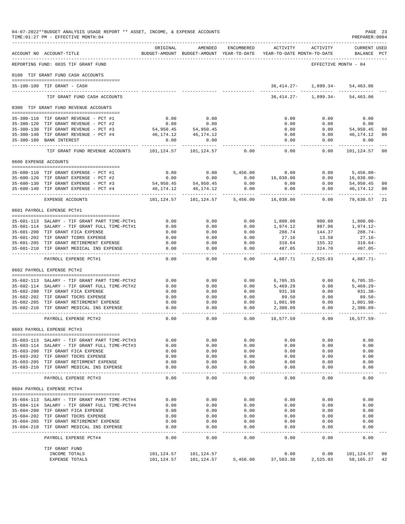|                       | 04-07-2022**BUDGET ANALYSIS USAGE REPORT ** ASSET, INCOME, & EXPENSE ACCOUNTS<br>TIME: 01:27 PM - EFFECTIVE MONTH: 04 |                         |                                                     |                    |                       |                                        | PREPARER: 0004           | PAGE 23        |
|-----------------------|-----------------------------------------------------------------------------------------------------------------------|-------------------------|-----------------------------------------------------|--------------------|-----------------------|----------------------------------------|--------------------------|----------------|
|                       | ACCOUNT NO ACCOUNT-TITLE                                                                                              | ORIGINAL                | AMENDED<br>BUDGET-AMOUNT BUDGET-AMOUNT YEAR-TO-DATE | ENCUMBERED         | ACTIVITY              | ACTIVITY<br>YEAR-TO-DATE MONTH-TO-DATE | CURRENT USED<br>BALANCE  | PCT            |
|                       | REPORTING FUND: 0035 TIF GRANT FUND                                                                                   |                         |                                                     |                    |                       |                                        | EFFECTIVE MONTH - 04     |                |
|                       | 0100 TIF GRANT FUND CASH ACCOUNTS                                                                                     |                         |                                                     |                    |                       |                                        |                          |                |
|                       | 35-100-100 TIF GRANT - CASH                                                                                           |                         |                                                     |                    |                       | 36, 414. 27 - 1, 899. 34 - 54, 463. 06 |                          |                |
|                       |                                                                                                                       |                         |                                                     |                    |                       |                                        |                          |                |
|                       | TIF GRANT FUND CASH ACCOUNTS                                                                                          |                         |                                                     |                    | $36,414.27-$          | 1,899.34-                              | 54,463.06                |                |
|                       | 0300 TIF GRANT FUND REVENUE ACCOUNTS                                                                                  |                         |                                                     |                    |                       |                                        |                          |                |
|                       | 35-300-110 TIF GRANT REVENUE - PCT #1                                                                                 | 0.00                    | 0.00                                                |                    | 0.00                  | 0.00                                   | 0.00                     |                |
|                       | 35-300-120 TIF GRANT REVENUE - PCT #2                                                                                 | 0.00                    | 0.00                                                |                    | 0.00                  | 0.00                                   | 0.00                     |                |
|                       | 35-300-130 TIF GRANT REVENUE - PCT #3                                                                                 | 54,950.45               | 54,950.45                                           |                    | 0.00                  | 0.00                                   | 54,950.45                | 00             |
|                       | 35-300-140 TIF GRANT REVENUE - PCT #4                                                                                 | 46,174.12               | 46,174.12                                           |                    | 0.00                  | 0.00                                   | 46,174.12                | 00             |
| $35 - 300 - 180$      | <b>BANK INTEREST</b>                                                                                                  | 0.00<br>.               | 0.00<br>.                                           |                    | 0.00<br>$- - - -$     | 0.00<br>-----                          | 0.00                     |                |
|                       | TIF GRANT FUND REVENUE ACCOUNTS                                                                                       | 101,124.57              | 101,124.57                                          | 0.00               | 0.00                  | 0.00                                   | 101,124.57               | 0 <sub>0</sub> |
| 0600 EXPENSE ACCOUNTS |                                                                                                                       |                         |                                                     |                    |                       |                                        |                          |                |
|                       | 35-600-110 TIF GRANT EXPENSE - PCT #1                                                                                 | 0.00                    | 0.00                                                | 5,456.00           | 0.00                  | 0.00                                   | $5,456.00 -$             |                |
|                       | 35-600-120 TIF GRANT EXPENSE - PCT #2                                                                                 | 0.00                    | 0.00                                                | 0.00               | 16,038.00             | 0.00                                   | $16,038.00 -$            |                |
|                       | 35-600-130 TIF GRANT EXPENSE - PCT #3                                                                                 | 54,950.45               | 54,950.45                                           | 0.00               | 0.00                  | 0.00                                   | 54,950.45                | 00             |
|                       | 35-600-140 TIF GRANT EXPENSE - PCT #4                                                                                 | 46,174.12<br>---------- | 46,174.12<br>.                                      | 0.00<br>---------- | 0.00                  | 0.00<br>-----                          | 46,174.12<br>----------- | 00             |
|                       | EXPENSE ACCOUNTS                                                                                                      | 101,124.57              | 101,124.57                                          | 5,456.00           | 16,038.00             | 0.00                                   | 79,630.57                | 21             |
|                       | 0601 PAYROLL EXPENSE PCT#1                                                                                            |                         |                                                     |                    |                       |                                        |                          |                |
|                       | 35-601-113 SALARY - TIF GRANT PART TIME-PCT#1                                                                         | 0.00                    | 0.00                                                | 0.00               | 1,800.00              | 900.00                                 | $1,800.00-$              |                |
|                       | 35-601-114 SALARY - TIF GRANT FULL TIME-PCT#1                                                                         | 0.00                    | 0.00                                                | 0.00               | 1,974.12              | 987.06                                 | 1,974.12-                |                |
|                       | 35-601-200 TIF GRANT FICA EXPENSE                                                                                     | 0.00                    | 0.00                                                | 0.00               | 288.74                | 144.37                                 | 288.74-                  |                |
|                       | 35-601-202 TIF GRANT TCDRS EXPENSE                                                                                    | 0.00                    | 0.00                                                | 0.00               | 27.16                 | 13.58                                  | $27.16 -$                |                |
|                       | 35-601-205 TIF GRANT RETIREMENT EXPENSE<br>35-601-210 TIF GRANT MEDICAL INS EXPENSE                                   | 0.00<br>0.00            | 0.00<br>0.00                                        | 0.00<br>0.00       | 310.64<br>487.05      | 155.32<br>324.70                       | $310.64-$<br>$487.05 -$  |                |
|                       | -------------------------------<br>PAYROLL EXPENSE PCT#1                                                              | $- - - -$<br>0.00       | $- - - - -$<br>0.00                                 | $- - - -$<br>0.00  | ---------<br>4,887.71 | ---------<br>2,525.03                  | ---------<br>4,887.71-   |                |
|                       | 0602 PAYROLL EXPENSE PCT#2                                                                                            |                         |                                                     |                    |                       |                                        |                          |                |
|                       |                                                                                                                       |                         |                                                     |                    |                       |                                        |                          |                |
|                       | 35-602-113 SALARY - TIF GRANT PART TIME-PCT#2                                                                         | 0.00                    | 0.00                                                | 0.00               | 6,705.35              | 0.00                                   | $6,705.35-$              |                |
|                       | 35-602-114 SALARY - TIF GRANT FULL TIME-PCT#2<br>35-602-200 TIF GRANT FICA EXPENSE                                    | 0.00<br>0.00            | 0.00<br>0.00                                        | 0.00<br>0.00       | 5,469.29<br>931.38    | 0.00<br>0.00                           | $5,469.29 -$<br>931.38-  |                |
|                       | 35-602-202 TIF GRANT TDCRS EXPENSE                                                                                    | 0.00                    | 0.00                                                | 0.00               | 89.50                 | 0.00                                   | $89.50 -$                |                |
|                       | 35-602-205 TIF GRANT RETIREMENT EXPENSE                                                                               | 0.00                    | 0.00                                                | 0.00               | 1,001.98              | 0.00                                   | 1,001.98-                |                |
| 35-602-210            | TIF GRANT MEDICAL INS EXPENSE                                                                                         | 0.00<br>$- - - -$       | 0.00<br>$- - - -$                                   | 0.00<br>$- - - -$  | 2,380.09              | 0.00                                   | $2,380.09 -$             |                |
|                       | PAYROLL EXPENSE PCT#2                                                                                                 | 0.00                    | 0.00                                                | 0.00               | 16,577.59             | 0.00                                   | $16,577.59-$             |                |
|                       | 0603 PAYROLL EXPENSE PCT#3                                                                                            |                         |                                                     |                    |                       |                                        |                          |                |
|                       | 35-603-113 SALARY - TIF GRANT PART TIME-PCT#3                                                                         | 0.00                    | 0.00                                                | 0.00               | 0.00                  | 0.00                                   | 0.00                     |                |
|                       | 35-603-114 SALARY - TIF GRANT FULL TIME-PCT#3                                                                         | 0.00                    | 0.00                                                | 0.00               | 0.00                  | 0.00                                   | 0.00                     |                |
|                       | 35-603-200 TIF GRANT FICA EXPENSE                                                                                     | 0.00                    | 0.00                                                | 0.00               | 0.00                  | 0.00                                   | 0.00                     |                |
|                       | 35-603-202 TIF GRANT TDCRS EXPENSE                                                                                    | 0.00                    | 0.00                                                | 0.00               | 0.00                  | 0.00                                   | 0.00                     |                |
|                       | 35-603-205 TIF GRANT RETIRMENT EXPENSE<br>35-603-210 TIF GRANT MEDICAL INS EXPENSE                                    | 0.00<br>0.00            | 0.00<br>0.00                                        | 0.00<br>0.00       | 0.00<br>0.00          | 0.00<br>0.00                           | 0.00<br>0.00             |                |
|                       | ________________________________                                                                                      | $- - - -$               | $- - - - -$                                         | $- - - -$          | $- - - - -$           | $- - - - -$                            | $- - - -$                |                |
|                       | PAYROLL EXPENSE PCT#3                                                                                                 | 0.00                    | 0.00                                                | 0.00               | 0.00                  | 0.00                                   | 0.00                     |                |
|                       | 0604 PAYROLL EXPENSE PCT#4                                                                                            |                         |                                                     |                    |                       |                                        |                          |                |
|                       | 35-604-113 SALARY - TIF GRANT PART TIME-PCT#4                                                                         | 0.00                    | 0.00                                                | 0.00               | 0.00                  | 0.00                                   | 0.00                     |                |
|                       | 35-604-114 SALARY - TIF GRANT FULL TIME-PCT#4                                                                         | 0.00                    | 0.00                                                | 0.00               | 0.00                  | 0.00                                   | 0.00                     |                |
|                       | 35-604-200 TIF GRANT FICA EXPENSE<br>35-604-202 TIF GRANT TDCRS EXPENSE                                               | 0.00<br>0.00            | 0.00<br>0.00                                        | 0.00<br>0.00       | 0.00<br>0.00          | 0.00<br>0.00                           | 0.00<br>0.00             |                |
|                       | 35-604-205 TIF GRANT RETIREMENT EXPENSE                                                                               | 0.00                    | 0.00                                                | 0.00               | 0.00                  | 0.00                                   | 0.00                     |                |
|                       | 35-604-210 TIF GRANT MEDICAL INS EXPENSE                                                                              | 0.00                    | 0.00                                                | 0.00               | 0.00                  | 0.00                                   | 0.00                     |                |
|                       | ____________________________________<br>PAYROLL EXPENSE PCT#4                                                         | $- - - -$<br>0.00       | $- - - -$<br>0.00                                   | $- - - -$<br>0.00  | $- - - -$<br>0.00     | 0.00                                   | $- - - -$<br>0.00        |                |
|                       | TIF GRANT FUND                                                                                                        |                         |                                                     |                    |                       |                                        |                          |                |
|                       | INCOME TOTALS                                                                                                         | 101,124.57              | 101,124.57                                          |                    | 0.00                  | 0.00                                   | 101,124.57               | 00             |
|                       | EXPENSE TOTALS                                                                                                        | 101,124.57              | 101,124.57                                          | 5,456.00           | 37,503.30             | 2,525.03                               | 58,165.27                | 42             |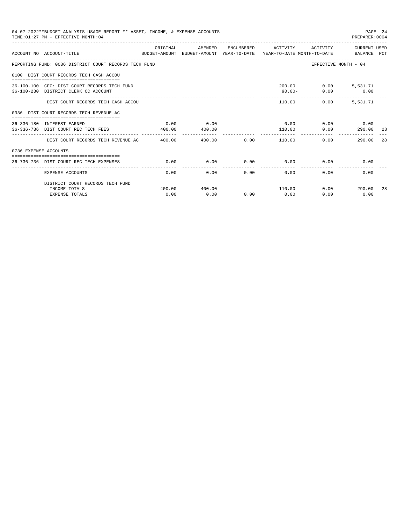|                       | 04-07-2022**BUDGET ANALYSIS USAGE REPORT ** ASSET, INCOME, & EXPENSE ACCOUNTS<br>TIME: 01:27 PM - EFFECTIVE MONTH: 04 |                   |                |                              |                                       |                | PAGE 24<br>PREPARER: 0004                 |     |
|-----------------------|-----------------------------------------------------------------------------------------------------------------------|-------------------|----------------|------------------------------|---------------------------------------|----------------|-------------------------------------------|-----|
|                       | ACCOUNT NO ACCOUNT-TITLE<br>BUDGET-AMOUNT BUDGET-AMOUNT YEAR-TO-DATE YEAR-TO-DATE MONTH-TO-DATE BALANCE PCT           | ORIGINAL          | AMENDED        |                              |                                       |                | ENCUMBERED ACTIVITY ACTIVITY CURRENT USED |     |
|                       | REPORTING FUND: 0036 DISTRICT COURT RECORDS TECH FUND                                                                 |                   |                |                              |                                       |                | EFFECTIVE MONTH - 04                      |     |
|                       | 0100 DIST COURT RECORDS TECH CASH ACCOU                                                                               |                   |                |                              |                                       |                |                                           |     |
|                       | 36-100-100 CFC: DIST COURT RECORDS TECH FUND<br>36-100-230 DISTRICT CLERK CC ACCOUNT                                  |                   |                |                              | 90.00-                                |                | 200.00   0.00   5,531.71<br>$0.00$ 0.00   |     |
|                       | DIST COURT RECORDS TECH CASH ACCOU                                                                                    |                   |                |                              |                                       | 110.00<br>0.00 | 5,531.71                                  |     |
|                       | 0336 DIST COURT RECORDS TECH REVENUE AC                                                                               |                   |                |                              |                                       |                |                                           |     |
|                       | 36-336-180 INTEREST EARNED<br>36-336-736 DIST COURT REC TECH FEES                                                     | 0.00<br>400.00    | 0.00<br>400.00 |                              | $0.00$ $0.00$ $0.00$ $0.00$<br>110.00 | 0.00           | 290.00                                    | -28 |
|                       | DIST COURT RECORDS TECH REVENUE AC 400.00                                                                             | ___ _____________ |                |                              | 400.00 0.00 110.00                    |                | 290.00<br>0.00                            | 28  |
| 0736 EXPENSE ACCOUNTS |                                                                                                                       |                   |                |                              |                                       |                |                                           |     |
|                       | 36-736-736 DIST COURT REC TECH EXPENSES                                                                               | 0.00              | 0.00           | 0.00                         | $0.00$ 0.00                           |                | 0.00                                      |     |
|                       | <b>EXPENSE ACCOUNTS</b>                                                                                               | 0.00              |                | ------------<br>0.00<br>0.00 | ------------<br>0.00                  | 0.00           | 0.00                                      |     |
|                       | DISTRICT COURT RECORDS TECH FUND                                                                                      |                   |                |                              |                                       |                |                                           |     |
|                       | INCOME TOTALS<br><b>EXPENSE TOTALS</b>                                                                                | 400.00<br>0.00    | 400.00<br>0.00 | 0.00                         | 110.00<br>0.00                        | 0.00           | $0.00$ 290.00<br>0.00                     | 28  |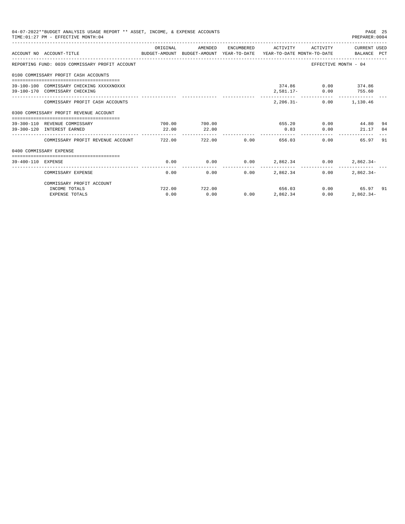|                    | 04-07-2022**BUDGET ANALYSIS USAGE REPORT ** ASSET, INCOME, & EXPENSE ACCOUNTS<br>TIME: 01:27 PM - EFFECTIVE MONTH: 04 |                |                        |        |                     |                                                                              | PAGE 25<br>PREPARER: 0004                 |    |
|--------------------|-----------------------------------------------------------------------------------------------------------------------|----------------|------------------------|--------|---------------------|------------------------------------------------------------------------------|-------------------------------------------|----|
|                    | BUDGET-AMOUNT BUDGET-AMOUNT YEAR-TO-DATE YEAR-TO-DATE MONTH-TO-DATE BALANCE PCT<br>ACCOUNT NO ACCOUNT-TITLE           | ORIGINAL       | AMENDED                |        | ENCUMBERED ACTIVITY |                                                                              | ACTIVITY CURRENT USED                     |    |
|                    | REPORTING FUND: 0039 COMMISSARY PROFIT ACCOUNT                                                                        |                |                        |        |                     |                                                                              | EFFECTIVE MONTH - 04                      |    |
|                    | 0100 COMMISSARY PROFIT CASH ACCOUNTS                                                                                  |                |                        |        |                     |                                                                              |                                           |    |
|                    | 39-100-100 COMMISSARY CHECKING XXXXXNOXXX<br>39-100-170 COMMISSARY CHECKING                                           |                |                        |        |                     | 374.86 0.00 374.86<br>2,581.17- 0.00 755.60<br>_____________________________ | --------------                            |    |
|                    | COMMISSARY PROFIT CASH ACCOUNTS                                                                                       |                |                        |        |                     | 2, 206.31 - 0.00 1, 130.46                                                   |                                           |    |
|                    | 0300 COMMISSARY PROFIT REVENUE ACCOUNT                                                                                |                |                        |        |                     |                                                                              |                                           |    |
|                    | 39-300-110 REVENUE COMMISSARY<br>39-300-120 INTEREST EARNED                                                           | 22.00          | 700.00 700.00<br>22.00 |        | 0.83                |                                                                              | $655.20$ 0.00 $44.80$<br>0.00<br>21.17 04 | 94 |
|                    | COMMISSARY PROFIT REVENUE ACCOUNT 722.00                                                                              |                |                        | 722.00 | 0.00                | 656.03                                                                       | 0.00<br>65.97 91                          |    |
|                    | 0400 COMMISSARY EXPENSE                                                                                               |                |                        |        |                     |                                                                              |                                           |    |
| 39-400-110 EXPENSE |                                                                                                                       | 0.00           | 0.00                   |        |                     | $0.00$ $2,862.34$ $0.00$                                                     | $2,862.34-$                               |    |
|                    | COMMISSARY EXPENSE                                                                                                    | 0.00           | 0.00                   | 0.00   | 2,862,34            | 0.00                                                                         | $2.862.34-$                               |    |
|                    | COMMISSARY PROFIT ACCOUNT                                                                                             |                |                        |        |                     |                                                                              |                                           |    |
|                    | INCOME TOTALS<br><b>EXPENSE TOTALS</b>                                                                                | 722.00<br>0.00 | 722.00<br>0.00         | 0.00   | 656.03<br>2,862.34  | 0.00                                                                         | $0.00$ 65.97 91<br>$2,862.34-$            |    |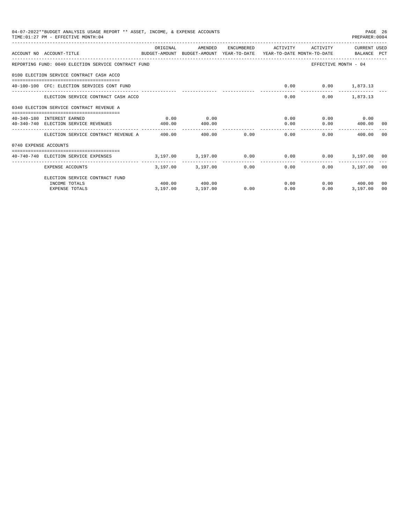|                       | 04-07-2022**BUDGET ANALYSIS USAGE REPORT ** ASSET, INCOME, & EXPENSE ACCOUNTS<br>TIME: 01:27 PM - EFFECTIVE MONTH: 04          |          |                                              |             |                     |                          | PREPARER: 0004       | PAGE 26 |
|-----------------------|--------------------------------------------------------------------------------------------------------------------------------|----------|----------------------------------------------|-------------|---------------------|--------------------------|----------------------|---------|
|                       | ACCOUNT NO ACCOUNT-TITLE<br>BUDGET-AMOUNT BUDGET-AMOUNT YEAR-TO-DATE YEAR-TO-DATE MONTH-TO-DATE BALANCE PCT                    | ORIGINAL | AMENDED                                      |             | ENCUMBERED ACTIVITY | ACTIVITY                 | CURRENT USED         |         |
|                       |                                                                                                                                |          |                                              |             |                     |                          |                      |         |
|                       | REPORTING FUND: 0040 ELECTION SERVICE CONTRACT FUND                                                                            |          |                                              |             |                     |                          | EFFECTIVE MONTH - 04 |         |
|                       | 0100 ELECTION SERVICE CONTRACT CASH ACCO                                                                                       |          |                                              |             |                     |                          |                      |         |
|                       | 40-100-100 CFC: ELECTION SERVICES CONT FUND                                                                                    |          |                                              |             |                     | $0.00$ $0.00$ $1,873.13$ |                      |         |
|                       | ELECTION SERVICE CONTRACT CASH ACCO                                                                                            |          |                                              |             |                     | $0.00$ and $0.00$        | $0.00$ 1,873.13      |         |
|                       | 0340 ELECTION SERVICE CONTRACT REVENUE A                                                                                       |          |                                              |             |                     |                          |                      |         |
|                       | 40-340-180 INTEREST EARNED                                                                                                     | 0.00     | 0.00                                         |             |                     |                          | $0.00$ $0.00$ $0.00$ |         |
|                       | 40-340-740 ELECTION SERVICE REVENUES 400.00                                                                                    |          | 400.00                                       |             |                     | 0.00                     | $0.00$ 400.00 00     |         |
|                       | ELECTION SERVICE CONTRACT REVENUE A 400.00                                                                                     |          |                                              | 400.00 0.00 |                     | 0.00                     | 0.00<br>400.00 00    |         |
| 0740 EXPENSE ACCOUNTS |                                                                                                                                |          |                                              |             |                     |                          |                      |         |
|                       | ----------------------------------<br>40-740-740 ELECTION SERVICE EXPENSES 6 3,197.00 3,197.00 0.00 0.00 0.00 0.00 3,197.00 00 |          |                                              |             |                     |                          |                      |         |
|                       | EXPENSE ACCOUNTS                                                                                                               |          | -------- --------------<br>3.197.00 3,197.00 |             | 0.00                | 0.00<br>0.00             | 3,197.00 00          |         |
|                       | ELECTION SERVICE CONTRACT FUND                                                                                                 |          |                                              |             |                     |                          |                      |         |
|                       | INCOME TOTALS                                                                                                                  |          | 400.00 400.00                                |             |                     | 0.00                     | $0.00$ 400.00        | - 0.0   |
|                       | <b>EXPENSE TOTALS</b>                                                                                                          | 3,197.00 | 3,197.00                                     | 0.00        | 0.00                | 0.00                     | 3.197.00             | 00      |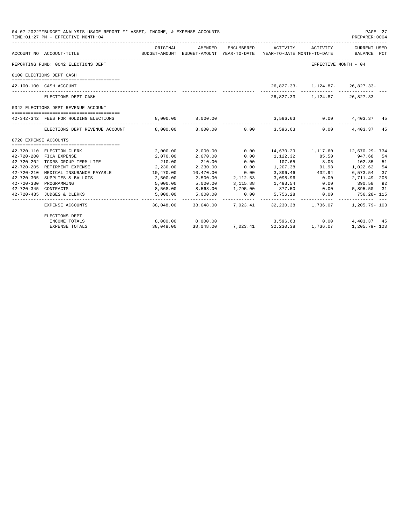|                       | 04-07-2022**BUDGET ANALYSIS USAGE REPORT ** ASSET, INCOME, & EXPENSE ACCOUNTS<br>TIME: 01:27 PM - EFFECTIVE MONTH: 04<br>--------------------------------- |                                       |                        |                      |                                                                                           |                               | PAGE 27<br>PREPARER: 0004                                                                                  |
|-----------------------|------------------------------------------------------------------------------------------------------------------------------------------------------------|---------------------------------------|------------------------|----------------------|-------------------------------------------------------------------------------------------|-------------------------------|------------------------------------------------------------------------------------------------------------|
|                       | BUDGET-AMOUNT BUDGET-AMOUNT YEAR-TO-DATE YEAR-TO-DATE MONTH-TO-DATE BALANCE PCT<br>ACCOUNT NO ACCOUNT-TITLE                                                | ORIGINAL                              | AMENDED                |                      |                                                                                           |                               | ENCUMBERED ACTIVITY ACTIVITY CURRENT USED                                                                  |
|                       | REPORTING FUND: 0042 ELECTIONS DEPT                                                                                                                        |                                       |                        |                      |                                                                                           | EFFECTIVE MONTH - 04          |                                                                                                            |
|                       | 0100 ELECTIONS DEPT CASH                                                                                                                                   |                                       |                        |                      |                                                                                           |                               |                                                                                                            |
|                       | 42-100-100 CASH ACCOUNT                                                                                                                                    |                                       |                        |                      |                                                                                           | 26,827.33-1,124.87-26,827.33- |                                                                                                            |
|                       | --------------------------<br>ELECTIONS DEPT CASH                                                                                                          |                                       |                        |                      | ------------ ------------ -------                                                         | 26,827.33-1,124.87-26,827.33- |                                                                                                            |
|                       | 0342 ELECTIONS DEPT REVENUE ACCOUNT                                                                                                                        |                                       |                        |                      |                                                                                           |                               |                                                                                                            |
|                       | 42-342-342 FEES FOR HOLDING ELECTIONS                                                                                                                      | $8,000.00$ $8,000.00$ $1,403.37$ $45$ |                        |                      |                                                                                           |                               |                                                                                                            |
|                       | ELECTIONS DEPT REVENUE ACCOUNT 6,000.00 6,000.00 0.00 3,596.63 0.00 4,403.37 45                                                                            |                                       |                        |                      | .                                                                                         |                               |                                                                                                            |
| 0720 EXPENSE ACCOUNTS |                                                                                                                                                            |                                       |                        |                      |                                                                                           |                               |                                                                                                            |
|                       |                                                                                                                                                            |                                       |                        |                      |                                                                                           |                               |                                                                                                            |
|                       | 42-720-110 ELECTION CLERK                                                                                                                                  |                                       | 2,000.00 2,000.00 0.00 |                      |                                                                                           |                               | 14,670.29   1,117.60   12,670.29-734                                                                       |
|                       | 42-720-200 FICA EXPENSE                                                                                                                                    | 2,070.00                              | 2,070.00               | 0.00                 | 1,122.32                                                                                  | 85.50                         | 947.68 54                                                                                                  |
|                       | 42-720-202 TCDRS GROUP TERM LIFE                                                                                                                           | 210.00                                | 210.00                 | 0.00<br>0.00         | 107.65                                                                                    | 8.05<br>1,207.38 91.98        | 102.35 51                                                                                                  |
|                       | 42-720-205 RETIRMENT EXPENSE                                                                                                                               | 2,230.00                              | 2,230.00               |                      |                                                                                           | 3,896.46 432.94               | 1,022.62 54                                                                                                |
|                       | 42-720-210 MEDICAL INSURANCE PAYABLE 10,470.00                                                                                                             |                                       | 10,470.00              | 0.00<br>2, 112.53    |                                                                                           |                               | 6,573.54 37<br>$0.00$ $2,711.49 - 208$                                                                     |
|                       | 42-720-305 SUPPLIES & BALLOTS                                                                                                                              | 2,500.00                              | 2,500.00               |                      | 3,098.96                                                                                  |                               |                                                                                                            |
|                       | 42-720-330 PROGRAMMING                                                                                                                                     | 5,000.00                              | 5,000.00               |                      | $3,115.88$ $1,493.54$ 0.00                                                                |                               |                                                                                                            |
| 42-720-345 CONTRACTS  | 42-720-435 JUDGES & CLERKS                                                                                                                                 | 8,568.00<br>5,000.00                  | 8,568.00<br>5,000.00   | 1,795.00<br>0.00     | 877.50                                                                                    |                               | $390.58$<br>$5,756.28$<br>$-25.756.28$<br>$-31.5756.28$<br>$-10.00$<br>$-756.20$<br>$-756.20$<br>$-756.20$ |
|                       | EXPENSE ACCOUNTS                                                                                                                                           | ---------                             | ---------------        | ----------- <b>-</b> |                                                                                           |                               | 38,048.00 38,048.00 7,023.41 32,230.38 1,736.07 1,205.79 103                                               |
|                       | ELECTIONS DEPT                                                                                                                                             |                                       |                        |                      |                                                                                           |                               |                                                                                                            |
|                       | INCOME TOTALS                                                                                                                                              |                                       |                        |                      | 8,000.00  8,000.00  3,596.63  0.00<br>38,048.00  38,048.00  7,023.41  32,230.38  1,736.07 |                               | 4,403.37 45                                                                                                |
|                       | <b>EXPENSE TOTALS</b>                                                                                                                                      |                                       |                        |                      |                                                                                           |                               | $1.205.79 - 103$                                                                                           |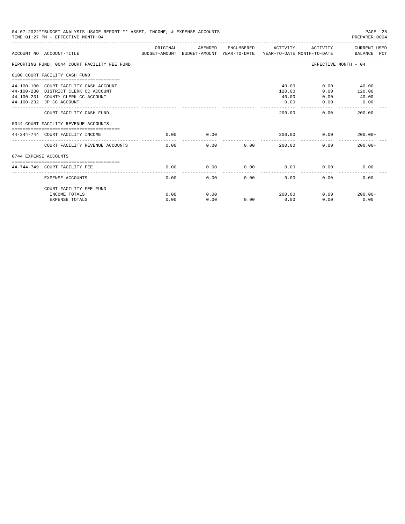|                       | 04-07-2022**BUDGET ANALYSIS USAGE REPORT ** ASSET, INCOME, & EXPENSE ACCOUNTS<br>TIME: 01:27 PM - EFFECTIVE MONTH: 04 |          |         |      |                     |                      | PAGE 28<br>PREPARER:0004 |
|-----------------------|-----------------------------------------------------------------------------------------------------------------------|----------|---------|------|---------------------|----------------------|--------------------------|
|                       | BUDGET-AMOUNT BUDGET-AMOUNT YEAR-TO-DATE YEAR-TO-DATE MONTH-TO-DATE BALANCE PCT<br>ACCOUNT NO ACCOUNT-TITLE           | ORIGINAL | AMENDED |      | ENCUMBERED ACTIVITY |                      | ACTIVITY CURRENT USED    |
|                       | REPORTING FUND: 0044 COURT FACILITY FEE FUND                                                                          |          |         |      |                     | EFFECTIVE MONTH - 04 |                          |
|                       | 0100 COURT FACILITY CASH FUND                                                                                         |          |         |      |                     |                      |                          |
|                       | 44-100-100 COURT FACILITY CASH ACCOUNT                                                                                |          |         |      | 40.00               |                      | $0.00$ 40.00             |
|                       | 44-100-230 DISTRICT CLERK CC ACCOUNT                                                                                  |          |         |      | 120.00              | 0.00                 | 120.00                   |
|                       | 44-100-231 COUNTY CLERK CC ACCOUNT                                                                                    |          |         |      | 40.00               | 0.00                 | 40.00                    |
|                       | 44-100-232 JP CC ACCOUNT                                                                                              |          |         |      | 0.00                | 0.00                 | 0.00                     |
|                       | COURT FACILITY CASH FUND                                                                                              |          |         |      | 200.00              | 0.00                 | 200.00                   |
|                       | 0344 COURT FACILITY REVENUE ACCOUNTS                                                                                  |          |         |      |                     |                      |                          |
|                       | 44-344-744 COURT FACILITY INCOME                                                                                      | 0.00     | 0.00    |      | 200.00              | 0.00                 | $200.00+$                |
|                       | COURT FACILITY REVENUE ACCOUNTS                                                                                       | 0.00     | 0.00    | 0.00 | 200.00              | 0.00                 | $200.00+$                |
| 0744 EXPENSE ACCOUNTS |                                                                                                                       |          |         |      |                     |                      |                          |
|                       |                                                                                                                       |          |         |      |                     |                      |                          |
|                       | 44-744-749 COURT FACILITY FEE                                                                                         | 0.00     | 0.00    | 0.00 | 0.00                | 0.00                 | 0.00                     |
|                       | <b>EXPENSE ACCOUNTS</b>                                                                                               | 0.00     | 0.00    | 0.00 | 0.00                | 0.00                 | 0.00                     |
|                       | COURT FACILITY FEE FUND                                                                                               |          |         |      |                     |                      |                          |
|                       | INCOME TOTALS                                                                                                         | 0.00     | 0.00    |      | 200.00              | 0.00                 | $200.00+$                |
|                       | <b>EXPENSE TOTALS</b>                                                                                                 | 0.00     | 0.00    | 0.00 | 0.00                | 0.00                 | 0.00                     |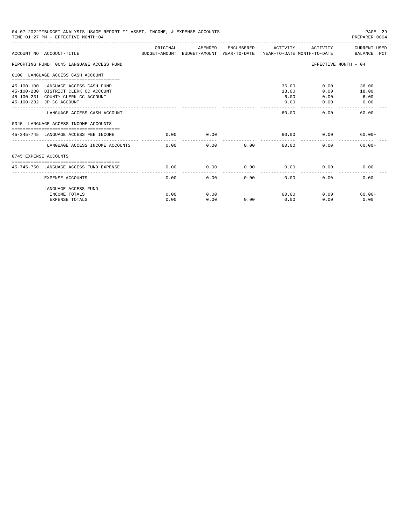| 04-07-2022**BUDGET ANALYSIS USAGE REPORT ** ASSET, INCOME, & EXPENSE ACCOUNTS<br>TIME: 01:27 PM - EFFECTIVE MONTH: 04                          |          |         |                       |                                |                      | PAGE 29<br>PREPARER: 0004                                                                                      |
|------------------------------------------------------------------------------------------------------------------------------------------------|----------|---------|-----------------------|--------------------------------|----------------------|----------------------------------------------------------------------------------------------------------------|
| ACCOUNT NO ACCOUNT-TITUE                                                                                                                       | ORIGINAL | AMENDED |                       | ENCUMBERED ACTIVITY            |                      | ACTIVITY CURRENT USED<br>BUDGET-AMOUNT BUDGET-AMOUNT YEAR-TO-DATE  YEAR-TO-DATE MONTH-TO-DATE      BALANCE PCT |
| REPORTING FUND: 0045 LANGUAGE ACCESS FUND                                                                                                      |          |         |                       |                                |                      | EFFECTIVE MONTH - 04                                                                                           |
| 0100 LANGUAGE ACCESS CASH ACCOUNT                                                                                                              |          |         |                       |                                |                      |                                                                                                                |
| 45-100-100 LANGUAGE ACCESS CASH FUND<br>45-100-230 DISTRICT CLERK CC ACCOUNT<br>45-100-231 COUNTY CLERK CC ACCOUNT<br>45-100-232 JP CC ACCOUNT |          |         |                       | 36.00<br>18.00<br>6.00<br>0.00 | 0.00<br>0.00<br>0.00 | 0.00<br>36.00<br>18.00<br>6.00<br>0.00                                                                         |
| LANGUAGE ACCESS CASH ACCOUNT                                                                                                                   |          |         |                       | 60.00                          | 0.00                 | 60.00                                                                                                          |
| 0345 LANGUAGE ACCESS INCOME ACCOUNTS                                                                                                           |          |         |                       |                                |                      |                                                                                                                |
| 45-345-745 LANGUAGE ACCESS FEE INCOME                                                                                                          | 0.00     | 0.00    |                       | 60.00                          | 0.00                 | $60.00+$                                                                                                       |
| LANGUAGE ACCESS INCOME ACCOUNTS                                                                                                                | 0.00     | 0.00    | 0.00                  | 60.00                          | 0.00                 | $60.00+$                                                                                                       |
| 0745 EXPENSE ACCOUNTS                                                                                                                          |          |         |                       |                                |                      |                                                                                                                |
| 45-745-750 LANGUAGE ACCESS FUND EXPENSE                                                                                                        | 0.00     | 0.00    | 0.00                  | 0.00                           | 0.00                 | 0.00                                                                                                           |
| <b>EXPENSE ACCOUNTS</b>                                                                                                                        | 0.00     | 0.00    | -------------<br>0.00 | ---------------<br>0.00        | 0.00                 | 0.00                                                                                                           |
| LANGUAGE ACCESS FUND                                                                                                                           |          |         |                       |                                |                      |                                                                                                                |
| INCOME TOTALS                                                                                                                                  | 0.00     | 0.00    |                       | 60.00                          |                      | 0.00<br>$60.00+$                                                                                               |
| <b>EXPENSE TOTALS</b>                                                                                                                          | 0.00     | 0.00    | 0.00                  | 0.00                           | 0.00                 | 0.00                                                                                                           |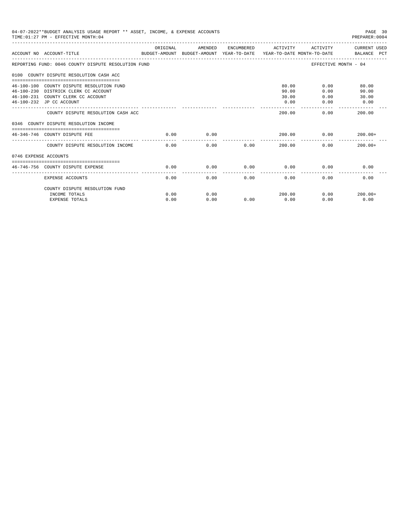|                       | 04-07-2022**BUDGET ANALYSIS USAGE REPORT ** ASSET, INCOME, & EXPENSE ACCOUNTS<br>TIME: 01:27 PM - EFFECTIVE MONTH: 04 |          |         |      |                     |                      | PAGE 30<br>PREPARER: 0004 |
|-----------------------|-----------------------------------------------------------------------------------------------------------------------|----------|---------|------|---------------------|----------------------|---------------------------|
|                       | ACCOUNT NO ACCOUNT-TITLE CONTROL SUDGET-AMOUNT BUDGET-AMOUNT YEAR-TO-DATE YEAR-TO-DATE MONTH-TO-DATE BALANCE PCT      | ORIGINAL | AMENDED |      | ENCUMBERED ACTIVITY | ACTIVITY             | CURRENT USED              |
|                       | REPORTING FUND: 0046 COUNTY DISPUTE RESOLUTION FUND                                                                   |          |         |      |                     | EFFECTIVE MONTH - 04 |                           |
|                       | 0100 COUNTY DISPUTE RESOLUTION CASH ACC                                                                               |          |         |      |                     |                      |                           |
|                       | 46-100-100 COUNTY DISPUTE RESOLUTION FUND                                                                             |          |         |      | 80.00               | 0.00                 | 80.00                     |
|                       | 46-100-230 DISTRICK CLERK CC ACCOUNT                                                                                  |          |         |      | 90.00               | 0.00                 | 90.00                     |
|                       | 46-100-231 COUNTY CLERK CC ACCOUNT                                                                                    |          |         |      | 30.00               | 0.00                 | 30.00                     |
|                       | 46-100-232 JP CC ACCOUNT                                                                                              |          |         |      | 0.00                | 0.00                 | 0.00                      |
|                       | COUNTY DISPUTE RESOLUTION CASH ACC                                                                                    |          |         |      | 200.00              | 0.00                 | -------------<br>200.00   |
|                       | 0346 COUNTY DISPUTE RESOLUTION INCOME                                                                                 |          |         |      |                     |                      |                           |
|                       | 46-346-746 COUNTY DISPUTE FEE                                                                                         | 0.00     | 0.00    |      | 200.00              | 0.00                 | $200.00+$                 |
|                       | COUNTY DISPUTE RESOLUTION INCOME                                                                                      | 0.00     | 0.00    | 0.00 | 200.00              | 0.00                 | $200.00 +$                |
| 0746 EXPENSE ACCOUNTS |                                                                                                                       |          |         |      |                     |                      |                           |
|                       | -------------------------------                                                                                       |          |         |      |                     |                      |                           |
|                       | 46-746-756 COUNTY DISPUTE EXPENSE                                                                                     | 0.00     | 0.00    | 0.00 | 0.00                | 0.00                 | 0.00                      |
|                       | EXPENSE ACCOUNTS                                                                                                      | 0.00     | 0.00    | 0.00 | 0.00                | 0.00                 | 0.00                      |
|                       | COUNTY DISPUTE RESOLUTION FUND                                                                                        |          |         |      |                     |                      |                           |
|                       | INCOME TOTALS                                                                                                         | 0.00     | 0.00    |      | 200.00              | 0.00                 | $200.00+$                 |
|                       | <b>EXPENSE TOTALS</b>                                                                                                 | 0.00     | 0.00    | 0.00 | 0.00                | 0.00                 | 0.00                      |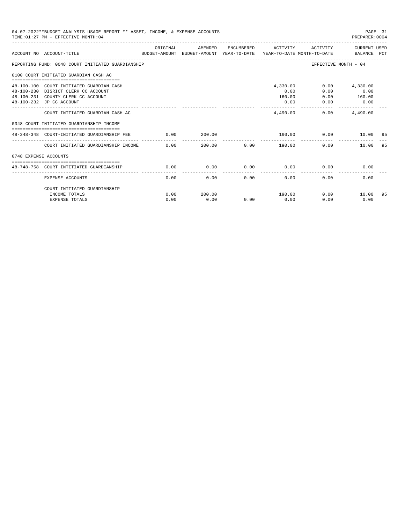| 04-07-2022**BUDGET ANALYSIS USAGE REPORT ** ASSET, INCOME, & EXPENSE ACCOUNTS<br>TIME: 01:27 PM - EFFECTIVE MONTH: 04<br>PREPARER:0004 |                                                                                                                                                   |              |                |      |                                    |                      |                                           |    |
|----------------------------------------------------------------------------------------------------------------------------------------|---------------------------------------------------------------------------------------------------------------------------------------------------|--------------|----------------|------|------------------------------------|----------------------|-------------------------------------------|----|
|                                                                                                                                        | ACCOUNT NO ACCOUNT-TITLE<br>BUDGET-AMOUNT BUDGET-AMOUNT YEAR-TO-DATE YEAR-TO-DATE MONTH-TO-DATE BALANCE PCT                                       | ORIGINAL     | AMENDED        |      | ENCUMBERED ACTIVITY                |                      | ACTIVITY CURRENT USED                     |    |
|                                                                                                                                        | REPORTING FUND: 0048 COURT INITIATED GUARDIANSHIP                                                                                                 |              |                |      |                                    | EFFECTIVE MONTH - 04 |                                           |    |
|                                                                                                                                        | 0100 COURT INITIATED GUARDIAN CASH AC                                                                                                             |              |                |      |                                    |                      |                                           |    |
|                                                                                                                                        | 48-100-100 COURT INITIATED GUARDIAN CASH<br>48-100-230 DISRICT CLERK CC ACCOUNT<br>48-100-231 COUNTY CLERK CC ACCOUNT<br>48-100-232 JP CC ACCOUNT |              |                |      | 4,330.00<br>0.00<br>160.00<br>0.00 | 0.00<br>0.00<br>0.00 | $0.00$ 4,330.00<br>0.00<br>160.00<br>0.00 |    |
|                                                                                                                                        | COURT INITIATED GUARDIAN CASH AC                                                                                                                  |              |                |      | _______________<br>4,490,00        |                      | -------------<br>$0.00$ 4,490.00          |    |
|                                                                                                                                        | 0348 COURT INITIATED GUARDIANSHIP INCOME                                                                                                          |              |                |      |                                    |                      |                                           |    |
|                                                                                                                                        | ===============================<br>48-348-348 COURT-INITIATED GUARDIANSHIP FEE                                                                    | 0.00         | 200.00         |      | 190.00 0.00                        |                      | 10.00 95                                  |    |
|                                                                                                                                        | COURT INITIATED GUARDIANSHIP INCOME 0.00                                                                                                          |              |                |      |                                    | 0.00                 | 10.00                                     | 95 |
| 0748 EXPENSE ACCOUNTS                                                                                                                  |                                                                                                                                                   |              |                |      |                                    |                      |                                           |    |
|                                                                                                                                        | 48-748-758 COURT INTITIATED GUARDIANSHIP                                                                                                          | 0.00         | 0.00           | 0.00 | 0.00                               | 0.00                 | 0.00                                      |    |
|                                                                                                                                        | <b>EXPENSE ACCOUNTS</b>                                                                                                                           | 0.00         | 0.00           | 0.00 | 0.00                               | 0.00                 | 0.00                                      |    |
|                                                                                                                                        | COURT INITIATED GUARDIANSHIP                                                                                                                      |              |                |      |                                    | 0.00                 |                                           |    |
|                                                                                                                                        | INCOME TOTALS<br><b>EXPENSE TOTALS</b>                                                                                                            | 0.00<br>0.00 | 200.00<br>0.00 | 0.00 | 190.00<br>0.00                     | 0.00                 | 10.00<br>0.00                             | 95 |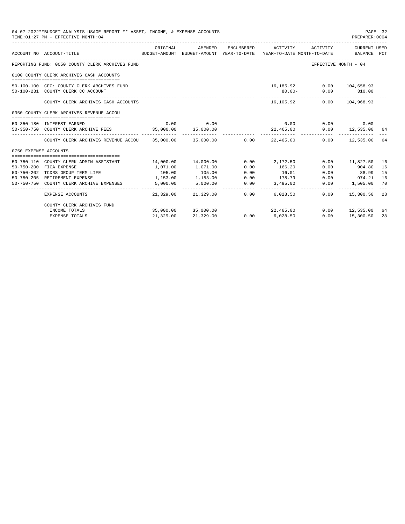|                       | 04-07-2022**BUDGET ANALYSIS USAGE REPORT ** ASSET, INCOME, & EXPENSE ACCOUNTS<br>TIME: 01:27 PM - EFFECTIVE MONTH: 04 |           |             |      |                                                                                                        |                                   | PAGE 32<br>PREPARER: 0004 |    |
|-----------------------|-----------------------------------------------------------------------------------------------------------------------|-----------|-------------|------|--------------------------------------------------------------------------------------------------------|-----------------------------------|---------------------------|----|
|                       | ACCOUNT NO ACCOUNT-TITLE                                                                                              | ORIGINAL  | AMENDED     |      | ENCUMBERED ACTIVITY<br>BUDGET-AMOUNT BUDGET-AMOUNT YEAR-TO-DATE YEAR-TO-DATE MONTH-TO-DATE BALANCE PCT | ACTIVITY                          | CURRENT USED              |    |
|                       | REPORTING FUND: 0050 COUNTY CLERK ARCHIVES FUND                                                                       |           |             |      |                                                                                                        | EFFECTIVE MONTH - 04              |                           |    |
|                       | 0100 COUNTY CLERK ARCHIVES CASH ACCOUNTS                                                                              |           |             |      |                                                                                                        |                                   |                           |    |
|                       |                                                                                                                       |           |             |      |                                                                                                        |                                   |                           |    |
|                       | 50-100-100 CFC: COUNTY CLERK ARCHIVES FUND                                                                            |           |             |      |                                                                                                        | 16,185.92 0.00 104,658.93         |                           |    |
|                       | 50-100-231 COUNTY CLERK CC ACCOUNT                                                                                    |           |             |      | $80.00 -$                                                                                              |                                   | $0.00$ 310.00             |    |
|                       | COUNTY CLERK ARCHIVES CASH ACCOUNTS                                                                                   |           |             |      | 16,105.92                                                                                              |                                   | $0.00$ $104.968.93$       |    |
|                       | 0350 COUNTY CLERK ARCHIVES REVENUE ACCOU                                                                              |           |             |      |                                                                                                        |                                   |                           |    |
|                       | 50-350-180 INTEREST EARNED                                                                                            |           | $0.00$ 0.00 |      |                                                                                                        | $0.00$ $0.00$ $0.00$ $0.00$       |                           |    |
|                       | 50-350-750 COUNTY CLERK ARCHIVE FEES 35,000.00 35,000.00                                                              |           |             |      |                                                                                                        | 22,465.00   0.00   12,535.00   64 |                           |    |
|                       | COUNTY CLERK ARCHIVES REVENUE ACCOU 35,000.00 35,000.00 0.00 22,465.00 0.00 12,535.00 64                              |           |             |      |                                                                                                        |                                   |                           |    |
| 0750 EXPENSE ACCOUNTS |                                                                                                                       |           |             |      |                                                                                                        |                                   |                           |    |
|                       |                                                                                                                       |           |             |      |                                                                                                        |                                   |                           |    |
|                       | 50-750-110 COUNTY CLERK ADMIN ASSISTANT                                                                               |           |             |      | $14,000.00$ $14,000.00$ $0.00$ $2,172.50$                                                              |                                   | $0.00$ 11,827.50 16       |    |
|                       | 50-750-200 FICA EXPENSE                                                                                               | 1,071,00  | 1,071.00    | 0.00 | 166.20                                                                                                 | 0.00                              | 904.80                    | 16 |
| $50 - 750 - 202$      | TCDRS GROUP TERM LIFE                                                                                                 | 105.00    | 105.00      | 0.00 | 16.01                                                                                                  |                                   | $0.00$ 88.99              | 15 |
|                       | 50-750-205 RETIREMENT EXPENSE                                                                                         | 1,153.00  | 1,153.00    | 0.00 | 178.79                                                                                                 |                                   | $0.00$ 974.21             | 16 |
|                       | 50-750-750 COUNTY CLERK ARCHIVE EXPENSES                                                                              | 5.000.00  | 5,000.00    | 0.00 | 3,495.00                                                                                               |                                   | $0.00$ 1,505.00           | 70 |
|                       | <b>EXPENSE ACCOUNTS</b>                                                                                               | 21,329.00 | 21,329.00   | 0.00 | ______________________________<br>6,028.50                                                             |                                   | $0.00$ 15,300.50 28       |    |
|                       | COUNTY CLERK ARCHIVES FUND                                                                                            |           |             |      |                                                                                                        |                                   |                           |    |
|                       | INCOME TOTALS                                                                                                         |           |             |      | $35,000.00$ $35,000.00$ $22,465.00$                                                                    |                                   | $0.00$ 12,535.00 64       |    |
|                       | <b>EXPENSE TOTALS</b>                                                                                                 | 21,329.00 | 21,329.00   |      | $0.00$ 6,028.50                                                                                        | 0.00                              | 15,300.50                 | 28 |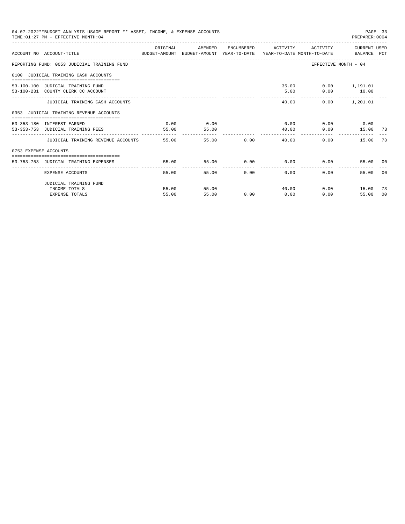|                       | 04-07-2022**BUDGET ANALYSIS USAGE REPORT ** ASSET, INCOME, & EXPENSE ACCOUNTS<br>TIME: 01:27 PM - EFFECTIVE MONTH: 04 |          |         |       |                                           |                         | PAGE 33<br>PREPARER: 0004        |                |
|-----------------------|-----------------------------------------------------------------------------------------------------------------------|----------|---------|-------|-------------------------------------------|-------------------------|----------------------------------|----------------|
|                       | ACCOUNT NO ACCOUNT-TITLE CONTROL SUDGET-AMOUNT BUDGET-AMOUNT YEAR-TO-DATE YEAR-TO-DATE MONTH-TO-DATE BALANCE PCT      | ORIGINAL | AMENDED |       | ENCUMBERED ACTIVITY ACTIVITY CURRENT USED |                         |                                  |                |
|                       | REPORTING FUND: 0053 JUDICIAL TRAINING FUND                                                                           |          |         |       |                                           | EFFECTIVE MONTH - 04    |                                  |                |
|                       | 0100 JUDICIAL TRAINING CASH ACCOUNTS                                                                                  |          |         |       |                                           |                         |                                  |                |
|                       | 53-100-100 JUDICIAL TRAINING FUND                                                                                     |          |         |       |                                           | 35.00   0.00   1,191.01 |                                  |                |
|                       | 53-100-231 COUNTY CLERK CC ACCOUNT                                                                                    |          |         |       |                                           | 5.00 0.00 10.00         |                                  |                |
|                       | JUDICIAL TRAINING CASH ACCOUNTS                                                                                       |          |         |       | 40.00                                     |                         | -------------<br>$0.00$ 1,201.01 |                |
|                       | 0353 JUDICIAL TRAINING REVENUE ACCOUNTS                                                                               |          |         |       |                                           |                         |                                  |                |
|                       | 53-353-180 INTEREST EARNED                                                                                            | 0.00     | 0.00    |       | $0.00$ 0.00 0.00 0.00                     |                         |                                  |                |
|                       | 53-353-753 JUDICIAL TRAINING FEES                                                                                     | 55.00    | 55.00   |       | 40.00                                     |                         | $0.00$ 15.00 73                  |                |
|                       | JUDICIAL TRAINING REVENUE ACCOUNTS 55.00                                                                              |          |         | 55.00 | $0.00$ and $0.00$<br>40.00                | 0.00                    | 15.00                            | 73             |
| 0753 EXPENSE ACCOUNTS |                                                                                                                       |          |         |       |                                           |                         |                                  |                |
|                       | 53-753-753 JUDICIAL TRAINING EXPENSES                                                                                 | 55.00    |         |       | $55.00$ 0.00 0.00 0.00                    |                         | 55.00 00                         |                |
|                       |                                                                                                                       |          |         |       |                                           |                         |                                  |                |
|                       | EXPENSE ACCOUNTS                                                                                                      | 55.00    |         | 55.00 | $0.00$ and $0.00$<br>0.00                 | 0.00                    | 55.00                            | 0 <sub>0</sub> |
|                       | JUDICIAL TRAINING FUND                                                                                                |          |         |       |                                           |                         |                                  |                |
|                       | INCOME TOTALS                                                                                                         | 55.00    | 55.00   |       | 40.00                                     |                         | $0.00$ 15.00                     | -73            |
|                       | <b>EXPENSE TOTALS</b>                                                                                                 | 55.00    | 55.00   | 0.00  | 0.00                                      | 0.00                    | 55.00                            | 00             |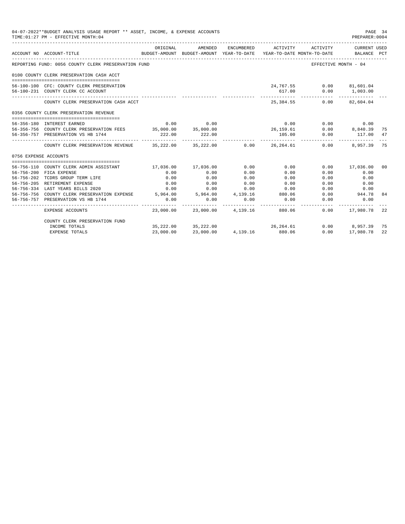|                       | 04-07-2022**BUDGET ANALYSIS USAGE REPORT ** ASSET, INCOME, & EXPENSE ACCOUNTS<br>TIME: 01:27 PM - EFFECTIVE MONTH: 04 |           |                          |          |                                                                                                                 |                      | PAGE 34<br>PREPARER: 0004          |    |
|-----------------------|-----------------------------------------------------------------------------------------------------------------------|-----------|--------------------------|----------|-----------------------------------------------------------------------------------------------------------------|----------------------|------------------------------------|----|
|                       | ACCOUNT NO ACCOUNT-TITLE                                                                                              | ORIGINAL  | AMENDED                  |          | ENCUMBERED ACTIVITY ACTIVITY<br>BUDGET-AMOUNT BUDGET-AMOUNT YEAR-TO-DATE YEAR-TO-DATE MONTH-TO-DATE BALANCE PCT |                      | CURRENT USED                       |    |
|                       | REPORTING FUND: 0056 COUNTY CLERK PRESERVATION FUND                                                                   |           |                          |          |                                                                                                                 | EFFECTIVE MONTH - 04 |                                    |    |
|                       | 0100 COUNTY CLERK PRESERVATION CASH ACCT                                                                              |           |                          |          |                                                                                                                 |                      |                                    |    |
|                       | 56-100-100 CFC: COUNTY CLERK PRESERVATION                                                                             |           |                          |          | 24,767.55 0.00 81,601.04                                                                                        |                      |                                    |    |
|                       | 56-100-231 COUNTY CLERK CC ACCOUNT                                                                                    |           |                          |          | 617.00                                                                                                          |                      | $0.00$ 1,003.00<br>____________    |    |
|                       | COUNTY CLERK PRESERVATION CASH ACCT                                                                                   |           |                          |          | 25, 384, 55                                                                                                     |                      | $0.00$ $82,604.04$                 |    |
|                       | 0356 COUNTY CLERK PRESERVATION REVENUE                                                                                |           |                          |          |                                                                                                                 |                      |                                    |    |
|                       |                                                                                                                       |           |                          |          |                                                                                                                 |                      |                                    |    |
|                       | 56-356-180 INTEREST EARNED                                                                                            |           | $0.00$ 0.00              |          | 0.00                                                                                                            | 0.00                 | 0.00                               |    |
|                       | 56-356-756 COUNTY CLERK PRESERVATION FEES 35,000.00 35,000.00                                                         |           |                          |          |                                                                                                                 |                      | $0.00$ $0.840.39$<br>0.00 $117.00$ | 75 |
|                       | 56-356-757 PRESERVATION VS HB 1744                                                                                    | 222.00    | 222.00                   |          | $26,159.61$<br>$105.00$<br>0.00<br>0.00                                                                         |                      | . <u>.</u>                         | 47 |
|                       | COUNTY CLERK PRESERVATION REVENUE 35,222.00 35,222.00 0.00 26,264.61                                                  |           |                          |          |                                                                                                                 |                      | $0.00$ 8.957.39                    | 75 |
| 0756 EXPENSE ACCOUNTS |                                                                                                                       |           |                          |          |                                                                                                                 |                      |                                    |    |
|                       |                                                                                                                       |           |                          |          |                                                                                                                 |                      |                                    |    |
|                       | 56-756-110 COUNTY CLERK ADMIN ASSISTANT                                                                               |           | 17,036.00 17,036.00 0.00 |          | 0.00                                                                                                            |                      | $0.00$ 17,036.00                   | 00 |
|                       | 56-756-200 FICA EXPENSE                                                                                               | 0.00      | 0.00                     | 0.00     | 0.00                                                                                                            | 0.00                 | 0.00                               |    |
|                       | 56-756-202 TCDRS GROUP TERM LIFE                                                                                      | 0.00      | 0.00                     | 0.00     | 0.00                                                                                                            | 0.00                 | 0.00                               |    |
|                       | 56-756-205 RETIREMENT EXPENSE                                                                                         | 0.00      | 0.00                     | 0.00     | 0.00                                                                                                            | 0.00                 | 0.00                               |    |
|                       | 56-756-334 LAST YEARS BILLS 2020                                                                                      | 0.00      | $0.00$ 0.00              |          | 0.00                                                                                                            | 0.00                 | 0.00                               |    |
|                       | 56-756-756 COUNTY CLERK PRESERVATION EXPENSE 5,964.00 5,964.00 4,139.16 880.06                                        |           |                          |          |                                                                                                                 |                      | $0.00$ 944.78                      | 84 |
|                       | 56-756-757 PRESERVATION VS HB 1744                                                                                    | 0.00      | 0.00                     | 0.00     | 0.00                                                                                                            | 0.00                 | 0.00                               |    |
|                       | EXPENSE ACCOUNTS                                                                                                      |           |                          |          | 23,000.00 23,000.00 4,139.16 880.06                                                                             |                      | $0.00$ 17,980.78                   | 22 |
|                       | COUNTY CLERK PRESERVATION FUND                                                                                        |           |                          |          |                                                                                                                 |                      |                                    |    |
|                       | INCOME TOTALS                                                                                                         |           | 35,222.00 35,222.00      |          | 26, 264.61                                                                                                      |                      | 0.00 8,957.39 75                   |    |
|                       | <b>EXPENSE TOTALS</b>                                                                                                 | 23,000.00 | 23,000.00                | 4,139.16 | 880.06                                                                                                          | 0.00                 | 17,980.78                          | 22 |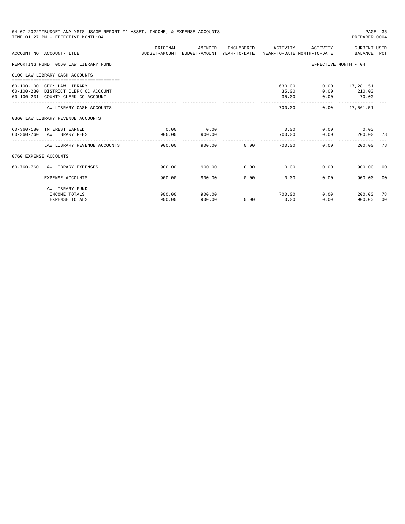| 04-07-2022**BUDGET ANALYSIS USAGE REPORT ** ASSET, INCOME, & EXPENSE ACCOUNTS<br>PAGE 35<br>TIME: 01:27 PM - EFFECTIVE MONTH: 04<br>PREPARER: 0004 |                                                                                                           |                                                                                                  |                  |      |                          |                           |                                                            |                      |
|----------------------------------------------------------------------------------------------------------------------------------------------------|-----------------------------------------------------------------------------------------------------------|--------------------------------------------------------------------------------------------------|------------------|------|--------------------------|---------------------------|------------------------------------------------------------|----------------------|
|                                                                                                                                                    | ACCOUNT NO ACCOUNT-TITLE                                                                                  | ORIGINAL<br>BUDGET-AMOUNT BUDGET-AMOUNT YEAR-TO-DATE  YEAR-TO-DATE MONTH-TO-DATE     BALANCE PCT | AMENDED          |      | ENCUMBERED ACTIVITY      |                           | ACTIVITY CURRENT USED                                      |                      |
|                                                                                                                                                    | REPORTING FUND: 0060 LAW LIBRARY FUND                                                                     |                                                                                                  |                  |      |                          | EFFECTIVE MONTH - 04      |                                                            |                      |
|                                                                                                                                                    | 0100 LAW LIBRARY CASH ACCOUNTS                                                                            |                                                                                                  |                  |      |                          |                           |                                                            |                      |
|                                                                                                                                                    | 60-100-100 CFC: LAW LIBRARY<br>60-100-230 DISTRICT CLERK CC ACCOUNT<br>60-100-231 COUNTY CLERK CC ACCOUNT |                                                                                                  |                  |      | 630.00<br>35.00<br>35.00 | 0.00                      | $0.00$ 17,281.51<br>$0.00$ 210.00<br>70.00<br>------------ |                      |
|                                                                                                                                                    | LAW LIBRARY CASH ACCOUNTS                                                                                 |                                                                                                  |                  |      | 700.00                   |                           | $0.00$ 17,561.51                                           |                      |
|                                                                                                                                                    | 0360 LAW LIBRARY REVENUE ACCOUNTS                                                                         |                                                                                                  |                  |      |                          |                           |                                                            |                      |
|                                                                                                                                                    | 60-360-180 INTEREST EARNED<br>60-360-760 LAW LIBRARY FEES                                                 | 0.00<br>900.00                                                                                   | 0.00<br>900.00   |      | 0.00<br>700.00           | 0.00                      | $0.00$ 0.00<br>200.00 78                                   |                      |
|                                                                                                                                                    | LAW LIBRARY REVENUE ACCOUNTS                                                                              | 900.00                                                                                           | 900.00           | 0.00 | 700.00                   | 0.00                      | 200.00                                                     | 78                   |
| 0760 EXPENSE ACCOUNTS                                                                                                                              |                                                                                                           |                                                                                                  |                  |      |                          |                           |                                                            |                      |
|                                                                                                                                                    | 60-760-760 LAW LIBRARY EXPENSES                                                                           | 900.00                                                                                           | 900.00           |      | $0.00$ 0.00              | 0.00                      | 900.00 00                                                  |                      |
|                                                                                                                                                    | EXPENSE ACCOUNTS                                                                                          | 900.00                                                                                           | 900.00           | 0.00 | 0.00                     | 0.00                      | 900.00                                                     | 0 <sub>0</sub>       |
|                                                                                                                                                    | LAW LIBRARY FUND<br>INCOME TOTALS<br><b>EXPENSE TOTALS</b>                                                | 900.00<br>900.00                                                                                 | 900.00<br>900.00 | 0.00 | 700.00<br>0.00           | $0.00$ and $0.00$<br>0.00 | 200.00<br>900.00                                           | 78<br>0 <sup>0</sup> |
|                                                                                                                                                    |                                                                                                           |                                                                                                  |                  |      |                          |                           |                                                            |                      |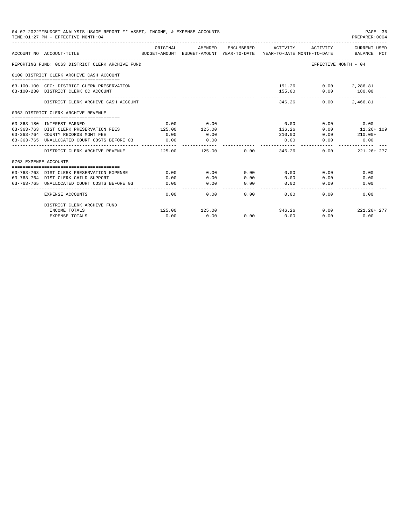|                       | 04-07-2022**BUDGET ANALYSIS USAGE REPORT ** ASSET, INCOME, & EXPENSE ACCOUNTS<br>TIME: 01:27 PM - EFFECTIVE MONTH: 04 |          |                                                                                |            |                |          | PAGE 36<br>PREPARER: 0004                                                                                                                                                                                   |
|-----------------------|-----------------------------------------------------------------------------------------------------------------------|----------|--------------------------------------------------------------------------------|------------|----------------|----------|-------------------------------------------------------------------------------------------------------------------------------------------------------------------------------------------------------------|
|                       | ACCOUNT NO ACCOUNT-TITLE                                                                                              | ORIGINAL | AMENDED<br>BUDGET-AMOUNT BUDGET-AMOUNT YEAR-TO-DATE YEAR-TO-DATE MONTH-TO-DATE | ENCUMBERED | ACTIVITY       | ACTIVITY | <b>CURRENT USED</b>                                                                                                                                                                                         |
|                       | REPORTING FUND: 0063 DISTRICT CLERK ARCHIVE FUND                                                                      |          |                                                                                |            |                |          |                                                                                                                                                                                                             |
|                       | 0100 DISTRICT CLERK ARCHIVE CASH ACCOUNT                                                                              |          |                                                                                |            |                |          |                                                                                                                                                                                                             |
|                       | 63-100-100 CFC: DISTRICT CLERK PRESERVATION<br>63-100-230 DISTRICT CLERK CC ACCOUNT                                   |          |                                                                                |            | 155.00         | 0.00     | 180.00                                                                                                                                                                                                      |
|                       | DISTRICT CLERK ARCHIVE CASH ACCOUNT                                                                                   |          |                                                                                |            | 346.26         |          | 2,466.81                                                                                                                                                                                                    |
|                       | 0363 DISTRICT CLERK ARCHIVE REVENUE                                                                                   |          |                                                                                |            |                |          |                                                                                                                                                                                                             |
|                       |                                                                                                                       | 0.00     | 0.00                                                                           |            |                |          |                                                                                                                                                                                                             |
|                       | 63-363-180 INTEREST EARNED<br>63-363-763 DIST CLERK PRESERVATION FEES                                                 | 125.00   | 125.00                                                                         |            | 0.00<br>136.26 |          |                                                                                                                                                                                                             |
|                       | 63-363-764 COUNTY RECORDS MGMT FEE                                                                                    | 0.00     | 0.00                                                                           |            | 210.00         | 0.00     |                                                                                                                                                                                                             |
|                       | 63-363-765 UNALLOCATED COURT COSTS BEFORE 03                                                                          | 0.00     | 0.00                                                                           |            | 0.00           | 0.00     | BALANCE PCT<br>EFFECTIVE MONTH - 04<br>191.26 0.00 2,286.81<br>$- - - - - - - -$<br>0.00<br>0.00<br>0.00<br>11.26+ 109<br>0.00<br>$210.00+$<br>0.00<br>0.00<br>0.00<br>0.00<br>0.00<br>0.00<br>0.00<br>0.00 |
|                       | DISTRICT CLERK ARCHIVE REVENUE                                                                                        | 125.00   | 125.00                                                                         | 0.00       | 346.26         |          | 221.26+277                                                                                                                                                                                                  |
| 0763 EXPENSE ACCOUNTS |                                                                                                                       |          |                                                                                |            |                |          |                                                                                                                                                                                                             |
|                       |                                                                                                                       |          |                                                                                |            |                |          |                                                                                                                                                                                                             |
|                       | 63-763-763 DIST CLERK PRESERVATION EXPENSE                                                                            | 0.00     | 0.00                                                                           | 0.00       | 0.00           | 0.00     |                                                                                                                                                                                                             |
|                       | 63-763-764 DIST CLERK CHILD SUPPORT                                                                                   | 0.00     | 0.00                                                                           | 0.00       | 0.00           |          |                                                                                                                                                                                                             |
|                       | 63-763-765 UNALLOCATED COURT COSTS BEFORE 03                                                                          | 0.00     | 0.00                                                                           | 0.00       | 0.00           |          |                                                                                                                                                                                                             |
|                       | <b>EXPENSE ACCOUNTS</b>                                                                                               | 0.00     | 0.00                                                                           | 0.00       | 0.00           | 0.00     |                                                                                                                                                                                                             |
|                       | DISTRICT CLERK ARCHIVE FUND                                                                                           |          |                                                                                |            |                |          |                                                                                                                                                                                                             |
|                       | INCOME TOTALS                                                                                                         | 125.00   | 125.00                                                                         |            | 346.26         | 0.00     | 221.26+277                                                                                                                                                                                                  |
|                       | <b>EXPENSE TOTALS</b>                                                                                                 | 0.00     | 0.00                                                                           | 0.00       | 0.00           | 0.00     | 0.00                                                                                                                                                                                                        |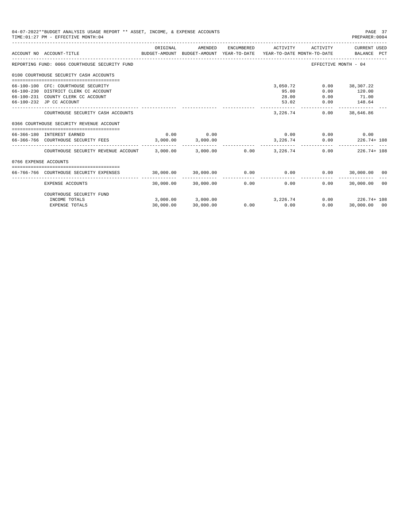|                       | 04-07-2022**BUDGET ANALYSIS USAGE REPORT ** ASSET, INCOME, & EXPENSE ACCOUNTS<br>TIME: 01:27 PM - EFFECTIVE MONTH: 04                         |                                              |                                               |            |                                     |                             | PAGE 37<br>PREPARER: 0004                     |
|-----------------------|-----------------------------------------------------------------------------------------------------------------------------------------------|----------------------------------------------|-----------------------------------------------|------------|-------------------------------------|-----------------------------|-----------------------------------------------|
|                       | ACCOUNT NO ACCOUNT-TITLE<br>BUDGET-AMOUNT BUDGET-AMOUNT YEAR-TO-DATE YEAR-TO-DATE_MONTH-TO-DATE<br>---------------------------------          | ORIGINAL                                     | AMENDED                                       | ENCUMBERED | ACTIVITY                            | ACTIVITY                    | CURRENT USED<br>BALANCE PCT                   |
|                       | REPORTING FUND: 0066 COURTHOUSE SECURITY FUND                                                                                                 |                                              |                                               |            |                                     |                             | EFFECTIVE MONTH - 04                          |
|                       | 0100 COURTHOUSE SECURITY CASH ACCOUNTS                                                                                                        |                                              |                                               |            |                                     |                             |                                               |
|                       | 66-100-100 CFC: COURTHOUSE SECURITY<br>66-100-230 DISTRICT CLERK CC ACCOUNT<br>66-100-231 COUNTY CLERK CC ACCOUNT<br>66-100-232 JP CC ACCOUNT |                                              |                                               |            | 3,050.72<br>95.00<br>28.00<br>53.02 | 0.00<br>0.00<br>0.00        | 38,307.22<br>120.00<br>$0.00$ 71.00<br>148.64 |
|                       | COURTHOUSE SECURITY CASH ACCOUNTS                                                                                                             |                                              |                                               |            | 3,226.74                            | 0.00                        | 38,646.86                                     |
|                       | 0366 COURTHOUSE SECURITY REVENUE ACCOUNT                                                                                                      |                                              |                                               |            |                                     |                             |                                               |
|                       | ====================================<br>66-366-180 INTEREST EARNED<br>66-366-766 COURTHOUSE SECURITY FEES                                     | 0.00<br>$3,000.00$ $3,000.00$                | 0.00                                          |            | 3, 226, 74                          | $0.00$ $0.00$ $0.00$ $0.00$ | $0.00$ 226.74+ 108                            |
|                       | COURTHOUSE SECURITY REVENUE ACCOUNT 3,000.00 3,000.00                                                                                         |                                              |                                               |            | $0.00$ 3.226.74                     |                             | 0.00<br>$226.74 + 108$                        |
| 0766 EXPENSE ACCOUNTS |                                                                                                                                               |                                              |                                               |            |                                     |                             |                                               |
|                       | 66-766-766 COURTHOUSE SECURITY EXPENSES                                                                                                       | $30,000.00$ $30,000.00$ $0.00$ $0.00$ $0.00$ |                                               |            |                                     |                             | $0.00$ 30,000.00 00                           |
|                       | EXPENSE ACCOUNTS                                                                                                                              |                                              | 30,000.00 30,000.00                           | 0.00       |                                     | 0.00                        | $0.00$ 30,000.00 00                           |
|                       | COURTHOUSE SECURITY FUND                                                                                                                      |                                              |                                               |            |                                     |                             |                                               |
|                       | INCOME TOTALS<br><b>EXPENSE TOTALS</b>                                                                                                        | 30,000.00                                    | $3,000.00$ $3,000.00$ $3,226.74$<br>30,000.00 |            | $0.00$ 0.00                         | 0.00                        | $0.00$ 226.74+108<br>30,000.00 00             |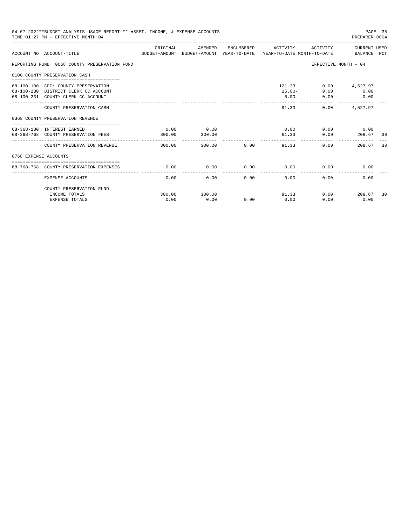|                       | 04-07-2022**BUDGET ANALYSIS USAGE REPORT ** ASSET, INCOME, & EXPENSE ACCOUNTS<br>TIME: 01:27 PM - EFFECTIVE MONTH: 04 |                |                |             |                                 |                             | PAGE 38<br>PREPARER: 0004                                                             |      |
|-----------------------|-----------------------------------------------------------------------------------------------------------------------|----------------|----------------|-------------|---------------------------------|-----------------------------|---------------------------------------------------------------------------------------|------|
|                       | BUDGET-AMOUNT BUDGET-AMOUNT YEAR-TO-DATE  YEAR-TO-DATE MONTH-TO-DATE     BALANCE PCT<br>ACCOUNT NO ACCOUNT-TITLE      | ORIGINAL       | AMENDED        |             | ENCUMBERED ACTIVITY             |                             | ACTIVITY CURRENT USED                                                                 |      |
|                       | REPORTING FUND: 0068 COUNTY PRESERVATION FUND                                                                         |                |                |             |                                 | EFFECTIVE MONTH - 04        |                                                                                       |      |
|                       | 0100 COUNTY PRESERVATION CASH                                                                                         |                |                |             |                                 |                             |                                                                                       |      |
|                       | 68-100-100 CFC: COUNTY PRESERVATION<br>68-100-230 DISTRICT CLERK CC ACCOUNT<br>68-100-231 COUNTY CLERK CC ACCOUNT     |                |                |             | 121.33<br>$25.00 -$<br>$5.00 -$ | 0.00<br>0.00                | $0.00$ 4,527.97<br>0.00<br>$\begin{array}{ccc} & & 0.00 \end{array}$<br>------------- |      |
|                       | COUNTY PRESERVATION CASH                                                                                              |                |                |             | 91.33                           |                             | $0.00$ 4,527.97                                                                       |      |
|                       | 0368 COUNTY PRESERVATION REVENUE                                                                                      |                |                |             |                                 |                             |                                                                                       |      |
|                       | 68-368-180 INTEREST EARNED<br>68-368-768 COUNTY PRESERVATION FEES                                                     | 0.00<br>300.00 | 0.00<br>300.00 |             | 91.33                           | $0.00$ $0.00$ $0.00$ $0.00$ | $0.00$ 208.67                                                                         | - 30 |
|                       | COUNTY PRESERVATION REVENUE                                                                                           | 300.00         |                | 300.00 0.00 | ------------<br>91.33           | 0.00                        | 208.67                                                                                | 30   |
| 0768 EXPENSE ACCOUNTS |                                                                                                                       |                |                |             |                                 |                             |                                                                                       |      |
|                       | 68-768-768 COUNTY PRESERVATION EXPENSES                                                                               | 0.00           | 0.00           |             | $0.00$ 0.00                     | 0.00                        | 0.00                                                                                  |      |
|                       | EXPENSE ACCOUNTS                                                                                                      | 0.00           | 0.00           | 0.00        | 0.00                            | 0.00                        | 0.00                                                                                  |      |
|                       | COUNTY PRESERVATION FUND<br>INCOME TOTALS                                                                             | 300.00         | 300.00         |             | 91.33                           |                             | $0.00$ 208.67                                                                         | 30   |
|                       | <b>EXPENSE TOTALS</b>                                                                                                 | 0.00           | 0.00           | 0.00        | 0.00                            | 0.00                        | 0.00                                                                                  |      |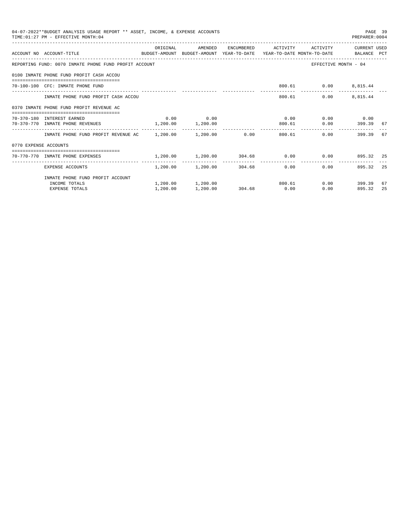| 04-07-2022**BUDGET ANALYSIS USAGE REPORT ** ASSET, INCOME, & EXPENSE ACCOUNTS<br>PAGE 39<br>TIME: 01:27 PM - EFFECTIVE MONTH: 04<br>PREPARER:0004<br>ORIGINAL<br>AMENDED<br>ENCUMBERED ACTIVITY<br>ACTIVITY CURRENT USED<br>ACCOUNT NO ACCOUNT-TITLE CONTROL BUDGET-AMOUNT BUDGET-AMOUNT YEAR-TO-DATE YEAR-TO-DATE MONTH-TO-DATE BALANCE PCT<br>REPORTING FUND: 0070 INMATE PHONE FUND PROFIT ACCOUNT<br>EFFECTIVE MONTH - 04<br>0100 INMATE PHONE FUND PROFIT CASH ACCOU<br>800.61   0.00   8,815.44<br>70-100-100 CFC: INMATE PHONE FUND<br>$0.00$ $8,815.44$<br>INMATE PHONE FUND PROFIT CASH ACCOU<br>800.61<br>0370 INMATE PHONE FUND PROFIT REVENUE AC<br>$0.00$ 0.00<br>$0.00$ $0.00$ $0.00$ $0.00$<br>70-370-180 INTEREST EARNED<br>70-370-770 INMATE PHONE REVENUES 1,200.00 1,200.00<br>$0.00$ 399.39<br>800.61<br>-67<br>INMATE PHONE FUND PROFIT REVENUE AC 1,200.00 1,200.00 0.00 0.00 800.61<br>0.00<br>67<br>399.39<br>0770 EXPENSE ACCOUNTS<br>=====================================<br>$1,200.00$ $1,200.00$ $304.68$ $0.00$ $0.00$ $895.32$ $25$<br>70-770-770 INMATE PHONE EXPENSES<br>------------<br>-------------<br>25<br>$1,200.00$ $1,200.00$ $304.68$ 0.00<br>0.00<br>895.32<br>EXPENSE ACCOUNTS<br>INMATE PHONE FUND PROFIT ACCOUNT<br>$1,200.00$ $1,200.00$ $800.61$<br>$0.00$ 399.39<br>67<br>INCOME TOTALS |          |          |             |      |        |    |
|------------------------------------------------------------------------------------------------------------------------------------------------------------------------------------------------------------------------------------------------------------------------------------------------------------------------------------------------------------------------------------------------------------------------------------------------------------------------------------------------------------------------------------------------------------------------------------------------------------------------------------------------------------------------------------------------------------------------------------------------------------------------------------------------------------------------------------------------------------------------------------------------------------------------------------------------------------------------------------------------------------------------------------------------------------------------------------------------------------------------------------------------------------------------------------------------------------------------------------------------------------------------------------------------------------------------------------------|----------|----------|-------------|------|--------|----|
|                                                                                                                                                                                                                                                                                                                                                                                                                                                                                                                                                                                                                                                                                                                                                                                                                                                                                                                                                                                                                                                                                                                                                                                                                                                                                                                                          |          |          |             |      |        |    |
|                                                                                                                                                                                                                                                                                                                                                                                                                                                                                                                                                                                                                                                                                                                                                                                                                                                                                                                                                                                                                                                                                                                                                                                                                                                                                                                                          |          |          |             |      |        |    |
|                                                                                                                                                                                                                                                                                                                                                                                                                                                                                                                                                                                                                                                                                                                                                                                                                                                                                                                                                                                                                                                                                                                                                                                                                                                                                                                                          |          |          |             |      |        |    |
|                                                                                                                                                                                                                                                                                                                                                                                                                                                                                                                                                                                                                                                                                                                                                                                                                                                                                                                                                                                                                                                                                                                                                                                                                                                                                                                                          |          |          |             |      |        |    |
|                                                                                                                                                                                                                                                                                                                                                                                                                                                                                                                                                                                                                                                                                                                                                                                                                                                                                                                                                                                                                                                                                                                                                                                                                                                                                                                                          |          |          |             |      |        |    |
|                                                                                                                                                                                                                                                                                                                                                                                                                                                                                                                                                                                                                                                                                                                                                                                                                                                                                                                                                                                                                                                                                                                                                                                                                                                                                                                                          |          |          |             |      |        |    |
|                                                                                                                                                                                                                                                                                                                                                                                                                                                                                                                                                                                                                                                                                                                                                                                                                                                                                                                                                                                                                                                                                                                                                                                                                                                                                                                                          |          |          |             |      |        |    |
|                                                                                                                                                                                                                                                                                                                                                                                                                                                                                                                                                                                                                                                                                                                                                                                                                                                                                                                                                                                                                                                                                                                                                                                                                                                                                                                                          |          |          |             |      |        |    |
|                                                                                                                                                                                                                                                                                                                                                                                                                                                                                                                                                                                                                                                                                                                                                                                                                                                                                                                                                                                                                                                                                                                                                                                                                                                                                                                                          |          |          |             |      |        |    |
|                                                                                                                                                                                                                                                                                                                                                                                                                                                                                                                                                                                                                                                                                                                                                                                                                                                                                                                                                                                                                                                                                                                                                                                                                                                                                                                                          |          |          |             |      |        |    |
|                                                                                                                                                                                                                                                                                                                                                                                                                                                                                                                                                                                                                                                                                                                                                                                                                                                                                                                                                                                                                                                                                                                                                                                                                                                                                                                                          |          |          |             |      |        |    |
|                                                                                                                                                                                                                                                                                                                                                                                                                                                                                                                                                                                                                                                                                                                                                                                                                                                                                                                                                                                                                                                                                                                                                                                                                                                                                                                                          |          |          |             |      |        |    |
|                                                                                                                                                                                                                                                                                                                                                                                                                                                                                                                                                                                                                                                                                                                                                                                                                                                                                                                                                                                                                                                                                                                                                                                                                                                                                                                                          |          |          |             |      |        |    |
|                                                                                                                                                                                                                                                                                                                                                                                                                                                                                                                                                                                                                                                                                                                                                                                                                                                                                                                                                                                                                                                                                                                                                                                                                                                                                                                                          |          |          |             |      |        |    |
|                                                                                                                                                                                                                                                                                                                                                                                                                                                                                                                                                                                                                                                                                                                                                                                                                                                                                                                                                                                                                                                                                                                                                                                                                                                                                                                                          |          |          |             |      |        |    |
| <b>EXPENSE TOTALS</b>                                                                                                                                                                                                                                                                                                                                                                                                                                                                                                                                                                                                                                                                                                                                                                                                                                                                                                                                                                                                                                                                                                                                                                                                                                                                                                                    | 1,200.00 | 1,200.00 | 304.68 0.00 | 0.00 | 895.32 | 25 |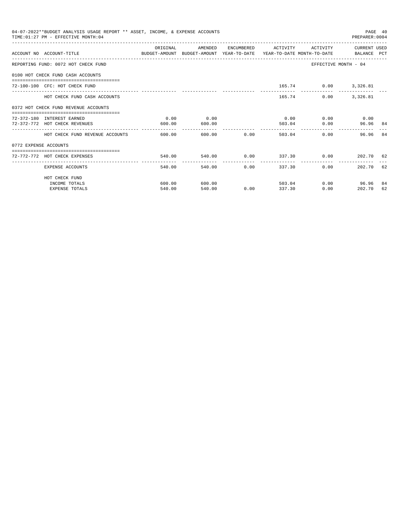|                       | 04-07-2022**BUDGET ANALYSIS USAGE REPORT ** ASSET, INCOME, & EXPENSE ACCOUNTS<br>TIME: 01:27 PM - EFFECTIVE MONTH: 04 |          |         |                                    |                         |             |                                                                                                                                                                                | PAGE 40 |
|-----------------------|-----------------------------------------------------------------------------------------------------------------------|----------|---------|------------------------------------|-------------------------|-------------|--------------------------------------------------------------------------------------------------------------------------------------------------------------------------------|---------|
|                       | ACCOUNT NO ACCOUNT-TITLE CONTROL SUDGET-AMOUNT BUDGET-AMOUNT YEAR-TO-DATE YEAR-TO-DATE MONTH-TO-DATE BALANCE PCT      | ORIGINAL | AMENDED |                                    | ENCUMBERED ACTIVITY     | ACTIVITY    |                                                                                                                                                                                |         |
|                       | REPORTING FUND: 0072 HOT CHECK FUND                                                                                   |          |         |                                    |                         |             |                                                                                                                                                                                |         |
|                       | 0100 HOT CHECK FUND CASH ACCOUNTS                                                                                     |          |         |                                    |                         |             |                                                                                                                                                                                |         |
|                       | 72-100-100 CFC: HOT CHECK FUND                                                                                        |          |         |                                    |                         |             |                                                                                                                                                                                |         |
|                       | HOT CHECK FUND CASH ACCOUNTS                                                                                          |          |         |                                    |                         | 165.74 0.00 | 3,326.81                                                                                                                                                                       |         |
|                       | 0372 HOT CHECK FUND REVENUE ACCOUNTS                                                                                  |          |         |                                    |                         |             |                                                                                                                                                                                |         |
|                       | 72-372-180 INTEREST EARNED                                                                                            | 0.00     | 0.00    |                                    | 0.00                    |             |                                                                                                                                                                                |         |
|                       | 72-372-772 HOT CHECK REVENUES                                                                                         | 600.00   | 600.00  |                                    | 503.04                  | 0.00        | PREPARER: 0004<br>CURRENT USED<br>EFFECTIVE MONTH - 04<br>165.74 0.00 3,326.81<br>$0.00$ 0.00<br>96.96 84<br>0.00<br>96.96<br>202.70 62<br>202.70 62<br>$0.00$ 96.96<br>202.70 |         |
|                       | HOT CHECK FUND REVENUE ACCOUNTS                                                                                       | 600.00   |         | 600.00 0.00                        | 503.04                  |             |                                                                                                                                                                                | 84      |
| 0772 EXPENSE ACCOUNTS |                                                                                                                       |          |         |                                    |                         |             |                                                                                                                                                                                |         |
|                       | 72-772-772 HOT CHECK EXPENSES                                                                                         | 540.00   |         |                                    | 540.00 0.00 337.30 0.00 |             |                                                                                                                                                                                |         |
|                       | EXPENSE ACCOUNTS                                                                                                      | 540.00   | 540.00  | ------------- ------------<br>0.00 | 337.30                  | $0.00 -$    |                                                                                                                                                                                |         |
|                       | HOT CHECK FUND                                                                                                        |          |         |                                    |                         |             |                                                                                                                                                                                |         |
|                       | INCOME TOTALS                                                                                                         | 600.00   | 600.00  |                                    | 503.04                  |             |                                                                                                                                                                                | -84     |
|                       | <b>EXPENSE TOTALS</b>                                                                                                 | 540.00   | 540.00  | 0.00                               | 337.30                  | 0.00        |                                                                                                                                                                                | 62      |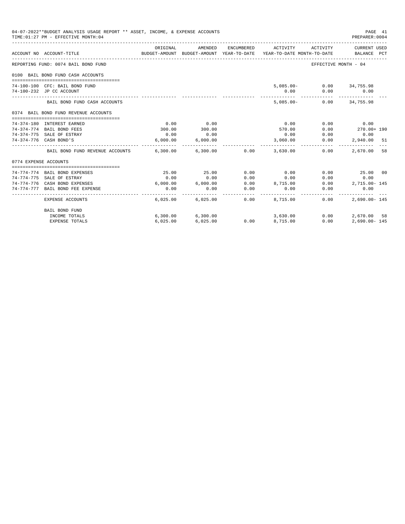|                       | 04-07-2022**BUDGET ANALYSIS USAGE REPORT ** ASSET, INCOME, & EXPENSE ACCOUNTS<br>TIME: 01:27 PM - EFFECTIVE MONTH: 04 |                    |                      |                       |                                                                                             |              | PAGE 41<br>PREPARER: 0004 |  |
|-----------------------|-----------------------------------------------------------------------------------------------------------------------|--------------------|----------------------|-----------------------|---------------------------------------------------------------------------------------------|--------------|---------------------------|--|
|                       | ACCOUNT NO ACCOUNT-TITLE                                                                                              | ORIGINAL           | AMENDED              | ENCUMBERED            | ACTIVITY<br>BUDGET-AMOUNT BUDGET-AMOUNT YEAR-TO-DATE YEAR-TO-DATE MONTH-TO-DATE BALANCE PCT | ACTIVITY     | CURRENT USED              |  |
|                       | REPORTING FUND: 0074 BAIL BOND FUND                                                                                   |                    |                      |                       |                                                                                             |              | EFFECTIVE MONTH - 04      |  |
|                       | 0100 BAIL BOND FUND CASH ACCOUNTS                                                                                     |                    |                      |                       |                                                                                             |              |                           |  |
|                       |                                                                                                                       |                    |                      |                       |                                                                                             |              |                           |  |
|                       | 74-100-100 CFC: BAIL BOND FUND                                                                                        |                    |                      |                       |                                                                                             |              | 5,085.00- 0.00 34,755.98  |  |
|                       | 74-100-232 JP CC ACCOUNT                                                                                              |                    |                      |                       | 0.00                                                                                        |              | $0.00$ 0.00               |  |
|                       | BAIL BOND FUND CASH ACCOUNTS                                                                                          |                    |                      |                       |                                                                                             |              | 5,085.00- 0.00 34,755.98  |  |
|                       | 0374 BAIL BOND FUND REVENUE ACCOUNTS                                                                                  |                    |                      |                       |                                                                                             |              |                           |  |
|                       |                                                                                                                       |                    |                      |                       |                                                                                             |              |                           |  |
|                       | 74-374-180 INTEREST EARNED                                                                                            | 0.00               | 0.00                 |                       | 0.00                                                                                        |              | $0.00$ 0.00               |  |
|                       | 74-374-774 BAIL BOND FEES                                                                                             | 300.00             | 300.00               |                       | 570.00                                                                                      | 0.00         | 270.00+ 190               |  |
|                       | 74-374-775 SALE OF ESTRAY                                                                                             | 0.00               | 0.00                 |                       | 0.00                                                                                        | 0.00         | 0.00                      |  |
|                       | 74-374-776 CASH BOND'S                                                                                                |                    | 6,000.00 6,000.00    |                       | 3,060.00                                                                                    | 0.00         | 2,940.00 51               |  |
|                       | BAIL BOND FUND REVENUE ACCOUNTS 6,300.00 6,300.00 0.00 3,630.00                                                       |                    |                      |                       |                                                                                             | 0.00         | 2,670,00 58               |  |
| 0774 EXPENSE ACCOUNTS |                                                                                                                       |                    |                      |                       |                                                                                             |              |                           |  |
|                       |                                                                                                                       |                    |                      |                       |                                                                                             |              |                           |  |
|                       | 74-774-774 BAIL BOND EXPENSES                                                                                         | 25.00              | 25.00                | 0.00                  | 0.00                                                                                        |              | $0.00$ 25.00 00           |  |
|                       | 74-774-775 SALE OF ESTRAY                                                                                             | 0.00               | 0.00                 | 0.00                  | 0.00                                                                                        |              | $0.00$ 0.00               |  |
|                       | 74-774-776 CASH BOND EXPENSES                                                                                         |                    |                      |                       | $6,000.00$ $6,000.00$ $0.00$ $8,715.00$                                                     |              | $0.00$ 2,715.00-145       |  |
|                       | 74-774-777 BAIL BOND FEE EXPENSE                                                                                      | 0.00<br>---------- | 0.00<br>------------ | 0.00<br>------------- | 0.00<br>----------                                                                          | ------------ | 0.00<br>0.00              |  |
|                       | EXPENSE ACCOUNTS                                                                                                      |                    |                      |                       | $6,025.00$ $6,025.00$ $0.00$ $8,715.00$                                                     | 0.00         | $2.690.00 - 145$          |  |
|                       | <b>BAIL BOND FUND</b>                                                                                                 |                    |                      |                       |                                                                                             |              |                           |  |
|                       | INCOME TOTALS                                                                                                         |                    | 6,300.00 6,300.00    |                       | 3,630.00                                                                                    | 0.00         | 2,670.00 58               |  |
|                       | <b>EXPENSE TOTALS</b>                                                                                                 | 6.025.00           | 6,025.00             | 0.00                  | 8,715.00                                                                                    | 0.00         | $2.690.00 - 145$          |  |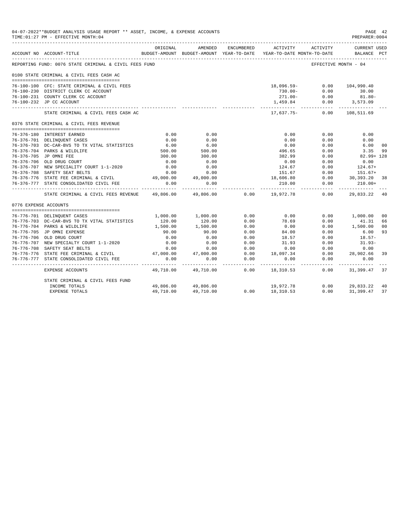| 04-07-2022**BUDGET ANALYSIS USAGE REPORT ** ASSET, INCOME, & EXPENSE ACCOUNTS<br>TIME: 01:27 PM - EFFECTIVE MONTH: 04<br>ENCUMBERED<br>ACTIVITY<br>ACTIVITY<br>ORIGINAL<br>AMENDED<br>BUDGET-AMOUNT BUDGET-AMOUNT YEAR-TO-DATE YEAR-TO-DATE MONTH-TO-DATE<br>ACCOUNT NO ACCOUNT-TITLE<br>REPORTING FUND: 0076 STATE CRIMINAL & CIVIL FEES FUND<br>EFFECTIVE MONTH - 04<br>0100 STATE CRIMINAL & CIVIL FEES CASH AC<br>$0.00$ 104,990.40<br>76-100-100 CFC: STATE CRIMINAL & CIVIL FEES<br>18,096.59-<br>76-100-230 DISTRICT CLERK CC ACCOUNT<br>$730.00 -$<br>0.00<br>$271.00 - 0.00$ 81.80-<br>76-100-231 COUNTY CLERK CC ACCOUNT<br>76-100-232 JP CC ACCOUNT<br>1,459.84 0.00 3,573.09<br>---------<br>-------------<br>17,637.75- 0.00 108,511.69<br>STATE CRIMINAL & CIVIL FEES CASH AC<br>0376 STATE CRIMINAL & CIVIL FEES REVENUE<br>0.00<br>0.00<br>0.00<br>76-376-180 INTEREST EARNED<br>0.00<br>0.00<br>76-376-701 DELINOUENT CASES<br>0.00<br>0.00<br>0.00<br>6.00<br>76-376-703 DC-CAR-BVS TO TX VITAL STATISTICS<br>6.00<br>0.00<br>0.00<br>$6.00$<br>500.00<br>500.00<br>496.65<br>76-376-704 PARKS & WILDLIFE<br>0.00<br>76-376-705 JP OMNI FEE<br>300.00<br>300.00<br>382.99<br>0.00<br>0.00<br>76-376-706 OLD DRUG COURT<br>0.00<br>0.00<br>0.00<br>124.67<br>151.67<br>76-376-707 NEW SPECIALITY COURT 1-1-2020<br>0.00<br>0.00<br>0.00<br>76-376-708 SAFETY SEAT BELTS<br>0.00<br>0.00<br>0.00<br>$0.00$ $30,393.20$<br>76-376-776 STATE FEE CRIMINAL & CIVIL 49,000.00 49,000.00<br>18,606.80<br>76-376-777 STATE CONSOLIDATED CIVIL FEE<br>0.00<br>0.00<br>0.00<br>210.00<br>. <u>.</u><br>- - - - - - - - -<br>49,806.00<br>$0.00$ 19,972.78<br>0.00<br>49,806.00<br>STATE CRIMINAL & CIVIL FEES REVENUE<br>0776 EXPENSE ACCOUNTS<br>1,000.00 1,000.00<br>0.00<br>0.00<br>0.00<br>76-776-701 DELINQUENT CASES<br>78.69<br>$120.00$<br>$1,500.00$<br>0.00<br>76-776-703 DC-CAR-BVS TO TX VITAL STATISTICS<br>120.00<br>0.00<br>1,500.00<br>0.00<br>0.00<br>76-776-704 PARKS & WILDLIFE<br>0.00<br>76-776-705 JP OMNI EXPENSE<br>90.00<br>90.00<br>0.00<br>84.00<br>0.00<br>0.00<br>76-776-706 OLD DRUG COURT<br>0.00<br>0.00<br>18.57<br>0.00<br>76-776-707 NEW SPECIALTY COURT 1-1-2020<br>0.00<br>0.00<br>0.00<br>31.93<br>0.00<br>76-776-708 SAFETY SEAT BELTS<br>0.00<br>0.00<br>0.00<br>0.00<br>0.00<br>18,097.34<br>47,000.00<br>0.00<br>76-776-776 STATE FEE CRIMINAL & CIVIL<br>47,000.00<br>0.00<br>76-776-777 STATE CONSOLIDATED CIVIL FEE<br>0.00<br>0.00<br>0.00<br>0.00<br>0.00<br>-------------<br>____________<br>.<br>-----------<br>49,710.00 49,710.00<br>$0.00$ 18,310.53<br>0.00<br>EXPENSE ACCOUNTS<br>STATE CRIMINAL & CIVIL FEES FUND |                       |           |                     |  | PAGE 42<br>PREPARER: 0004 |      |                                    |                |
|----------------------------------------------------------------------------------------------------------------------------------------------------------------------------------------------------------------------------------------------------------------------------------------------------------------------------------------------------------------------------------------------------------------------------------------------------------------------------------------------------------------------------------------------------------------------------------------------------------------------------------------------------------------------------------------------------------------------------------------------------------------------------------------------------------------------------------------------------------------------------------------------------------------------------------------------------------------------------------------------------------------------------------------------------------------------------------------------------------------------------------------------------------------------------------------------------------------------------------------------------------------------------------------------------------------------------------------------------------------------------------------------------------------------------------------------------------------------------------------------------------------------------------------------------------------------------------------------------------------------------------------------------------------------------------------------------------------------------------------------------------------------------------------------------------------------------------------------------------------------------------------------------------------------------------------------------------------------------------------------------------------------------------------------------------------------------------------------------------------------------------------------------------------------------------------------------------------------------------------------------------------------------------------------------------------------------------------------------------------------------------------------------------------------------------------------------------------------------------------------------------------------------------------------------------------------------------------------------------------------------------------------------------------------------------|-----------------------|-----------|---------------------|--|---------------------------|------|------------------------------------|----------------|
|                                                                                                                                                                                                                                                                                                                                                                                                                                                                                                                                                                                                                                                                                                                                                                                                                                                                                                                                                                                                                                                                                                                                                                                                                                                                                                                                                                                                                                                                                                                                                                                                                                                                                                                                                                                                                                                                                                                                                                                                                                                                                                                                                                                                                                                                                                                                                                                                                                                                                                                                                                                                                                                                                  |                       |           |                     |  |                           |      | <b>CURRENT USED</b><br>BALANCE PCT |                |
|                                                                                                                                                                                                                                                                                                                                                                                                                                                                                                                                                                                                                                                                                                                                                                                                                                                                                                                                                                                                                                                                                                                                                                                                                                                                                                                                                                                                                                                                                                                                                                                                                                                                                                                                                                                                                                                                                                                                                                                                                                                                                                                                                                                                                                                                                                                                                                                                                                                                                                                                                                                                                                                                                  |                       |           |                     |  |                           |      |                                    |                |
|                                                                                                                                                                                                                                                                                                                                                                                                                                                                                                                                                                                                                                                                                                                                                                                                                                                                                                                                                                                                                                                                                                                                                                                                                                                                                                                                                                                                                                                                                                                                                                                                                                                                                                                                                                                                                                                                                                                                                                                                                                                                                                                                                                                                                                                                                                                                                                                                                                                                                                                                                                                                                                                                                  |                       |           |                     |  |                           |      |                                    |                |
|                                                                                                                                                                                                                                                                                                                                                                                                                                                                                                                                                                                                                                                                                                                                                                                                                                                                                                                                                                                                                                                                                                                                                                                                                                                                                                                                                                                                                                                                                                                                                                                                                                                                                                                                                                                                                                                                                                                                                                                                                                                                                                                                                                                                                                                                                                                                                                                                                                                                                                                                                                                                                                                                                  |                       |           |                     |  |                           |      |                                    |                |
|                                                                                                                                                                                                                                                                                                                                                                                                                                                                                                                                                                                                                                                                                                                                                                                                                                                                                                                                                                                                                                                                                                                                                                                                                                                                                                                                                                                                                                                                                                                                                                                                                                                                                                                                                                                                                                                                                                                                                                                                                                                                                                                                                                                                                                                                                                                                                                                                                                                                                                                                                                                                                                                                                  |                       |           |                     |  |                           |      | 30.00                              |                |
|                                                                                                                                                                                                                                                                                                                                                                                                                                                                                                                                                                                                                                                                                                                                                                                                                                                                                                                                                                                                                                                                                                                                                                                                                                                                                                                                                                                                                                                                                                                                                                                                                                                                                                                                                                                                                                                                                                                                                                                                                                                                                                                                                                                                                                                                                                                                                                                                                                                                                                                                                                                                                                                                                  |                       |           |                     |  |                           |      |                                    |                |
|                                                                                                                                                                                                                                                                                                                                                                                                                                                                                                                                                                                                                                                                                                                                                                                                                                                                                                                                                                                                                                                                                                                                                                                                                                                                                                                                                                                                                                                                                                                                                                                                                                                                                                                                                                                                                                                                                                                                                                                                                                                                                                                                                                                                                                                                                                                                                                                                                                                                                                                                                                                                                                                                                  |                       |           |                     |  |                           |      |                                    |                |
|                                                                                                                                                                                                                                                                                                                                                                                                                                                                                                                                                                                                                                                                                                                                                                                                                                                                                                                                                                                                                                                                                                                                                                                                                                                                                                                                                                                                                                                                                                                                                                                                                                                                                                                                                                                                                                                                                                                                                                                                                                                                                                                                                                                                                                                                                                                                                                                                                                                                                                                                                                                                                                                                                  |                       |           |                     |  |                           |      |                                    |                |
|                                                                                                                                                                                                                                                                                                                                                                                                                                                                                                                                                                                                                                                                                                                                                                                                                                                                                                                                                                                                                                                                                                                                                                                                                                                                                                                                                                                                                                                                                                                                                                                                                                                                                                                                                                                                                                                                                                                                                                                                                                                                                                                                                                                                                                                                                                                                                                                                                                                                                                                                                                                                                                                                                  |                       |           |                     |  |                           |      |                                    |                |
|                                                                                                                                                                                                                                                                                                                                                                                                                                                                                                                                                                                                                                                                                                                                                                                                                                                                                                                                                                                                                                                                                                                                                                                                                                                                                                                                                                                                                                                                                                                                                                                                                                                                                                                                                                                                                                                                                                                                                                                                                                                                                                                                                                                                                                                                                                                                                                                                                                                                                                                                                                                                                                                                                  |                       |           |                     |  |                           |      | 0.00                               |                |
|                                                                                                                                                                                                                                                                                                                                                                                                                                                                                                                                                                                                                                                                                                                                                                                                                                                                                                                                                                                                                                                                                                                                                                                                                                                                                                                                                                                                                                                                                                                                                                                                                                                                                                                                                                                                                                                                                                                                                                                                                                                                                                                                                                                                                                                                                                                                                                                                                                                                                                                                                                                                                                                                                  |                       |           |                     |  |                           |      | 0.00                               |                |
|                                                                                                                                                                                                                                                                                                                                                                                                                                                                                                                                                                                                                                                                                                                                                                                                                                                                                                                                                                                                                                                                                                                                                                                                                                                                                                                                                                                                                                                                                                                                                                                                                                                                                                                                                                                                                                                                                                                                                                                                                                                                                                                                                                                                                                                                                                                                                                                                                                                                                                                                                                                                                                                                                  |                       |           |                     |  |                           |      | 6.00                               | 0 <sub>0</sub> |
|                                                                                                                                                                                                                                                                                                                                                                                                                                                                                                                                                                                                                                                                                                                                                                                                                                                                                                                                                                                                                                                                                                                                                                                                                                                                                                                                                                                                                                                                                                                                                                                                                                                                                                                                                                                                                                                                                                                                                                                                                                                                                                                                                                                                                                                                                                                                                                                                                                                                                                                                                                                                                                                                                  |                       |           |                     |  |                           |      | 3.35                               | 99             |
|                                                                                                                                                                                                                                                                                                                                                                                                                                                                                                                                                                                                                                                                                                                                                                                                                                                                                                                                                                                                                                                                                                                                                                                                                                                                                                                                                                                                                                                                                                                                                                                                                                                                                                                                                                                                                                                                                                                                                                                                                                                                                                                                                                                                                                                                                                                                                                                                                                                                                                                                                                                                                                                                                  |                       |           |                     |  |                           |      | $82.99 + 128$                      |                |
|                                                                                                                                                                                                                                                                                                                                                                                                                                                                                                                                                                                                                                                                                                                                                                                                                                                                                                                                                                                                                                                                                                                                                                                                                                                                                                                                                                                                                                                                                                                                                                                                                                                                                                                                                                                                                                                                                                                                                                                                                                                                                                                                                                                                                                                                                                                                                                                                                                                                                                                                                                                                                                                                                  |                       |           |                     |  |                           |      | 0.00                               |                |
|                                                                                                                                                                                                                                                                                                                                                                                                                                                                                                                                                                                                                                                                                                                                                                                                                                                                                                                                                                                                                                                                                                                                                                                                                                                                                                                                                                                                                                                                                                                                                                                                                                                                                                                                                                                                                                                                                                                                                                                                                                                                                                                                                                                                                                                                                                                                                                                                                                                                                                                                                                                                                                                                                  |                       |           |                     |  |                           |      | $124.67+$                          |                |
|                                                                                                                                                                                                                                                                                                                                                                                                                                                                                                                                                                                                                                                                                                                                                                                                                                                                                                                                                                                                                                                                                                                                                                                                                                                                                                                                                                                                                                                                                                                                                                                                                                                                                                                                                                                                                                                                                                                                                                                                                                                                                                                                                                                                                                                                                                                                                                                                                                                                                                                                                                                                                                                                                  |                       |           |                     |  |                           |      | 151.67+                            |                |
|                                                                                                                                                                                                                                                                                                                                                                                                                                                                                                                                                                                                                                                                                                                                                                                                                                                                                                                                                                                                                                                                                                                                                                                                                                                                                                                                                                                                                                                                                                                                                                                                                                                                                                                                                                                                                                                                                                                                                                                                                                                                                                                                                                                                                                                                                                                                                                                                                                                                                                                                                                                                                                                                                  |                       |           |                     |  |                           |      |                                    | 38             |
|                                                                                                                                                                                                                                                                                                                                                                                                                                                                                                                                                                                                                                                                                                                                                                                                                                                                                                                                                                                                                                                                                                                                                                                                                                                                                                                                                                                                                                                                                                                                                                                                                                                                                                                                                                                                                                                                                                                                                                                                                                                                                                                                                                                                                                                                                                                                                                                                                                                                                                                                                                                                                                                                                  |                       |           |                     |  |                           |      | $210.00+$                          |                |
|                                                                                                                                                                                                                                                                                                                                                                                                                                                                                                                                                                                                                                                                                                                                                                                                                                                                                                                                                                                                                                                                                                                                                                                                                                                                                                                                                                                                                                                                                                                                                                                                                                                                                                                                                                                                                                                                                                                                                                                                                                                                                                                                                                                                                                                                                                                                                                                                                                                                                                                                                                                                                                                                                  |                       |           |                     |  |                           |      | 29,833.22 40                       |                |
|                                                                                                                                                                                                                                                                                                                                                                                                                                                                                                                                                                                                                                                                                                                                                                                                                                                                                                                                                                                                                                                                                                                                                                                                                                                                                                                                                                                                                                                                                                                                                                                                                                                                                                                                                                                                                                                                                                                                                                                                                                                                                                                                                                                                                                                                                                                                                                                                                                                                                                                                                                                                                                                                                  |                       |           |                     |  |                           |      |                                    |                |
|                                                                                                                                                                                                                                                                                                                                                                                                                                                                                                                                                                                                                                                                                                                                                                                                                                                                                                                                                                                                                                                                                                                                                                                                                                                                                                                                                                                                                                                                                                                                                                                                                                                                                                                                                                                                                                                                                                                                                                                                                                                                                                                                                                                                                                                                                                                                                                                                                                                                                                                                                                                                                                                                                  |                       |           |                     |  |                           |      | 1,000.00                           | 0 <sup>0</sup> |
|                                                                                                                                                                                                                                                                                                                                                                                                                                                                                                                                                                                                                                                                                                                                                                                                                                                                                                                                                                                                                                                                                                                                                                                                                                                                                                                                                                                                                                                                                                                                                                                                                                                                                                                                                                                                                                                                                                                                                                                                                                                                                                                                                                                                                                                                                                                                                                                                                                                                                                                                                                                                                                                                                  |                       |           |                     |  |                           |      | 41.31                              | 66             |
|                                                                                                                                                                                                                                                                                                                                                                                                                                                                                                                                                                                                                                                                                                                                                                                                                                                                                                                                                                                                                                                                                                                                                                                                                                                                                                                                                                                                                                                                                                                                                                                                                                                                                                                                                                                                                                                                                                                                                                                                                                                                                                                                                                                                                                                                                                                                                                                                                                                                                                                                                                                                                                                                                  |                       |           |                     |  |                           |      | 1,500.00                           | 0 <sub>0</sub> |
|                                                                                                                                                                                                                                                                                                                                                                                                                                                                                                                                                                                                                                                                                                                                                                                                                                                                                                                                                                                                                                                                                                                                                                                                                                                                                                                                                                                                                                                                                                                                                                                                                                                                                                                                                                                                                                                                                                                                                                                                                                                                                                                                                                                                                                                                                                                                                                                                                                                                                                                                                                                                                                                                                  |                       |           |                     |  |                           |      | 6.00                               | 93             |
|                                                                                                                                                                                                                                                                                                                                                                                                                                                                                                                                                                                                                                                                                                                                                                                                                                                                                                                                                                                                                                                                                                                                                                                                                                                                                                                                                                                                                                                                                                                                                                                                                                                                                                                                                                                                                                                                                                                                                                                                                                                                                                                                                                                                                                                                                                                                                                                                                                                                                                                                                                                                                                                                                  |                       |           |                     |  |                           |      | $18.57-$                           |                |
|                                                                                                                                                                                                                                                                                                                                                                                                                                                                                                                                                                                                                                                                                                                                                                                                                                                                                                                                                                                                                                                                                                                                                                                                                                                                                                                                                                                                                                                                                                                                                                                                                                                                                                                                                                                                                                                                                                                                                                                                                                                                                                                                                                                                                                                                                                                                                                                                                                                                                                                                                                                                                                                                                  |                       |           |                     |  |                           |      | $31.93-$                           |                |
|                                                                                                                                                                                                                                                                                                                                                                                                                                                                                                                                                                                                                                                                                                                                                                                                                                                                                                                                                                                                                                                                                                                                                                                                                                                                                                                                                                                                                                                                                                                                                                                                                                                                                                                                                                                                                                                                                                                                                                                                                                                                                                                                                                                                                                                                                                                                                                                                                                                                                                                                                                                                                                                                                  |                       |           |                     |  |                           |      | 0.00                               |                |
|                                                                                                                                                                                                                                                                                                                                                                                                                                                                                                                                                                                                                                                                                                                                                                                                                                                                                                                                                                                                                                                                                                                                                                                                                                                                                                                                                                                                                                                                                                                                                                                                                                                                                                                                                                                                                                                                                                                                                                                                                                                                                                                                                                                                                                                                                                                                                                                                                                                                                                                                                                                                                                                                                  |                       |           |                     |  |                           |      | 28,902.66                          | 39             |
|                                                                                                                                                                                                                                                                                                                                                                                                                                                                                                                                                                                                                                                                                                                                                                                                                                                                                                                                                                                                                                                                                                                                                                                                                                                                                                                                                                                                                                                                                                                                                                                                                                                                                                                                                                                                                                                                                                                                                                                                                                                                                                                                                                                                                                                                                                                                                                                                                                                                                                                                                                                                                                                                                  |                       |           |                     |  |                           |      | 0.00                               |                |
|                                                                                                                                                                                                                                                                                                                                                                                                                                                                                                                                                                                                                                                                                                                                                                                                                                                                                                                                                                                                                                                                                                                                                                                                                                                                                                                                                                                                                                                                                                                                                                                                                                                                                                                                                                                                                                                                                                                                                                                                                                                                                                                                                                                                                                                                                                                                                                                                                                                                                                                                                                                                                                                                                  |                       |           |                     |  |                           |      | -------------<br>31,399.47         | 37             |
|                                                                                                                                                                                                                                                                                                                                                                                                                                                                                                                                                                                                                                                                                                                                                                                                                                                                                                                                                                                                                                                                                                                                                                                                                                                                                                                                                                                                                                                                                                                                                                                                                                                                                                                                                                                                                                                                                                                                                                                                                                                                                                                                                                                                                                                                                                                                                                                                                                                                                                                                                                                                                                                                                  |                       |           |                     |  |                           |      |                                    |                |
|                                                                                                                                                                                                                                                                                                                                                                                                                                                                                                                                                                                                                                                                                                                                                                                                                                                                                                                                                                                                                                                                                                                                                                                                                                                                                                                                                                                                                                                                                                                                                                                                                                                                                                                                                                                                                                                                                                                                                                                                                                                                                                                                                                                                                                                                                                                                                                                                                                                                                                                                                                                                                                                                                  | INCOME TOTALS         |           | 49,806.00 49,806.00 |  | 19,972.78                 |      | $0.00$ 29,833.22                   | 40             |
|                                                                                                                                                                                                                                                                                                                                                                                                                                                                                                                                                                                                                                                                                                                                                                                                                                                                                                                                                                                                                                                                                                                                                                                                                                                                                                                                                                                                                                                                                                                                                                                                                                                                                                                                                                                                                                                                                                                                                                                                                                                                                                                                                                                                                                                                                                                                                                                                                                                                                                                                                                                                                                                                                  | <b>EXPENSE TOTALS</b> | 49,710.00 | 49,710.00           |  | $0.00$ 18,310.53          | 0.00 | 31,399.47                          | 37             |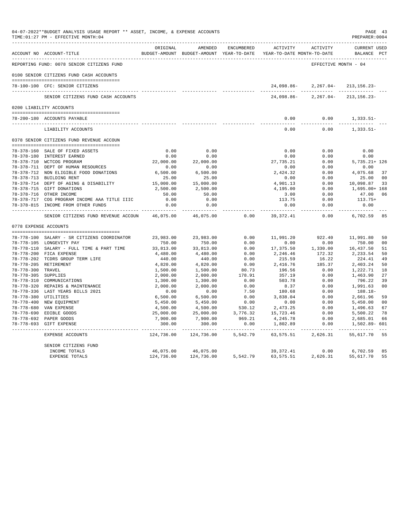|                       | 04-07-2022**BUDGET ANALYSIS USAGE REPORT ** ASSET, INCOME, & EXPENSE ACCOUNTS<br>TIME: 01:27 PM - EFFECTIVE MONTH: 04 |                     |                     |            | _____________________________                                                   |                      | PAGE 43<br>PREPARER: 0004          |                      |
|-----------------------|-----------------------------------------------------------------------------------------------------------------------|---------------------|---------------------|------------|---------------------------------------------------------------------------------|----------------------|------------------------------------|----------------------|
|                       | ACCOUNT NO ACCOUNT-TITLE                                                                                              | ORIGINAL            | AMENDED             | ENCUMBERED | ACTIVITY<br>BUDGET-AMOUNT BUDGET-AMOUNT YEAR-TO-DATE YEAR-TO-DATE MONTH-TO-DATE | ACTIVITY             | <b>CURRENT USED</b><br>BALANCE PCT |                      |
|                       | REPORTING FUND: 0078 SENIOR CITIZENS FUND                                                                             |                     |                     |            |                                                                                 | EFFECTIVE MONTH - 04 |                                    |                      |
|                       | 0100 SENIOR CITIZENS FUND CASH ACCOUNTS                                                                               |                     |                     |            |                                                                                 |                      |                                    |                      |
|                       | 78-100-100 CFC: SENIOR CITIZENS                                                                                       |                     |                     |            | 24,098.86-                                                                      | $2,267.04-$          | $213, 156.23 -$                    |                      |
|                       | SENIOR CITIZENS FUND CASH ACCOUNTS                                                                                    |                     |                     |            | 24,098.86-                                                                      | $2, 267.04 -$        | ______________<br>$213, 156.23 -$  |                      |
|                       | 0200 LIABILITY ACCOUNTS                                                                                               |                     |                     |            |                                                                                 |                      |                                    |                      |
|                       |                                                                                                                       |                     |                     |            |                                                                                 |                      |                                    |                      |
|                       | 78-200-180 ACCOUNTS PAYABLE<br>--------------------------------                                                       |                     |                     |            | 0.00<br>$- - - - -$                                                             | 0.00<br>-----        | 1,333.51-<br>-----------           |                      |
|                       | LIABILITY ACCOUNTS                                                                                                    |                     |                     |            | 0.00                                                                            | 0.00                 | $1,333.51-$                        |                      |
|                       | 0378 SENIOR CITIZENS FUND REVENUE ACCOUN                                                                              |                     |                     |            |                                                                                 |                      |                                    |                      |
|                       | 78-378-160 SALE OF FIXED ASSETS                                                                                       | 0.00                | 0.00                |            | 0.00                                                                            | 0.00                 | 0.00                               |                      |
|                       | 78-378-180 INTEREST EARNED                                                                                            | 0.00                | 0.00                |            | 0.00                                                                            | 0.00                 | 0.00                               |                      |
|                       | 78-378-710 WCTCOG PROGRAM                                                                                             | 22,000.00           | 22,000.00           |            | 27,735.21                                                                       | 0.00                 | $5,735.21+126$                     |                      |
|                       | 78-378-711 DEPT OF HUMAN RESOURCES                                                                                    | 0.00                | 0.00                |            | 0.00                                                                            | 0.00                 | 0.00                               |                      |
|                       | 78-378-712 NON ELIGIBLE FOOD DONATIONS                                                                                | 6,500.00            | 6,500.00            |            | 2,424.32                                                                        | 0.00                 | 4,075.68                           | 37                   |
|                       | 78-378-713 BUILDING RENT                                                                                              | 25.00               | 25.00               |            | 0.00                                                                            | 0.00                 | 25.00                              | 0 <sup>0</sup>       |
|                       | 78-378-714 DEPT OF AGING & DISABILITY                                                                                 | 15,000.00           | 15,000.00           |            | 4,901.13                                                                        | 0.00                 | 10,098.87                          | 33                   |
|                       | 78-378-715 GIFT DONATIONS                                                                                             | 2,500.00            | 2,500.00            |            | 4,195.00                                                                        | 0.00                 | 1,695.00+ 168                      |                      |
|                       | 78-378-716 OTHER INCOME                                                                                               | 50.00               | 50.00               |            | 3.00                                                                            | 0.00                 | 47.00                              | 06                   |
|                       | 78-378-717 COG PROGRAM INCOME AAA TITLE IIIC                                                                          | 0.00                | 0.00                |            | 113.75                                                                          | 0.00                 | 113.75+                            |                      |
|                       | 78-378-815 INCOME FROM OTHER FUNDS                                                                                    | 0.00                | 0.00<br>$- - - - -$ |            | 0.00<br>$- - - - - -$                                                           | 0.00<br>$- - - -$    | 0.00<br>-------                    |                      |
|                       | SENIOR CITIZENS FUND REVENUE ACCOUN                                                                                   | 46,075.00           | 46,075.00           | 0.00       | 39, 372.41                                                                      | 0.00                 | 6,702.59                           | 85                   |
| 0778 EXPENSE ACCOUNTS |                                                                                                                       |                     |                     |            |                                                                                 |                      |                                    |                      |
|                       |                                                                                                                       |                     |                     | 0.00       | 11,991.20                                                                       | 922.40               |                                    |                      |
|                       | 78-778-100 SALARY - SR CITIZENS COORDINATOR<br>78-778-105 LONGEVITY PAY                                               | 23,983.00<br>750.00 | 23,983.00<br>750.00 | 0.00       | 0.00                                                                            | 0.00                 | 11,991.80<br>750.00                | 50<br>0 <sub>0</sub> |
|                       | 78-778-110 SALARY - FULL TIME & PART TIME                                                                             | 33,813.00           | 33,813.00           | 0.00       | 17,375.50                                                                       | 1,330.00             | 16,437.50                          | 51                   |
|                       | 78-778-200 FICA EXPENSE                                                                                               | 4,480.00            | 4,480.00            | 0.00       | 2,246.46                                                                        | 172.32               | 2,233.54                           | 50                   |
|                       | 78-778-202 TCDRS GROUP TERM LIFE                                                                                      | 440.00              | 440.00              | 0.00       | 215.59                                                                          | 16.22                | 224.41                             | 49                   |
|                       | 78-778-205 RETIREMENT                                                                                                 | 4,820.00            | 4,820.00            | 0.00       | 2,416.76                                                                        | 185.37               | 2,403.24                           | 50                   |
| 78-778-300 TRAVEL     |                                                                                                                       | 1,500.00            | 1,500.00            | 80.73      | 196.56                                                                          | 0.00                 | 1,222.71                           | 18                   |
| 78-778-305 SUPPLIES   |                                                                                                                       | 2,000.00            | 2,000.00            | 178.91     | 357.19                                                                          | 0.00                 | 1,463.90                           | 27                   |
|                       | 78-778-310 COMMUNICATIONS                                                                                             | 1,300.00            | 1,300.00            | 0.00       | 503.78                                                                          | 0.00                 | 796.22                             | 39                   |
|                       | 78-778-320 REPAIRS & MAINTENANCE                                                                                      | 2,000.00            | 2,000.00            | 0.00       | 8.37                                                                            | 0.00                 | 1,991.63                           | 0 <sup>0</sup>       |
|                       | 78-778-336 LAST YEARS BILLS 2021                                                                                      | 0.00                | 0.00                | 7.50       | 180.68                                                                          | 0.00                 | 188.18-                            |                      |
| 78-778-380 UTILITIES  |                                                                                                                       | 6,500.00            | 6,500.00            | 0.00       | 3,838.04                                                                        | 0.00                 | 2,661.96                           | 59                   |
|                       | 78-778-400 NEW EQUIPMENT                                                                                              | 5,450.00            | 5,450.00            | 0.00       | 0.00                                                                            | 0.00                 | 5,450.00                           | 0 <sub>0</sub>       |
|                       | 78-778-680 VAN EXPENSE                                                                                                | 4,500.00            | 4,500.00            | 530.12     | 2,473.25                                                                        | 0.00                 | 1,496.63                           | 67                   |
|                       | 78-778-690 EDIBLE GOODS                                                                                               | 25,000.00           | 25,000.00           | 3,776.32   | 15,723.46                                                                       | 0.00                 | 5,500.22                           | 78                   |
|                       | 78-778-692 PAPER GOODS                                                                                                | 7,900.00            | 7,900.00            | 969.21     | 4,245.78                                                                        | 0.00                 | 2,685.01                           | 66                   |
|                       | 78-778-693 GIFT EXPENSE                                                                                               | 300.00              | 300.00              | 0.00       | 1,802.89                                                                        | 0.00<br>-----        | 1,502.89- 601                      |                      |
|                       | EXPENSE ACCOUNTS                                                                                                      | 124,736.00          | 124,736.00          | 5,542.79   | 63,575.51                                                                       | 2,626.31             | 55,617.70                          | 55                   |
|                       | SENIOR CITIZENS FUND                                                                                                  |                     |                     |            |                                                                                 |                      |                                    |                      |
|                       | INCOME TOTALS                                                                                                         | 46,075.00           | 46,075.00           |            | 39, 372.41                                                                      | 0.00                 | 6,702.59                           | 85                   |
|                       | <b>EXPENSE TOTALS</b>                                                                                                 | 124,736.00          | 124,736.00          | 5,542.79   | 63,575.51                                                                       | 2,626.31             | 55,617.70                          | 55                   |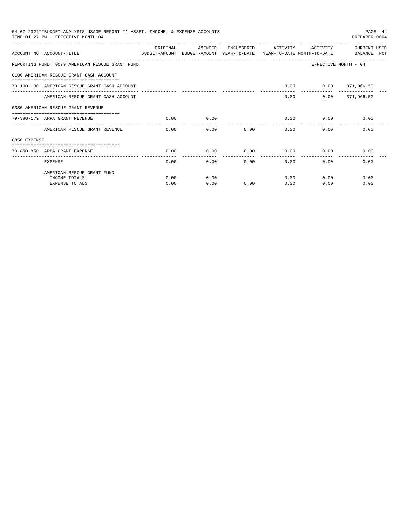|              | 04-07-2022**BUDGET ANALYSIS USAGE REPORT ** ASSET, INCOME, & EXPENSE ACCOUNTS<br>PAGE 44<br>TIME: 01:27 PM - EFFECTIVE MONTH: 04<br>PREPARER: 0004<br>ORIGINAL<br>AMENDED<br>CURRENT USED<br>ENCUMBERED ACTIVITY<br>ACTIVITY<br>ACCOUNT NO ACCOUNT-TITLE CONTROLLER THE BUDGET-AMOUNT BUDGET-AMOUNT YEAR-TO-DATE YEAR-TO-DATE MONTH-TO-DATE BALANCE PCT<br>REPORTING FUND: 0079 AMERICAN RESCUE GRANT FUND<br>EFFECTIVE MONTH - 04<br>0100 AMERICAN RESCUE GRANT CASH ACCOUNT<br>$0.00$ $0.00$ $371,966.50$<br>79-100-100 AMERICAN RESCUE GRANT CASH ACCOUNT<br>0.00<br>$0.00$ 371,966.50<br>AMERICAN RESCUE GRANT CASH ACCOUNT<br>0380 AMERICAN RESCUE GRANT REVENUE<br>0.00<br>0.00<br>$0.00$ 0.00<br>79-380-179 ARPA GRANT REVENUE<br>0.00<br>0.00<br>AMERICAN RESCUE GRANT REVENUE<br>0.00<br>0.00<br>0.00<br>0.00<br>0.00<br>$0.00$ 0.00 |      |      |      |      |              |      |  |  |
|--------------|-----------------------------------------------------------------------------------------------------------------------------------------------------------------------------------------------------------------------------------------------------------------------------------------------------------------------------------------------------------------------------------------------------------------------------------------------------------------------------------------------------------------------------------------------------------------------------------------------------------------------------------------------------------------------------------------------------------------------------------------------------------------------------------------------------------------------------------------------|------|------|------|------|--------------|------|--|--|
|              |                                                                                                                                                                                                                                                                                                                                                                                                                                                                                                                                                                                                                                                                                                                                                                                                                                               |      |      |      |      |              |      |  |  |
|              |                                                                                                                                                                                                                                                                                                                                                                                                                                                                                                                                                                                                                                                                                                                                                                                                                                               |      |      |      |      |              |      |  |  |
|              |                                                                                                                                                                                                                                                                                                                                                                                                                                                                                                                                                                                                                                                                                                                                                                                                                                               |      |      |      |      |              |      |  |  |
|              |                                                                                                                                                                                                                                                                                                                                                                                                                                                                                                                                                                                                                                                                                                                                                                                                                                               |      |      |      |      |              |      |  |  |
|              |                                                                                                                                                                                                                                                                                                                                                                                                                                                                                                                                                                                                                                                                                                                                                                                                                                               |      |      |      |      |              |      |  |  |
|              |                                                                                                                                                                                                                                                                                                                                                                                                                                                                                                                                                                                                                                                                                                                                                                                                                                               |      |      |      |      |              |      |  |  |
|              |                                                                                                                                                                                                                                                                                                                                                                                                                                                                                                                                                                                                                                                                                                                                                                                                                                               |      |      |      |      |              |      |  |  |
|              |                                                                                                                                                                                                                                                                                                                                                                                                                                                                                                                                                                                                                                                                                                                                                                                                                                               |      |      |      |      |              |      |  |  |
| 0850 EXPENSE |                                                                                                                                                                                                                                                                                                                                                                                                                                                                                                                                                                                                                                                                                                                                                                                                                                               |      |      |      |      |              |      |  |  |
|              | 79-850-850 ARPA GRANT EXPENSE                                                                                                                                                                                                                                                                                                                                                                                                                                                                                                                                                                                                                                                                                                                                                                                                                 | 0.00 | 0.00 |      |      | 0.00         | 0.00 |  |  |
|              | <b>EXPENSE</b>                                                                                                                                                                                                                                                                                                                                                                                                                                                                                                                                                                                                                                                                                                                                                                                                                                | 0.00 | 0.00 |      | 0.00 | 0.00<br>0.00 | 0.00 |  |  |
|              | AMERICAN RESCUE GRANT FUND                                                                                                                                                                                                                                                                                                                                                                                                                                                                                                                                                                                                                                                                                                                                                                                                                    |      |      |      |      |              |      |  |  |
|              | INCOME TOTALS                                                                                                                                                                                                                                                                                                                                                                                                                                                                                                                                                                                                                                                                                                                                                                                                                                 | 0.00 | 0.00 |      | 0.00 | 0.00         | 0.00 |  |  |
|              | <b>EXPENSE TOTALS</b>                                                                                                                                                                                                                                                                                                                                                                                                                                                                                                                                                                                                                                                                                                                                                                                                                         | 0.00 | 0.00 | 0.00 | 0.00 | 0.00         | 0.00 |  |  |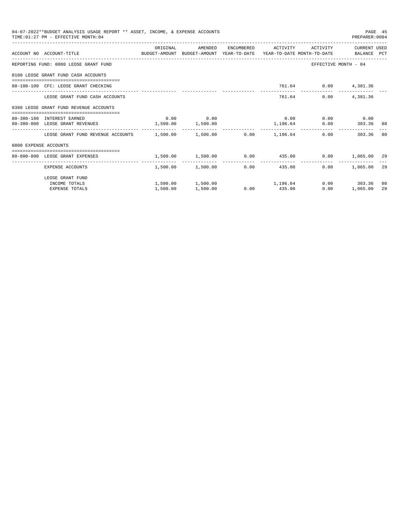|                       | 04-07-2022**BUDGET ANALYSIS USAGE REPORT ** ASSET, INCOME, & EXPENSE ACCOUNTS<br>TIME: 01:27 PM - EFFECTIVE MONTH: 04  |                                                              |                                  |      |                     |                      | PAGE 45<br>PREPARER: 0004 |    |
|-----------------------|------------------------------------------------------------------------------------------------------------------------|--------------------------------------------------------------|----------------------------------|------|---------------------|----------------------|---------------------------|----|
|                       | ACCOUNT NO ACCOUNT-TITLE COMMONICATION BUDGET-AMOUNT BUDGET-AMOUNT YEAR-TO-DATE YEAR-TO-DATE MONTH-TO-DATE BALANCE PCT | ORIGINAL                                                     | AMENDED                          |      | ENCUMBERED ACTIVITY |                      | ACTIVITY CURRENT USED     |    |
|                       | REPORTING FUND: 0080 LEOSE GRANT FUND                                                                                  |                                                              |                                  |      |                     |                      | EFFECTIVE MONTH - 04      |    |
|                       | 0100 LEOSE GRANT FUND CASH ACCOUNTS                                                                                    |                                                              |                                  |      |                     |                      |                           |    |
|                       | 80-100-100 CFC: LEOSE GRANT CHECKING                                                                                   |                                                              |                                  |      |                     | 761.64 0.00 4,381.36 |                           |    |
|                       | LEOSE GRANT FUND CASH ACCOUNTS                                                                                         |                                                              |                                  |      |                     | 761.64 0.00 4.381.36 |                           |    |
|                       | 0380 LEOSE GRANT FUND REVENUE ACCOUNTS                                                                                 |                                                              |                                  |      |                     |                      |                           |    |
|                       | 80-380-180 INTEREST EARNED                                                                                             |                                                              | $0.00$ 0.00                      |      | 0.00                |                      | $0.00$ 0.00               |    |
|                       | 80-380-800 LEOSE GRANT REVENUES 1,500.00 1,500.00                                                                      |                                                              |                                  |      | 1,196.64            |                      | 0.00 303.36 80            |    |
|                       | LEOSE GRANT FUND REVENUE ACCOUNTS $1.500.00$ $1.500.00$ $0.00$ $1.196.64$                                              |                                                              |                                  |      |                     |                      | 0.00<br>303.36            | 80 |
| 0800 EXPENSE ACCOUNTS |                                                                                                                        |                                                              |                                  |      |                     |                      |                           |    |
|                       | 80-800-800 LEOSE GRANT EXPENSES                                                                                        | $1,500.00$ $1,500.00$ $0.00$ $435.00$ $0.00$ $1,065.00$ $29$ |                                  |      |                     |                      |                           |    |
|                       | EXPENSE ACCOUNTS                                                                                                       |                                                              | 1,500.00 1,500.00                | 0.00 | 435.00              |                      | $0.00$ 1,065.00 29        |    |
|                       | LEOSE GRANT FUND                                                                                                       |                                                              |                                  |      |                     |                      |                           |    |
|                       | INCOME TOTALS                                                                                                          |                                                              | $1,500.00$ $1,500.00$ $1,196.64$ |      |                     |                      | $0.00$ 303.36             | 80 |
|                       | <b>EXPENSE TOTALS</b>                                                                                                  | 1,500.00                                                     | 1,500.00                         |      | $0.00$ 435.00       | 0.00                 | 1,065.00                  | 29 |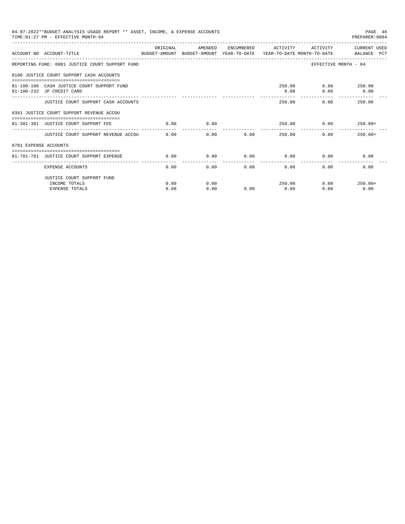| 04-07-2022**BUDGET ANALYSIS USAGE REPORT ** ASSET, INCOME, & EXPENSE ACCOUNTS<br>TIME: 01:27 PM - EFFECTIVE MONTH: 04<br>OR TGTNAL<br>AMENDED<br>ENCUMBERED<br>ACTIVITY<br>ACTIVITY<br>ACCOUNT NO ACCOUNT-TITLE<br>BUDGET-AMOUNT BUDGET-AMOUNT YEAR-TO-DATE YEAR-TO-DATE MONTH-TO-DATE BALANCE PCT<br>REPORTING FUND: 0081 JUSTICE COURT SUPPORT FUND<br>EFFECTIVE MONTH - 04<br>0100 JUSTICE COURT SUPPORT CASH ACCOUNTS<br>$0.00$ 250.00<br>250.00<br>81-100-100 CASH JUSTICE COURT SUPPORT FUND<br>0.00<br>0.00<br>81-100-232 JP CREDIT CARD<br>0.00<br>250.00<br>JUSTICE COURT SUPPORT CASH ACCOUNTS<br>250.00<br>0.00<br>0381 JUSTICE COURT SUPPORT REVENUE ACCOU<br>81-381-381 JUSTICE COURT SUPPORT FEE<br>0.00<br>0.00<br>250.00<br>0.00<br>$250.00+$<br>0.00<br>JUSTICE COURT SUPPORT REVENUE ACCOU 0.00<br>0.00<br>250.00<br>0.00<br>$250.00+$<br>0781 EXPENSE ACCOUNTS<br>------------------------------------<br>0.00<br>0.00<br>0.00<br>0.00<br>0.00<br>0.00<br>81-781-781 JUSTICE COURT SUPPORT EXPENSE<br>0.00<br>0.00<br>0.00<br>0.00<br>0.00<br>0.00<br>EXPENSE ACCOUNTS<br>JUSTICE COURT SUPPORT FUND<br>0.00<br>0.00<br>250.00<br>0.00<br>INCOME TOTALS<br>$250.00+$ |  |  |  |  | PAGE 46<br>PREPARER: 0004 |      |              |
|-----------------------------------------------------------------------------------------------------------------------------------------------------------------------------------------------------------------------------------------------------------------------------------------------------------------------------------------------------------------------------------------------------------------------------------------------------------------------------------------------------------------------------------------------------------------------------------------------------------------------------------------------------------------------------------------------------------------------------------------------------------------------------------------------------------------------------------------------------------------------------------------------------------------------------------------------------------------------------------------------------------------------------------------------------------------------------------------------------------------------------------------------------------------------------------------|--|--|--|--|---------------------------|------|--------------|
|                                                                                                                                                                                                                                                                                                                                                                                                                                                                                                                                                                                                                                                                                                                                                                                                                                                                                                                                                                                                                                                                                                                                                                                         |  |  |  |  |                           |      | CURRENT USED |
|                                                                                                                                                                                                                                                                                                                                                                                                                                                                                                                                                                                                                                                                                                                                                                                                                                                                                                                                                                                                                                                                                                                                                                                         |  |  |  |  |                           |      |              |
|                                                                                                                                                                                                                                                                                                                                                                                                                                                                                                                                                                                                                                                                                                                                                                                                                                                                                                                                                                                                                                                                                                                                                                                         |  |  |  |  |                           |      |              |
|                                                                                                                                                                                                                                                                                                                                                                                                                                                                                                                                                                                                                                                                                                                                                                                                                                                                                                                                                                                                                                                                                                                                                                                         |  |  |  |  |                           |      |              |
|                                                                                                                                                                                                                                                                                                                                                                                                                                                                                                                                                                                                                                                                                                                                                                                                                                                                                                                                                                                                                                                                                                                                                                                         |  |  |  |  |                           |      |              |
|                                                                                                                                                                                                                                                                                                                                                                                                                                                                                                                                                                                                                                                                                                                                                                                                                                                                                                                                                                                                                                                                                                                                                                                         |  |  |  |  |                           |      |              |
|                                                                                                                                                                                                                                                                                                                                                                                                                                                                                                                                                                                                                                                                                                                                                                                                                                                                                                                                                                                                                                                                                                                                                                                         |  |  |  |  |                           |      |              |
| 0.00<br>0.00<br><b>EXPENSE TOTALS</b><br>0.00<br>0.00                                                                                                                                                                                                                                                                                                                                                                                                                                                                                                                                                                                                                                                                                                                                                                                                                                                                                                                                                                                                                                                                                                                                   |  |  |  |  |                           |      |              |
|                                                                                                                                                                                                                                                                                                                                                                                                                                                                                                                                                                                                                                                                                                                                                                                                                                                                                                                                                                                                                                                                                                                                                                                         |  |  |  |  |                           |      |              |
|                                                                                                                                                                                                                                                                                                                                                                                                                                                                                                                                                                                                                                                                                                                                                                                                                                                                                                                                                                                                                                                                                                                                                                                         |  |  |  |  |                           |      |              |
|                                                                                                                                                                                                                                                                                                                                                                                                                                                                                                                                                                                                                                                                                                                                                                                                                                                                                                                                                                                                                                                                                                                                                                                         |  |  |  |  |                           |      |              |
|                                                                                                                                                                                                                                                                                                                                                                                                                                                                                                                                                                                                                                                                                                                                                                                                                                                                                                                                                                                                                                                                                                                                                                                         |  |  |  |  |                           |      |              |
|                                                                                                                                                                                                                                                                                                                                                                                                                                                                                                                                                                                                                                                                                                                                                                                                                                                                                                                                                                                                                                                                                                                                                                                         |  |  |  |  |                           |      |              |
|                                                                                                                                                                                                                                                                                                                                                                                                                                                                                                                                                                                                                                                                                                                                                                                                                                                                                                                                                                                                                                                                                                                                                                                         |  |  |  |  |                           |      |              |
|                                                                                                                                                                                                                                                                                                                                                                                                                                                                                                                                                                                                                                                                                                                                                                                                                                                                                                                                                                                                                                                                                                                                                                                         |  |  |  |  |                           |      |              |
|                                                                                                                                                                                                                                                                                                                                                                                                                                                                                                                                                                                                                                                                                                                                                                                                                                                                                                                                                                                                                                                                                                                                                                                         |  |  |  |  |                           | 0.00 | 0.00         |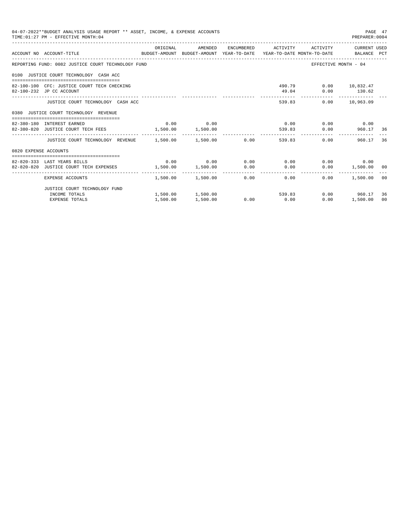| TIME: 01:27 PM - EFFECTIVE MONTH: 04   | 04-07-2022**BUDGET ANALYSIS USAGE REPORT ** ASSET, INCOME, & EXPENSE ACCOUNTS                                    |                                     |                                                   |             |               | PAGE 47<br>PREPARER: 0004                  |                |
|----------------------------------------|------------------------------------------------------------------------------------------------------------------|-------------------------------------|---------------------------------------------------|-------------|---------------|--------------------------------------------|----------------|
|                                        | ACCOUNT NO ACCOUNT-TITLE CONTROL BUDGET-AMOUNT BUDGET-AMOUNT YEAR-TO-DATE YEAR-TO-DATE MONTH-TO-DATE BALANCE PCT | ORIGINAL                            | AMENDED ENCUMBERED ACTIVITY ACTIVITY CURRENT_USED |             |               |                                            |                |
|                                        | REPORTING FUND: 0082 JUSTICE COURT TECHNOLOGY FUND                                                               |                                     |                                                   |             |               | EFFECTIVE MONTH - 04                       |                |
| 0100 JUSTICE COURT TECHNOLOGY CASH ACC |                                                                                                                  |                                     |                                                   |             |               |                                            |                |
| 82-100-232 JP CC ACCOUNT               | 82-100-100 CFC: JUSTICE COURT TECH CHECKING                                                                      |                                     |                                                   |             |               | 490.79 0.00 10,832.47<br>49.04 0.00 130.62 |                |
|                                        | JUSTICE COURT TECHNOLOGY CASH ACC                                                                                |                                     |                                                   |             | ------------- | --------------<br>539.83 0.00 10,963.09    |                |
| 0380 JUSTICE COURT TECHNOLOGY REVENUE  |                                                                                                                  |                                     |                                                   |             |               |                                            |                |
| 82-380-180 INTEREST EARNED             |                                                                                                                  |                                     | $0.00$ 0.00                                       |             |               | $0.00$ $0.00$ $0.00$ $0.00$                |                |
|                                        | 82-380-820 JUSTICE COURT TECH FEES 1,500.00 1,500.00                                                             |                                     |                                                   |             |               | 539.83 0.00 960.17 36                      |                |
|                                        | JUSTICE COURT TECHNOLOGY REVENUE 1.500.00 1.500.00 0.00                                                          |                                     |                                                   |             | 539.83        | 0.00<br>960.17                             | 36             |
| 0820 EXPENSE ACCOUNTS                  |                                                                                                                  |                                     |                                                   |             |               |                                            |                |
| 82-820-333 LAST YEARS BILLS            |                                                                                                                  |                                     | $0.00$ $0.00$ $0.00$ $0.00$ $0.00$ $0.00$         |             |               | $0.00$ 0.00                                |                |
| 82-820-820 JUSTICE COURT TECH EXPENSES |                                                                                                                  | $1,500.00$ $1,500.00$ $0.00$ $0.00$ |                                                   |             |               | $0.00$ 1,500.00 00                         |                |
| EXPENSE ACCOUNTS                       |                                                                                                                  |                                     | $1,500.00$ $1,500.00$ $0.00$ $0.00$               |             | 0.00          | 1,500.00                                   | 00             |
|                                        | JUSTICE COURT TECHNOLOGY FUND                                                                                    |                                     |                                                   |             |               |                                            |                |
| INCOME TOTALS                          |                                                                                                                  |                                     | $1,500.00$ $1,500.00$ 539.83                      |             |               | $0.00$ 960.17                              | 36             |
|                                        | EXPENSE TOTALS                                                                                                   | 1,500.00                            | 1,500.00                                          | $0.00$ 0.00 | 0.00          | 1,500.00                                   | 0 <sup>0</sup> |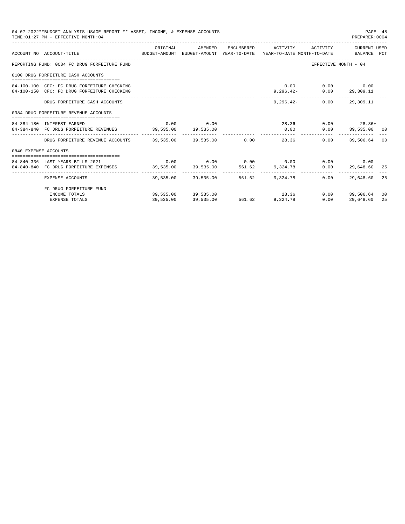|                       | 04-07-2022**BUDGET ANALYSIS USAGE REPORT ** ASSET, INCOME, & EXPENSE ACCOUNTS<br>TIME: 01:27 PM - EFFECTIVE MONTH: 04 |          |             |                                                         |                                                     | PAGE 48<br>PREPARER: 0004    |                |
|-----------------------|-----------------------------------------------------------------------------------------------------------------------|----------|-------------|---------------------------------------------------------|-----------------------------------------------------|------------------------------|----------------|
|                       | ACCOUNT NO ACCOUNT-TITLE CONTROL BUDGET-AMOUNT BUDGET-AMOUNT YEAR-TO-DATE YEAR-TO-DATE MONTH-TO-DATE BALANCE PCT      | ORIGINAL |             | AMENDED ENCUMBERED ACTIVITY ACTIVITY CURRENT_USED       |                                                     |                              |                |
|                       | REPORTING FUND: 0084 FC DRUG FORFEITURE FUND                                                                          |          |             |                                                         | EFFECTIVE MONTH - 04                                |                              |                |
|                       | 0100 DRUG FORFEITURE CASH ACCOUNTS                                                                                    |          |             |                                                         |                                                     |                              |                |
|                       | 84-100-100 CFC: FC DRUG FORFEITURE CHECKING<br>84-100-150 CFC: FC DRUG FORFEITURE CHECKING                            |          |             |                                                         | $0.00$ $0.00$ $0.00$<br>$9,296.42 - 0.00$ 29,309.11 |                              |                |
|                       | DRUG FORFEITURE CASH ACCOUNTS                                                                                         |          |             |                                                         | $9.296.42 - 0.00$ 29.309.11                         |                              |                |
|                       | 0384 DRUG FORFEITURE REVENUE ACCOUNTS                                                                                 |          |             |                                                         |                                                     |                              |                |
|                       | 84-384-180 INTEREST EARNED                                                                                            |          | $0.00$ 0.00 |                                                         |                                                     | $28.36$ 0.00 28.36+          |                |
|                       | 84-384-840 FC DRUG FORFEITURE REVENUES 39,535.00 39,535.00                                                            |          |             | .                                                       |                                                     | $0.00$ $0.00$ $39,535.00$ 00 |                |
|                       | DRUG FORFEITURE REVENUE ACCOUNTS 39.535.00 39.535.00 0.00 28.36                                                       |          |             |                                                         | 0.00                                                | 39,506.64                    | 0 <sup>0</sup> |
| 0840 EXPENSE ACCOUNTS |                                                                                                                       |          |             |                                                         |                                                     |                              |                |
|                       | 84-840-336 LAST YEARS BILLS 2021                                                                                      |          |             | $0.00$ $0.00$ $0.00$ $0.00$ $0.00$ $0.00$ $0.00$ $0.00$ |                                                     |                              |                |
|                       | 84-840-840 FC DRUG FORFEITURE EXPENSES 39,535.00 39,535.00 561.62 9,324.78                                            |          |             |                                                         |                                                     | $0.00$ 29,648.60 25          |                |
|                       | EXPENSE ACCOUNTS                                                                                                      |          |             | 39,535.00 39,535.00 561.62 9,324.78                     | 0.00                                                | 29,648.60 25                 |                |
|                       | FC DRUG FORFEITURE FUND                                                                                               |          |             |                                                         |                                                     |                              |                |
|                       | INCOME TOTALS                                                                                                         |          |             | $39,535.00$ $39,535.00$ $28.36$                         |                                                     | $0.00$ 39,506.64             | 00             |
|                       | EXPENSE TOTALS                                                                                                        |          |             | 39,535.00 39,535.00 561.62 9,324.78                     | 0.00                                                | 29,648.60                    | 25             |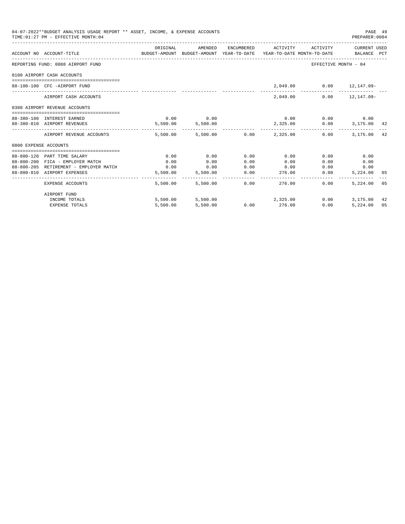| 04-07-2022**BUDGET ANALYSIS USAGE REPORT ** ASSET, INCOME, & EXPENSE ACCOUNTS<br>TIME: 01:27 PM - EFFECTIVE MONTH: 04 |                                        |                                                                                             |                   |               |                                           |                             | PAGE 49<br>PREPARER: 0004 |     |
|-----------------------------------------------------------------------------------------------------------------------|----------------------------------------|---------------------------------------------------------------------------------------------|-------------------|---------------|-------------------------------------------|-----------------------------|---------------------------|-----|
|                                                                                                                       | ACCOUNT NO ACCOUNT-TITLE               | ORIGINAL<br>BUDGET-AMOUNT BUDGET-AMOUNT YEAR-TO-DATE YEAR-TO-DATE MONTH-TO-DATE BALANCE PCT | AMENDED           |               | ENCUMBERED ACTIVITY ACTIVITY CURRENT USED |                             |                           |     |
|                                                                                                                       | REPORTING FUND: 0088 AIRPORT FUND      |                                                                                             |                   |               |                                           | EFFECTIVE MONTH - 04        |                           |     |
|                                                                                                                       | 0100 AIRPORT CASH ACCOUNTS             |                                                                                             |                   |               |                                           |                             |                           |     |
|                                                                                                                       | 88-100-100 CFC -AIRPORT FUND           |                                                                                             |                   |               |                                           | 2,049.00 0.00 12,147.09-    |                           |     |
|                                                                                                                       | AIRPORT CASH ACCOUNTS                  |                                                                                             |                   |               | 2,049,00                                  |                             | $0.00$ $12.147.09-$       |     |
|                                                                                                                       | 0380 AIRPORT REVENUE ACCOUNTS          |                                                                                             |                   |               |                                           |                             |                           |     |
|                                                                                                                       | 88-380-180 INTEREST EARNED             |                                                                                             | $0.00$ 0.00       |               |                                           | $0.00$ $0.00$ $0.00$ $0.00$ |                           |     |
|                                                                                                                       | 88-380-810 AIRPORT REVENUES            |                                                                                             | 5,500.00 5,500.00 |               | 2,325.00                                  |                             | $0.00$ $3,175.00$ $42$    |     |
|                                                                                                                       | AIRPORT REVENUE ACCOUNTS               |                                                                                             |                   |               | $5,500.00$ $5,500.00$ $0.00$ $2,325.00$   | 0.00                        | 3,175.00                  | 42  |
| 0800 EXPENSE ACCOUNTS                                                                                                 |                                        |                                                                                             |                   |               |                                           |                             |                           |     |
|                                                                                                                       | 88-800-120 PART TIME SALARY            | 0.00                                                                                        | 0.00              | 0.00          | 0.00                                      | 0.00                        | 0.00                      |     |
|                                                                                                                       | 88-800-200 FICA - EMPLOYER MATCH       | 0.00                                                                                        | 0.00              | 0.00          | 0.00                                      | 0.00                        | 0.00                      |     |
|                                                                                                                       | 88-800-205 RETIREMENT - EMPLOYER MATCH | 0.00                                                                                        | 0.00              | 0.00          | 0.00                                      |                             | 0.00<br>0.00              |     |
|                                                                                                                       | 88-800-810 AIRPORT EXPENSES            |                                                                                             | 5,500.00 5,500.00 | 0.00          | 276.00                                    | 0.00                        | 5,224.00                  | 05  |
|                                                                                                                       | EXPENSE ACCOUNTS                       | 5,500.00                                                                                    |                   | 5,500.00 0.00 | 276.00                                    | 0.00                        | 5,224.00                  | 05  |
|                                                                                                                       | AIRPORT FUND                           |                                                                                             |                   |               |                                           |                             |                           |     |
|                                                                                                                       | INCOME TOTALS                          |                                                                                             |                   |               | 5,500.00 5,500.00 2,325.00                | 0.00                        | 3,175.00                  | -42 |
|                                                                                                                       | <b>EXPENSE TOTALS</b>                  | 5,500.00                                                                                    | 5,500.00          |               | $0.00$ 276.00                             | 0.00                        | 5.224.00                  | 05  |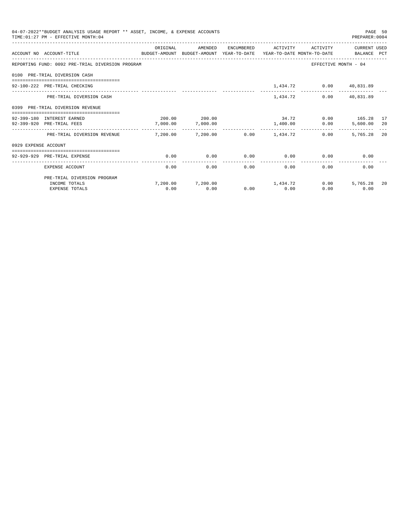| 04-07-2022**BUDGET ANALYSIS USAGE REPORT ** ASSET, INCOME, & EXPENSE ACCOUNTS<br>TIME: 01:27 PM - EFFECTIVE MONTH: 04 |                                                                                                                 |          |                                         |                |               |                                    |                                           | PAGE 50<br>PREPARER: 0004 |
|-----------------------------------------------------------------------------------------------------------------------|-----------------------------------------------------------------------------------------------------------------|----------|-----------------------------------------|----------------|---------------|------------------------------------|-------------------------------------------|---------------------------|
|                                                                                                                       | ACCOUNT NO ACCOUNT-TITLE<br>BUDGET-AMOUNT BUDGET-AMOUNT YEAR-TO-DATE YEAR-TO-DATE MONTH-TO-DATE     BALANCE PCT | ORIGINAL | AMENDED                                 |                |               |                                    | ENCUMBERED ACTIVITY ACTIVITY CURRENT USED |                           |
|                                                                                                                       | REPORTING FUND: 0092 PRE-TRIAL DIVERSION PROGRAM                                                                |          |                                         |                |               |                                    | EFFECTIVE MONTH - 04                      |                           |
|                                                                                                                       | 0100 PRE-TRIAL DIVERSION CASH                                                                                   |          |                                         |                |               |                                    |                                           |                           |
|                                                                                                                       | 92-100-222 PRE-TRIAL CHECKING                                                                                   |          |                                         |                |               | 1,434.72 0.00 40,831.89            |                                           |                           |
|                                                                                                                       | PRE-TRIAL DIVERSION CASH                                                                                        |          |                                         |                | 1,434.72      |                                    | $0.00$ 40,831.89                          |                           |
|                                                                                                                       | 0399 PRE-TRIAL DIVERSION REVENUE                                                                                |          |                                         |                |               |                                    |                                           |                           |
|                                                                                                                       | 92-399-180 INTEREST EARNED                                                                                      |          | 200.00 200.00                           |                |               |                                    | 34.72 0.00 165.28 17                      |                           |
|                                                                                                                       | 92-399-920 PRE-TRIAL FEES                                                                                       |          | 7,000.00 7,000.00                       |                |               | 1,400.00 0.00                      | 5,600.00 20                               |                           |
|                                                                                                                       | PRE-TRIAL DIVERSION REVENUE                                                                                     |          | $7,200.00$ $7,200.00$ $0.00$ $1,434.72$ |                |               | 0.00                               | 5,765,28 20                               |                           |
| 0929 EXPENSE ACCOUNT                                                                                                  |                                                                                                                 |          |                                         |                |               |                                    |                                           |                           |
|                                                                                                                       | ----------------------------<br>92-929-929 PRE-TRIAL EXPENSE                                                    | 0.00     | 0.00                                    |                |               | $0.00$ $0.00$ $0.00$ $0.00$ $0.00$ |                                           |                           |
|                                                                                                                       |                                                                                                                 |          |                                         | -------------- | ------------- |                                    |                                           |                           |
|                                                                                                                       | EXPENSE ACCOUNT                                                                                                 | 0.00     | 0.00                                    |                | 0.00          | 0.00                               | 0.00<br>$0.00$ and $0.00$                 |                           |
|                                                                                                                       | PRE-TRIAL DIVERSION PROGRAM                                                                                     |          |                                         |                |               |                                    |                                           |                           |
|                                                                                                                       | INCOME TOTALS                                                                                                   |          | 7,200.00 7,200.00 1,434.72              |                |               |                                    | 5,765.28<br>0.00                          | 20                        |
|                                                                                                                       | <b>EXPENSE TOTALS</b>                                                                                           | 0.00     | 0.00                                    |                | $0.00$ 0.00   | 0.00                               | 0.00                                      |                           |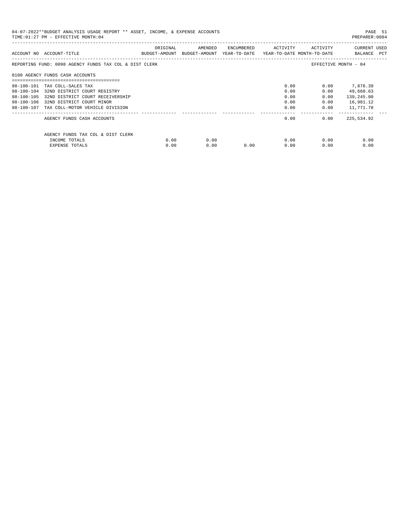| 04-07-2022**BUDGET ANALYSIS USAGE REPORT ** ASSET, INCOME, & EXPENSE ACCOUNTS<br>PREPARER:0004<br>TIME: 01:27 PM - EFFECTIVE MONTH: 04 |                                                        |          |                                                                                |            |          |              |                             |
|----------------------------------------------------------------------------------------------------------------------------------------|--------------------------------------------------------|----------|--------------------------------------------------------------------------------|------------|----------|--------------|-----------------------------|
|                                                                                                                                        | ACCOUNT NO ACCOUNT-TITLE                               | ORIGINAL | AMENDED<br>BUDGET-AMOUNT BUDGET-AMOUNT YEAR-TO-DATE YEAR-TO-DATE MONTH-TO-DATE | ENCUMBERED | ACTIVITY | ACTIVITY     | CURRENT USED<br>BALANCE PCT |
|                                                                                                                                        | REPORTING FUND: 0098 AGENCY FUNDS TAX COL & DIST CLERK |          |                                                                                |            |          |              | EFFECTIVE MONTH - 04        |
|                                                                                                                                        | 0100 AGENCY FUNDS CASH ACCOUNTS                        |          |                                                                                |            |          |              |                             |
|                                                                                                                                        | 98-100-101 TAX COLL-SALES TAX                          |          |                                                                                |            | 0.00     |              | $0.00$ 7,876.39             |
|                                                                                                                                        | 98-100-104 32ND DISTRICT COURT REGISTRY                |          |                                                                                |            | 0.00     | 0.00         | 49,660.63                   |
| 98-100-105                                                                                                                             | 32ND DISTRICT COURT RECEIVERSHIP                       |          |                                                                                |            | 0.00     | 0.00         | 139,245.00                  |
|                                                                                                                                        | 98-100-106 32ND DISTRICT COURT MINOR                   |          |                                                                                |            | 0.00     | 0.00         | 16,981.12                   |
|                                                                                                                                        | 98-100-107 TAX COLL-MOTOR VEHICLE DIVISION             |          |                                                                                |            | 0.00     | 0.00         | 11,771.78                   |
|                                                                                                                                        | AGENCY FUNDS CASH ACCOUNTS                             |          |                                                                                |            | 0.00     | 0.00         | 225,534.92                  |
|                                                                                                                                        | AGENCY FUNDS TAX COL & DIST CLERK                      |          |                                                                                |            |          |              |                             |
|                                                                                                                                        | INCOME TOTALS                                          | 0.00     | 0.00                                                                           |            |          | 0.00<br>0.00 | 0.00                        |
|                                                                                                                                        | EXPENSE TOTALS                                         | 0.00     | 0.00                                                                           | 0.00       | 0.00     | 0.00         | 0.00                        |